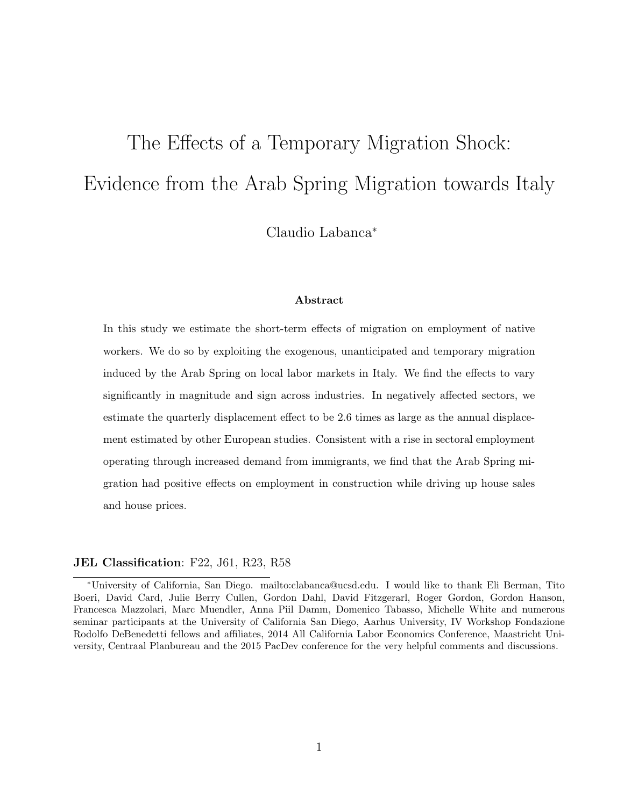# <span id="page-0-0"></span>The Effects of a Temporary Migration Shock: Evidence from the Arab Spring Migration towards Italy

Claudio Labanca<sup>∗</sup>

#### Abstract

In this study we estimate the short-term effects of migration on employment of native workers. We do so by exploiting the exogenous, unanticipated and temporary migration induced by the Arab Spring on local labor markets in Italy. We find the effects to vary significantly in magnitude and sign across industries. In negatively affected sectors, we estimate the quarterly displacement effect to be 2.6 times as large as the annual displacement estimated by other European studies. Consistent with a rise in sectoral employment operating through increased demand from immigrants, we find that the Arab Spring migration had positive effects on employment in construction while driving up house sales and house prices.

#### JEL Classification: F22, J61, R23, R58

<sup>∗</sup>University of California, San Diego. mailto:clabanca@ucsd.edu. I would like to thank Eli Berman, Tito Boeri, David Card, Julie Berry Cullen, Gordon Dahl, David Fitzgerarl, Roger Gordon, Gordon Hanson, Francesca Mazzolari, Marc Muendler, Anna Piil Damm, Domenico Tabasso, Michelle White and numerous seminar participants at the University of California San Diego, Aarhus University, IV Workshop Fondazione Rodolfo DeBenedetti fellows and affiliates, 2014 All California Labor Economics Conference, Maastricht University, Centraal Planbureau and the 2015 PacDev conference for the very helpful comments and discussions.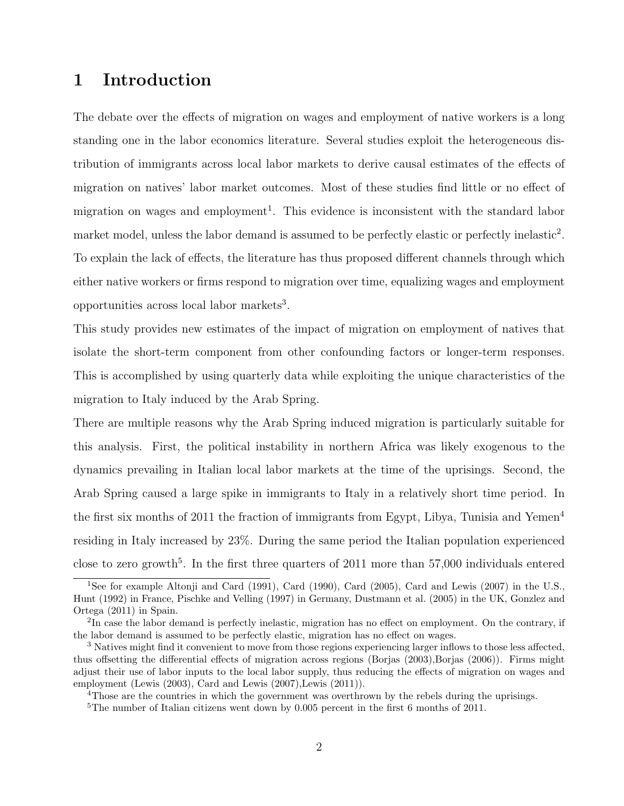### 1 Introduction

The debate over the effects of migration on wages and employment of native workers is a long standing one in the labor economics literature. Several studies exploit the heterogeneous distribution of immigrants across local labor markets to derive causal estimates of the effects of migration on natives' labor market outcomes. Most of these studies find little or no effect of migration on wages and employment<sup>[1](#page-1-0)</sup>. This evidence is inconsistent with the standard labor market model, unless the labor demand is assumed to be perfectly elastic or perfectly inelastic<sup>[2](#page-1-1)</sup>. To explain the lack of effects, the literature has thus proposed different channels through which either native workers or firms respond to migration over time, equalizing wages and employment opportunities across local labor markets<sup>[3](#page-1-2)</sup>.

This study provides new estimates of the impact of migration on employment of natives that isolate the short-term component from other confounding factors or longer-term responses. This is accomplished by using quarterly data while exploiting the unique characteristics of the migration to Italy induced by the Arab Spring.

There are multiple reasons why the Arab Spring induced migration is particularly suitable for this analysis. First, the political instability in northern Africa was likely exogenous to the dynamics prevailing in Italian local labor markets at the time of the uprisings. Second, the Arab Spring caused a large spike in immigrants to Italy in a relatively short time period. In the first six months of 2011 the fraction of immigrants from Egypt, Libya, Tunisia and Yemen<sup>[4](#page-1-3)</sup> residing in Italy increased by 23%. During the same period the Italian population experienced close to zero growth<sup>[5](#page-1-4)</sup>. In the first three quarters of 2011 more than  $57,000$  individuals entered

<span id="page-1-3"></span><sup>4</sup>Those are the countries in which the government was overthrown by the rebels during the uprisings.

<span id="page-1-0"></span><sup>&</sup>lt;sup>1</sup>See for example [Altonji and Card](#page-30-0) [\(1991\)](#page-30-0), [Card](#page-31-1) [\(1990\)](#page-31-0), Card [\(2005\)](#page-31-1), [Card and Lewis](#page-31-2) [\(2007\)](#page-31-2) in the U.S., [Hunt](#page-32-0) [\(1992\)](#page-32-0) in France, [Pischke and Velling](#page-33-0) [\(1997\)](#page-33-0) in Germany, [Dustmann et al.](#page-32-1) [\(2005\)](#page-32-1) in the UK, [Gonzlez and](#page-32-2) [Ortega](#page-32-2) [\(2011\)](#page-32-2) in Spain.

<span id="page-1-1"></span><sup>&</sup>lt;sup>2</sup>In case the labor demand is perfectly inelastic, migration has no effect on employment. On the contrary, if the labor demand is assumed to be perfectly elastic, migration has no effect on wages.

<span id="page-1-2"></span><sup>&</sup>lt;sup>3</sup> Natives might find it convenient to move from those regions experiencing larger inflows to those less affected, thus offsetting the differential effects of migration across regions [\(Borjas](#page-30-1) [\(2003\)](#page-30-1)[,Borjas](#page-30-2) [\(2006\)](#page-30-2)). Firms might adjust their use of labor inputs to the local labor supply, thus reducing the effects of migration on wages and employment [\(Lewis](#page-33-1) [\(2003\)](#page-33-1), [Card and Lewis](#page-31-2) [\(2007\)](#page-31-2)[,Lewis](#page-33-2) [\(2011\)](#page-33-2)).

<span id="page-1-4"></span><sup>&</sup>lt;sup>5</sup>The number of Italian citizens went down by 0.005 percent in the first 6 months of 2011.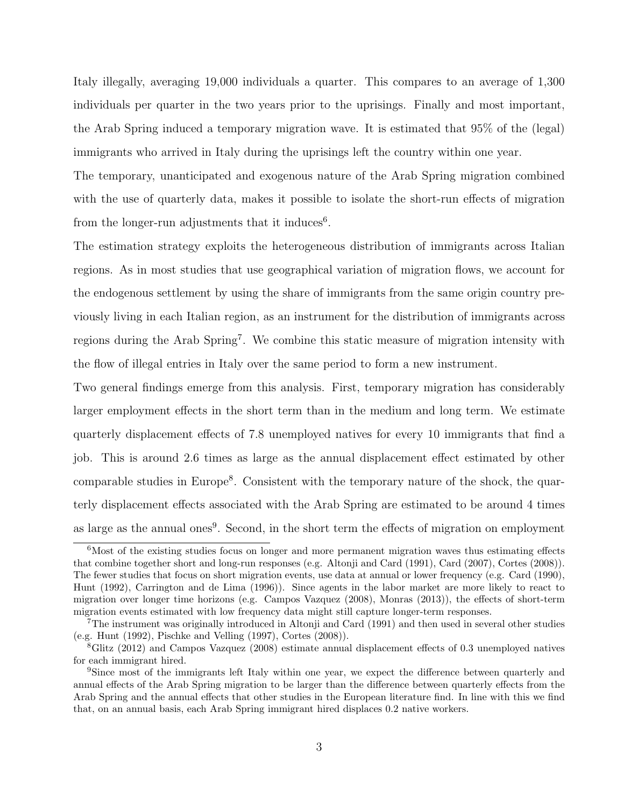Italy illegally, averaging 19,000 individuals a quarter. This compares to an average of 1,300 individuals per quarter in the two years prior to the uprisings. Finally and most important, the Arab Spring induced a temporary migration wave. It is estimated that 95% of the (legal) immigrants who arrived in Italy during the uprisings left the country within one year.

The temporary, unanticipated and exogenous nature of the Arab Spring migration combined with the use of quarterly data, makes it possible to isolate the short-run effects of migration from the longer-run adjustments that it induces<sup>[6](#page-2-0)</sup>.

The estimation strategy exploits the heterogeneous distribution of immigrants across Italian regions. As in most studies that use geographical variation of migration flows, we account for the endogenous settlement by using the share of immigrants from the same origin country previously living in each Italian region, as an instrument for the distribution of immigrants across regions during the Arab Spring<sup>[7](#page-2-1)</sup>. We combine this static measure of migration intensity with the flow of illegal entries in Italy over the same period to form a new instrument.

Two general findings emerge from this analysis. First, temporary migration has considerably larger employment effects in the short term than in the medium and long term. We estimate quarterly displacement effects of 7.8 unemployed natives for every 10 immigrants that find a job. This is around 2.6 times as large as the annual displacement effect estimated by other comparable studies in Europe<sup>[8](#page-2-2)</sup>. Consistent with the temporary nature of the shock, the quarterly displacement effects associated with the Arab Spring are estimated to be around 4 times as large as the annual ones<sup>[9](#page-2-3)</sup>. Second, in the short term the effects of migration on employment

<span id="page-2-0"></span><sup>&</sup>lt;sup>6</sup>Most of the existing studies focus on longer and more permanent migration waves thus estimating effects that combine together short and long-run responses (e.g. [Altonji and Card](#page-30-0) [\(1991\)](#page-30-0), [Card](#page-31-3) [\(2007\)](#page-31-3), [Cortes](#page-31-4) [\(2008\)](#page-31-4)). The fewer studies that focus on short migration events, use data at annual or lower frequency (e.g. [Card](#page-31-0) [\(1990\)](#page-31-0), [Hunt](#page-32-0) [\(1992\)](#page-32-0), [Carrington and de Lima](#page-31-5) [\(1996\)](#page-31-5)). Since agents in the labor market are more likely to react to migration over longer time horizons (e.g. [Campos Vazquez](#page-31-6) [\(2008\)](#page-31-6), [Monras](#page-33-3) [\(2013\)](#page-33-3)), the effects of short-term migration events estimated with low frequency data might still capture longer-term responses.

<span id="page-2-1"></span><sup>7</sup>The instrument was originally introduced in [Altonji and Card](#page-30-0) [\(1991\)](#page-30-0) and then used in several other studies (e.g. [Hunt](#page-32-0) [\(1992\)](#page-32-0), [Pischke and Velling](#page-33-0) [\(1997\)](#page-33-0), [Cortes](#page-31-4) [\(2008\)](#page-31-4)).

<span id="page-2-2"></span><sup>8</sup>[Glitz](#page-32-3) [\(2012\)](#page-32-3) and [Campos Vazquez](#page-31-6) [\(2008\)](#page-31-6) estimate annual displacement effects of 0.3 unemployed natives for each immigrant hired.

<span id="page-2-3"></span><sup>&</sup>lt;sup>9</sup>Since most of the immigrants left Italy within one year, we expect the difference between quarterly and annual effects of the Arab Spring migration to be larger than the difference between quarterly effects from the Arab Spring and the annual effects that other studies in the European literature find. In line with this we find that, on an annual basis, each Arab Spring immigrant hired displaces 0.2 native workers.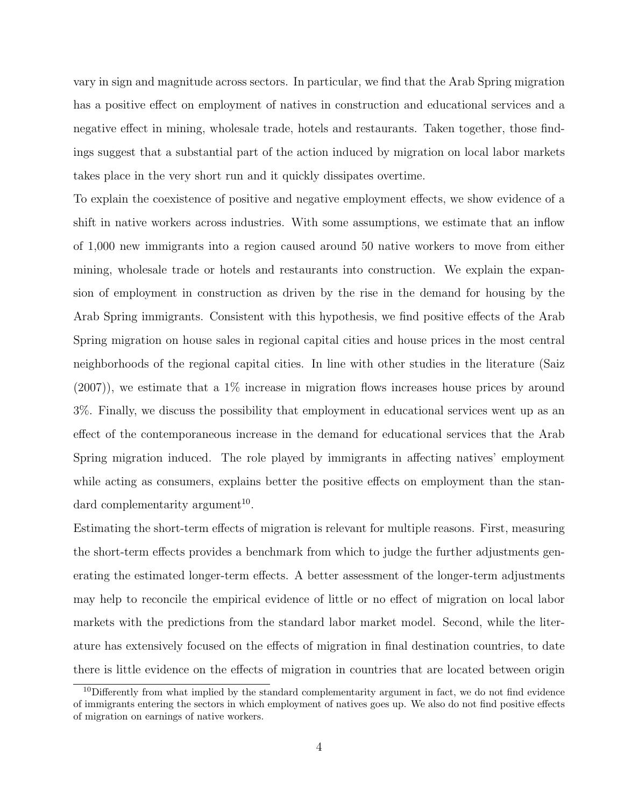vary in sign and magnitude across sectors. In particular, we find that the Arab Spring migration has a positive effect on employment of natives in construction and educational services and a negative effect in mining, wholesale trade, hotels and restaurants. Taken together, those findings suggest that a substantial part of the action induced by migration on local labor markets takes place in the very short run and it quickly dissipates overtime.

To explain the coexistence of positive and negative employment effects, we show evidence of a shift in native workers across industries. With some assumptions, we estimate that an inflow of 1,000 new immigrants into a region caused around 50 native workers to move from either mining, wholesale trade or hotels and restaurants into construction. We explain the expansion of employment in construction as driven by the rise in the demand for housing by the Arab Spring immigrants. Consistent with this hypothesis, we find positive effects of the Arab Spring migration on house sales in regional capital cities and house prices in the most central neighborhoods of the regional capital cities. In line with other studies in the literature [\(Saiz](#page-33-4)  $(2007)$ , we estimate that a 1% increase in migration flows increases house prices by around 3%. Finally, we discuss the possibility that employment in educational services went up as an effect of the contemporaneous increase in the demand for educational services that the Arab Spring migration induced. The role played by immigrants in affecting natives' employment while acting as consumers, explains better the positive effects on employment than the stan-dard complementarity argument<sup>[10](#page-3-0)</sup>.

Estimating the short-term effects of migration is relevant for multiple reasons. First, measuring the short-term effects provides a benchmark from which to judge the further adjustments generating the estimated longer-term effects. A better assessment of the longer-term adjustments may help to reconcile the empirical evidence of little or no effect of migration on local labor markets with the predictions from the standard labor market model. Second, while the literature has extensively focused on the effects of migration in final destination countries, to date there is little evidence on the effects of migration in countries that are located between origin

<span id="page-3-0"></span> $10$ Differently from what implied by the standard complementarity argument in fact, we do not find evidence of immigrants entering the sectors in which employment of natives goes up. We also do not find positive effects of migration on earnings of native workers.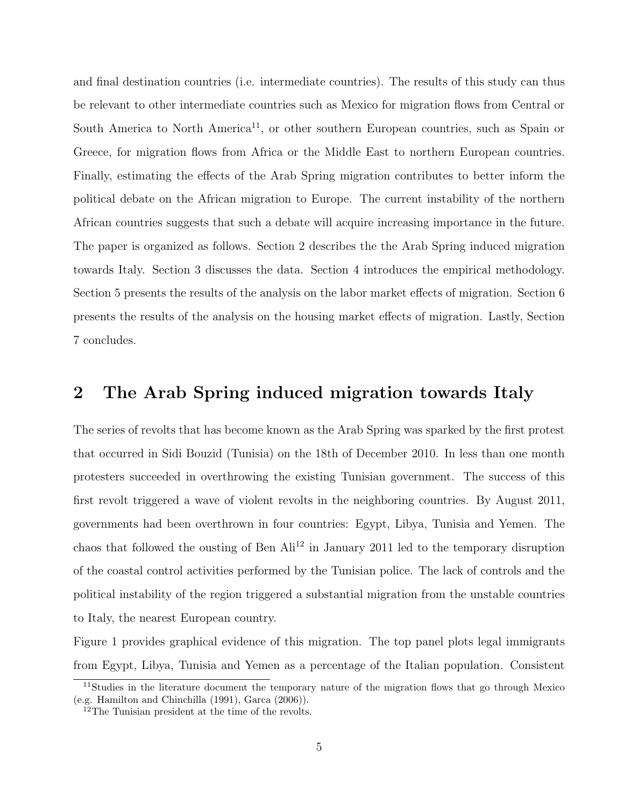and final destination countries (i.e. intermediate countries). The results of this study can thus be relevant to other intermediate countries such as Mexico for migration flows from Central or South America to North America<sup>[11](#page-4-0)</sup>, or other southern European countries, such as Spain or Greece, for migration flows from Africa or the Middle East to northern European countries. Finally, estimating the effects of the Arab Spring migration contributes to better inform the political debate on the African migration to Europe. The current instability of the northern African countries suggests that such a debate will acquire increasing importance in the future. The paper is organized as follows. Section [2](#page-4-1) describes the the Arab Spring induced migration towards Italy. Section [3](#page-9-0) discusses the data. Section [4](#page-11-0) introduces the empirical methodology. Section [5](#page-15-0) presents the results of the analysis on the labor market effects of migration. Section [6](#page-25-0) presents the results of the analysis on the housing market effects of migration. Lastly, Section [7](#page-28-0) concludes.

#### <span id="page-4-1"></span>2 The Arab Spring induced migration towards Italy

The series of revolts that has become known as the Arab Spring was sparked by the first protest that occurred in Sidi Bouzid (Tunisia) on the 18th of December 2010. In less than one month protesters succeeded in overthrowing the existing Tunisian government. The success of this first revolt triggered a wave of violent revolts in the neighboring countries. By August 2011, governments had been overthrown in four countries: Egypt, Libya, Tunisia and Yemen. The chaos that followed the ousting of Ben  $\text{Ali}^{12}$  $\text{Ali}^{12}$  $\text{Ali}^{12}$  in January 2011 led to the temporary disruption of the coastal control activities performed by the Tunisian police. The lack of controls and the political instability of the region triggered a substantial migration from the unstable countries to Italy, the nearest European country.

Figure [1](#page-35-0) provides graphical evidence of this migration. The top panel plots legal immigrants from Egypt, Libya, Tunisia and Yemen as a percentage of the Italian population. Consistent

<span id="page-4-0"></span><sup>&</sup>lt;sup>11</sup>Studies in the literature document the temporary nature of the migration flows that go through Mexico (e.g. [Hamilton and Chinchilla](#page-32-4) [\(1991\)](#page-32-4), [Garca](#page-32-5) [\(2006\)](#page-32-5)).

<span id="page-4-2"></span> $12$ The Tunisian president at the time of the revolts.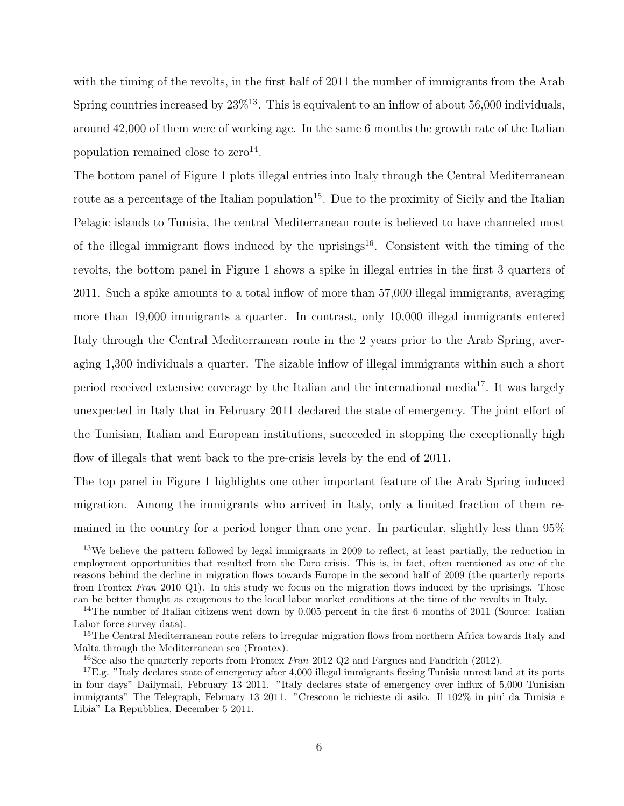with the timing of the revolts, in the first half of 2011 the number of immigrants from the Arab Spring countries increased by  $23\%^{13}$  $23\%^{13}$  $23\%^{13}$ . This is equivalent to an inflow of about 56,000 individuals, around 42,000 of them were of working age. In the same 6 months the growth rate of the Italian population remained close to  $zero^{14}$  $zero^{14}$  $zero^{14}$ .

The bottom panel of Figure [1](#page-35-0) plots illegal entries into Italy through the Central Mediterranean route as a percentage of the Italian population<sup>[15](#page-5-2)</sup>. Due to the proximity of Sicily and the Italian Pelagic islands to Tunisia, the central Mediterranean route is believed to have channeled most of the illegal immigrant flows induced by the uprisings<sup>[16](#page-5-3)</sup>. Consistent with the timing of the revolts, the bottom panel in Figure [1](#page-35-0) shows a spike in illegal entries in the first 3 quarters of 2011. Such a spike amounts to a total inflow of more than 57,000 illegal immigrants, averaging more than 19,000 immigrants a quarter. In contrast, only 10,000 illegal immigrants entered Italy through the Central Mediterranean route in the 2 years prior to the Arab Spring, averaging 1,300 individuals a quarter. The sizable inflow of illegal immigrants within such a short period received extensive coverage by the Italian and the international media[17](#page-5-4). It was largely unexpected in Italy that in February 2011 declared the state of emergency. The joint effort of the Tunisian, Italian and European institutions, succeeded in stopping the exceptionally high flow of illegals that went back to the pre-crisis levels by the end of 2011.

The top panel in Figure [1](#page-35-0) highlights one other important feature of the Arab Spring induced migration. Among the immigrants who arrived in Italy, only a limited fraction of them remained in the country for a period longer than one year. In particular, slightly less than 95%

<span id="page-5-0"></span><sup>&</sup>lt;sup>13</sup>We believe the pattern followed by legal immigrants in 2009 to reflect, at least partially, the reduction in employment opportunities that resulted from the Euro crisis. This is, in fact, often mentioned as one of the reasons behind the decline in migration flows towards Europe in the second half of 2009 (the quarterly reports from Frontex Fran 2010 Q1). In this study we focus on the migration flows induced by the uprisings. Those can be better thought as exogenous to the local labor market conditions at the time of the revolts in Italy.

<span id="page-5-1"></span><sup>&</sup>lt;sup>14</sup>The number of Italian citizens went down by 0.005 percent in the first 6 months of 2011 (Source: Italian Labor force survey data).

<span id="page-5-2"></span><sup>&</sup>lt;sup>15</sup>The Central Mediterranean route refers to irregular migration flows from northern Africa towards Italy and Malta through the Mediterranean sea (Frontex).

<span id="page-5-4"></span><span id="page-5-3"></span><sup>&</sup>lt;sup>16</sup>See also the quarterly reports from Frontex Fran 2012 Q2 and [Fargues and Fandrich](#page-32-6) [\(2012\)](#page-32-6).

 $^{17}E.g.$  "Italy declares state of emergency after 4,000 illegal immigrants fleeing Tunisia unrest land at its ports in four days" Dailymail, February 13 2011. "Italy declares state of emergency over influx of 5,000 Tunisian immigrants" The Telegraph, February 13 2011. "Crescono le richieste di asilo. Il 102% in piu' da Tunisia e Libia" La Repubblica, December 5 2011.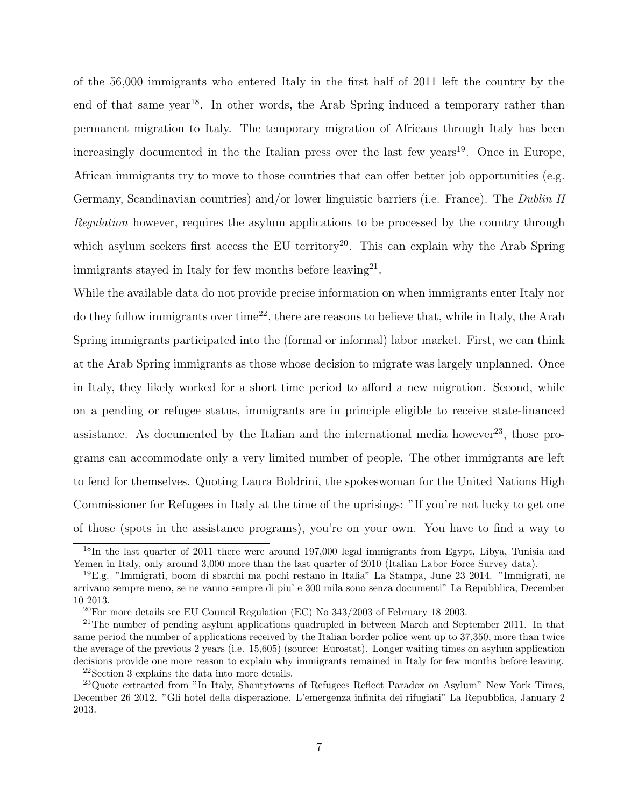of the 56,000 immigrants who entered Italy in the first half of 2011 left the country by the end of that same year<sup>[18](#page-6-0)</sup>. In other words, the Arab Spring induced a temporary rather than permanent migration to Italy. The temporary migration of Africans through Italy has been increasingly documented in the the Italian press over the last few years<sup>[19](#page-6-1)</sup>. Once in Europe, African immigrants try to move to those countries that can offer better job opportunities (e.g. Germany, Scandinavian countries) and/or lower linguistic barriers (i.e. France). The Dublin II Regulation however, requires the asylum applications to be processed by the country through which asylum seekers first access the EU territory<sup>[20](#page-6-2)</sup>. This can explain why the Arab Spring immigrants stayed in Italy for few months before leaving<sup>[21](#page-6-3)</sup>.

While the available data do not provide precise information on when immigrants enter Italy nor do they follow immigrants over time[22](#page-6-4), there are reasons to believe that, while in Italy, the Arab Spring immigrants participated into the (formal or informal) labor market. First, we can think at the Arab Spring immigrants as those whose decision to migrate was largely unplanned. Once in Italy, they likely worked for a short time period to afford a new migration. Second, while on a pending or refugee status, immigrants are in principle eligible to receive state-financed assistance. As documented by the Italian and the international media however<sup>[23](#page-6-5)</sup>, those programs can accommodate only a very limited number of people. The other immigrants are left to fend for themselves. Quoting Laura Boldrini, the spokeswoman for the United Nations High Commissioner for Refugees in Italy at the time of the uprisings: "If you're not lucky to get one of those (spots in the assistance programs), you're on your own. You have to find a way to

<span id="page-6-0"></span><sup>&</sup>lt;sup>18</sup>In the last quarter of 2011 there were around 197,000 legal immigrants from Egypt, Libya, Tunisia and Yemen in Italy, only around 3,000 more than the last quarter of 2010 (Italian Labor Force Survey data).

<span id="page-6-1"></span><sup>19</sup>E.g. "Immigrati, boom di sbarchi ma pochi restano in Italia" La Stampa, June 23 2014. "Immigrati, ne arrivano sempre meno, se ne vanno sempre di piu' e 300 mila sono senza documenti" La Repubblica, December 10 2013.

<span id="page-6-3"></span><span id="page-6-2"></span> $^{20}\rm{For}$  more details see EU Council Regulation (EC) No 343/2003 of February 18 2003.

<sup>&</sup>lt;sup>21</sup>The number of pending asylum applications quadrupled in between March and September 2011. In that same period the number of applications received by the Italian border police went up to 37,350, more than twice the average of the previous 2 years (i.e. 15,605) (source: Eurostat). Longer waiting times on asylum application decisions provide one more reason to explain why immigrants remained in Italy for few months before leaving.

<span id="page-6-5"></span><span id="page-6-4"></span><sup>22</sup>Section [3](#page-9-0) explains the data into more details.

<sup>&</sup>lt;sup>23</sup>Quote extracted from "In Italy, Shantytowns of Refugees Reflect Paradox on Asylum" New York Times, December 26 2012. "Gli hotel della disperazione. L'emergenza infinita dei rifugiati" La Repubblica, January 2 2013.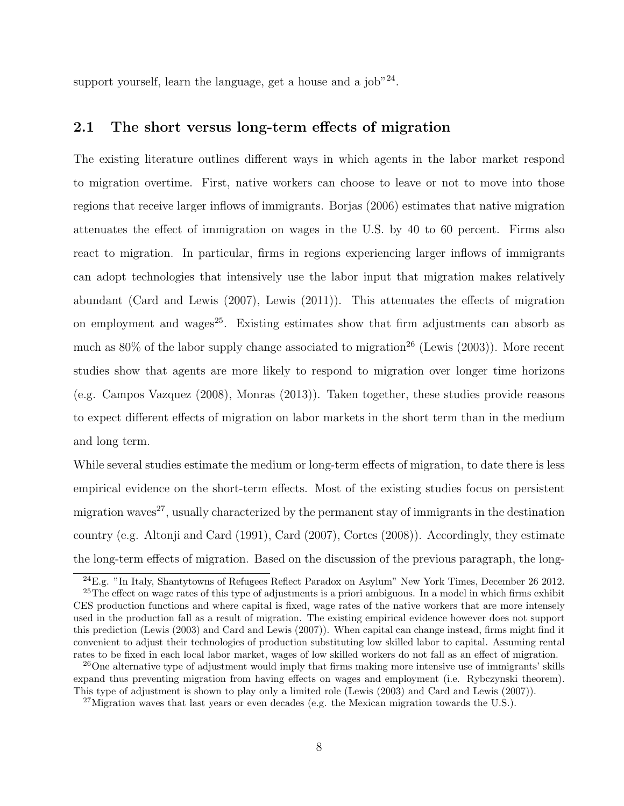support yourself, learn the language, get a house and a job"<sup>[24](#page-7-0)</sup>.

#### <span id="page-7-4"></span>2.1 The short versus long-term effects of migration

The existing literature outlines different ways in which agents in the labor market respond to migration overtime. First, native workers can choose to leave or not to move into those regions that receive larger inflows of immigrants. [Borjas](#page-30-2) [\(2006\)](#page-30-2) estimates that native migration attenuates the effect of immigration on wages in the U.S. by 40 to 60 percent. Firms also react to migration. In particular, firms in regions experiencing larger inflows of immigrants can adopt technologies that intensively use the labor input that migration makes relatively abundant [\(Card and Lewis](#page-31-2) [\(2007\)](#page-31-2), [Lewis](#page-33-2) [\(2011\)](#page-33-2)). This attenuates the effects of migration on employment and wages<sup>[25](#page-7-1)</sup>. Existing estimates show that firm adjustments can absorb as much as  $80\%$  of the labor supply change associated to migration<sup>[26](#page-7-2)</sup> [\(Lewis](#page-33-1) [\(2003\)](#page-33-1)). More recent studies show that agents are more likely to respond to migration over longer time horizons (e.g. [Campos Vazquez](#page-31-6) [\(2008\)](#page-31-6), [Monras](#page-33-3) [\(2013\)](#page-33-3)). Taken together, these studies provide reasons to expect different effects of migration on labor markets in the short term than in the medium and long term.

While several studies estimate the medium or long-term effects of migration, to date there is less empirical evidence on the short-term effects. Most of the existing studies focus on persistent migration waves<sup>[27](#page-7-3)</sup>, usually characterized by the permanent stay of immigrants in the destination country (e.g. [Altonji and Card](#page-30-0) [\(1991\)](#page-30-0), [Card](#page-31-3) [\(2007\)](#page-31-3), [Cortes](#page-31-4) [\(2008\)](#page-31-4)). Accordingly, they estimate the long-term effects of migration. Based on the discussion of the previous paragraph, the long-

<span id="page-7-1"></span><span id="page-7-0"></span><sup>24</sup>E.g. "In Italy, Shantytowns of Refugees Reflect Paradox on Asylum" New York Times, December 26 2012. <sup>25</sup>The effect on wage rates of this type of adjustments is a priori ambiguous. In a model in which firms exhibit CES production functions and where capital is fixed, wage rates of the native workers that are more intensely used in the production fall as a result of migration. The existing empirical evidence however does not support this prediction [\(Lewis](#page-33-1) [\(2003\)](#page-33-1) and [Card and Lewis](#page-31-2) [\(2007\)](#page-31-2)). When capital can change instead, firms might find it convenient to adjust their technologies of production substituting low skilled labor to capital. Assuming rental rates to be fixed in each local labor market, wages of low skilled workers do not fall as an effect of migration.

<span id="page-7-2"></span><sup>&</sup>lt;sup>26</sup>One alternative type of adjustment would imply that firms making more intensive use of immigrants' skills expand thus preventing migration from having effects on wages and employment (i.e. Rybczynski theorem). This type of adjustment is shown to play only a limited role [\(Lewis](#page-33-1) [\(2003\)](#page-33-1) and [Card and Lewis](#page-31-2) [\(2007\)](#page-31-2)).

<span id="page-7-3"></span><sup>&</sup>lt;sup>27</sup>Migration waves that last years or even decades (e.g. the Mexican migration towards the U.S.).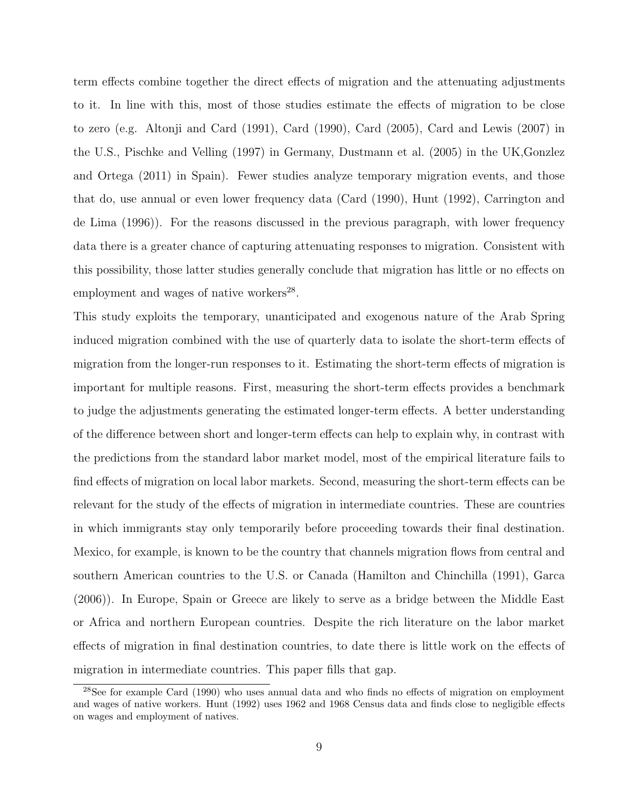term effects combine together the direct effects of migration and the attenuating adjustments to it. In line with this, most of those studies estimate the effects of migration to be close to zero (e.g. [Altonji and Card](#page-30-0) [\(1991\)](#page-30-0), [Card](#page-31-0) [\(1990\)](#page-31-0), [Card](#page-31-1) [\(2005\)](#page-31-1), [Card and Lewis](#page-31-2) [\(2007\)](#page-31-2) in the U.S., [Pischke and Velling](#page-33-0) [\(1997\)](#page-33-0) in Germany, [Dustmann et al.](#page-32-1) [\(2005\)](#page-32-1) in the UK[,Gonzlez](#page-32-2) [and Ortega](#page-32-2) [\(2011\)](#page-32-2) in Spain). Fewer studies analyze temporary migration events, and those that do, use annual or even lower frequency data [\(Card](#page-31-0) [\(1990\)](#page-31-0), [Hunt](#page-32-0) [\(1992\)](#page-32-0), [Carrington and](#page-31-5) [de Lima](#page-31-5) [\(1996\)](#page-31-5)). For the reasons discussed in the previous paragraph, with lower frequency data there is a greater chance of capturing attenuating responses to migration. Consistent with this possibility, those latter studies generally conclude that migration has little or no effects on employment and wages of native workers<sup>[28](#page-8-0)</sup>.

This study exploits the temporary, unanticipated and exogenous nature of the Arab Spring induced migration combined with the use of quarterly data to isolate the short-term effects of migration from the longer-run responses to it. Estimating the short-term effects of migration is important for multiple reasons. First, measuring the short-term effects provides a benchmark to judge the adjustments generating the estimated longer-term effects. A better understanding of the difference between short and longer-term effects can help to explain why, in contrast with the predictions from the standard labor market model, most of the empirical literature fails to find effects of migration on local labor markets. Second, measuring the short-term effects can be relevant for the study of the effects of migration in intermediate countries. These are countries in which immigrants stay only temporarily before proceeding towards their final destination. Mexico, for example, is known to be the country that channels migration flows from central and southern American countries to the U.S. or Canada [\(Hamilton and Chinchilla](#page-32-4) [\(1991\)](#page-32-4), [Garca](#page-32-5) [\(2006\)](#page-32-5)). In Europe, Spain or Greece are likely to serve as a bridge between the Middle East or Africa and northern European countries. Despite the rich literature on the labor market effects of migration in final destination countries, to date there is little work on the effects of migration in intermediate countries. This paper fills that gap.

<span id="page-8-0"></span><sup>&</sup>lt;sup>28</sup>See for example [Card](#page-31-0) [\(1990\)](#page-31-0) who uses annual data and who finds no effects of migration on employment and wages of native workers. [Hunt](#page-32-0) [\(1992\)](#page-32-0) uses 1962 and 1968 Census data and finds close to negligible effects on wages and employment of natives.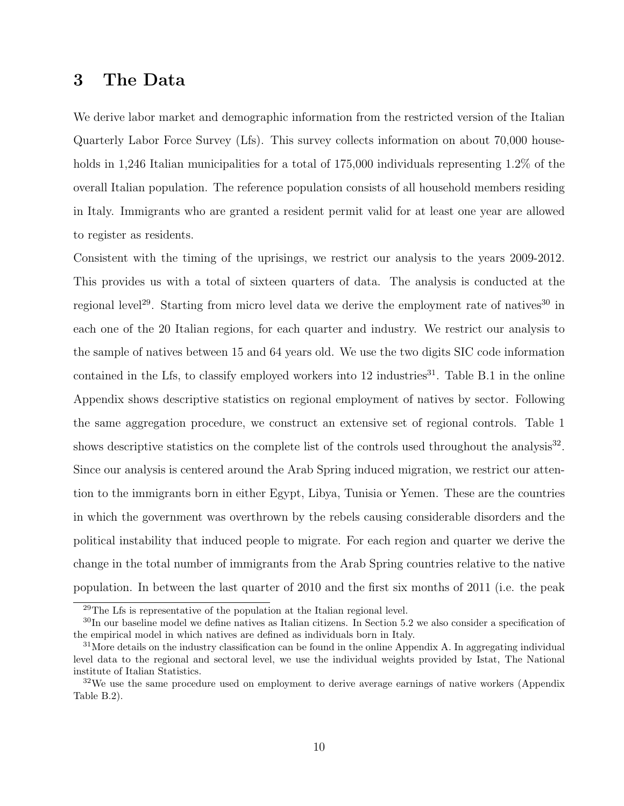### <span id="page-9-0"></span>3 The Data

We derive labor market and demographic information from the restricted version of the Italian Quarterly Labor Force Survey (Lfs). This survey collects information on about 70,000 households in 1,246 Italian municipalities for a total of 175,000 individuals representing 1.2% of the overall Italian population. The reference population consists of all household members residing in Italy. Immigrants who are granted a resident permit valid for at least one year are allowed to register as residents.

Consistent with the timing of the uprisings, we restrict our analysis to the years 2009-2012. This provides us with a total of sixteen quarters of data. The analysis is conducted at the regional level<sup>[29](#page-9-1)</sup>. Starting from micro level data we derive the employment rate of natives<sup>[30](#page-9-2)</sup> in each one of the 20 Italian regions, for each quarter and industry. We restrict our analysis to the sample of natives between 15 and 64 years old. We use the two digits SIC code information contained in the Lfs, to classify employed workers into  $12$  industries<sup>[31](#page-9-3)</sup>. Table [B.1](#page-0-0) in the online Appendix shows descriptive statistics on regional employment of natives by sector. Following the same aggregation procedure, we construct an extensive set of regional controls. Table [1](#page-37-0) shows descriptive statistics on the complete list of the controls used throughout the analysis $^{32}$  $^{32}$  $^{32}$ . Since our analysis is centered around the Arab Spring induced migration, we restrict our attention to the immigrants born in either Egypt, Libya, Tunisia or Yemen. These are the countries in which the government was overthrown by the rebels causing considerable disorders and the political instability that induced people to migrate. For each region and quarter we derive the change in the total number of immigrants from the Arab Spring countries relative to the native population. In between the last quarter of 2010 and the first six months of 2011 (i.e. the peak

<span id="page-9-2"></span><span id="page-9-1"></span> $29$ The Lfs is representative of the population at the Italian regional level.

<sup>&</sup>lt;sup>30</sup>In our baseline model we define natives as Italian citizens. In Section [5.2](#page-22-0) we also consider a specification of the empirical model in which natives are defined as individuals born in Italy.

<span id="page-9-3"></span><sup>&</sup>lt;sup>31</sup>More details on the industry classification can be found in the online Appendix [A.](#page-0-0) In aggregating individual level data to the regional and sectoral level, we use the individual weights provided by Istat, The National institute of Italian Statistics.

<span id="page-9-4"></span> $32\text{We}$  use the same procedure used on employment to derive average earnings of native workers (Appendix Table [B.2\)](#page-0-0).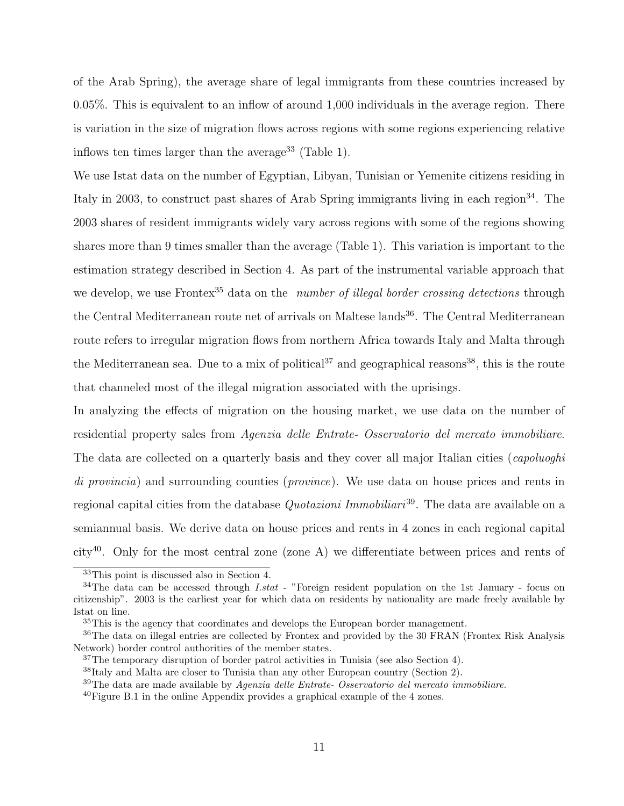of the Arab Spring), the average share of legal immigrants from these countries increased by 0.05%. This is equivalent to an inflow of around 1,000 individuals in the average region. There is variation in the size of migration flows across regions with some regions experiencing relative inflows ten times larger than the average<sup>[33](#page-10-0)</sup> (Table [1\)](#page-37-0).

We use Istat data on the number of Egyptian, Libyan, Tunisian or Yemenite citizens residing in Italy in 2003, to construct past shares of Arab Spring immigrants living in each region<sup>[34](#page-10-1)</sup>. The 2003 shares of resident immigrants widely vary across regions with some of the regions showing shares more than 9 times smaller than the average (Table [1\)](#page-37-0). This variation is important to the estimation strategy described in Section [4.](#page-11-0) As part of the instrumental variable approach that we develop, we use Frontex<sup>[35](#page-10-2)</sup> data on the *number of illegal border crossing detections* through the Central Mediterranean route net of arrivals on Maltese lands<sup>[36](#page-10-3)</sup>. The Central Mediterranean route refers to irregular migration flows from northern Africa towards Italy and Malta through the Mediterranean sea. Due to a mix of political<sup>[37](#page-10-4)</sup> and geographical reasons<sup>[38](#page-10-5)</sup>, this is the route that channeled most of the illegal migration associated with the uprisings.

In analyzing the effects of migration on the housing market, we use data on the number of residential property sales from Agenzia delle Entrate- Osservatorio del mercato immobiliare. The data are collected on a quarterly basis and they cover all major Italian cities (*capoluoghi* di provincia) and surrounding counties (province). We use data on house prices and rents in regional capital cities from the database *Quotazioni Immobiliari*<sup>[39](#page-10-6)</sup>. The data are available on a semiannual basis. We derive data on house prices and rents in 4 zones in each regional capital city<sup>[40](#page-10-7)</sup>. Only for the most central zone (zone A) we differentiate between prices and rents of

<span id="page-10-1"></span><span id="page-10-0"></span><sup>33</sup>This point is discussed also in Section [4.](#page-11-0)

 $34$ The data can be accessed through *I.stat* - "Foreign resident population on the 1st January - focus on citizenship". 2003 is the earliest year for which data on residents by nationality are made freely available by Istat on line.

<span id="page-10-3"></span><span id="page-10-2"></span><sup>&</sup>lt;sup>35</sup>This is the agency that coordinates and develops the European border management.

<sup>&</sup>lt;sup>36</sup>The data on illegal entries are collected by Frontex and provided by the 30 FRAN (Frontex Risk Analysis Network) border control authorities of the member states.

<span id="page-10-4"></span> $37$ The temporary disruption of border patrol activities in Tunisia (see also Section [4\)](#page-11-0).

<span id="page-10-5"></span> $38$ Italy and Malta are closer to Tunisia than any other European country (Section [2\)](#page-4-1).

<span id="page-10-6"></span> $39$ The data are made available by Agenzia delle Entrate- Osservatorio del mercato immobiliare.

<span id="page-10-7"></span><sup>40</sup>Figure [B.1](#page-0-0) in the online Appendix provides a graphical example of the 4 zones.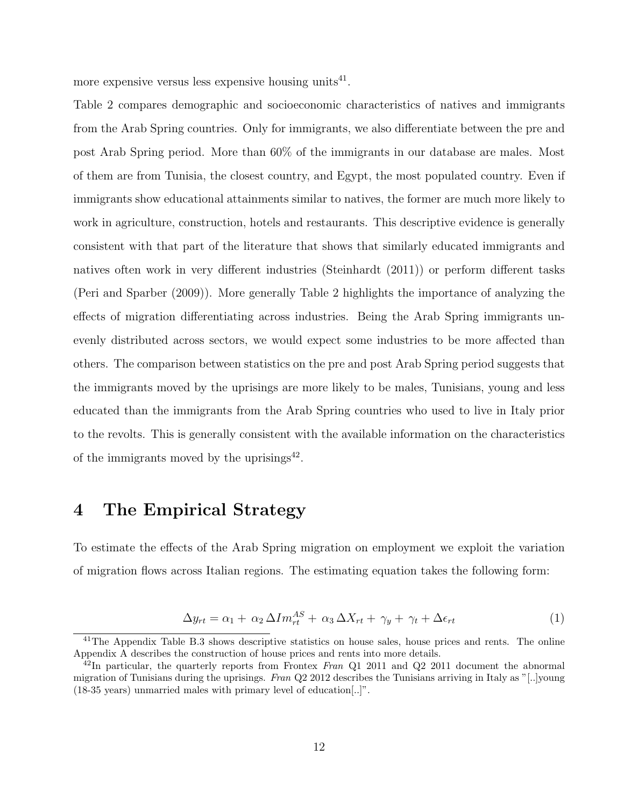more expensive versus less expensive housing units<sup>[41](#page-11-1)</sup>.

Table [2](#page-38-0) compares demographic and socioeconomic characteristics of natives and immigrants from the Arab Spring countries. Only for immigrants, we also differentiate between the pre and post Arab Spring period. More than 60% of the immigrants in our database are males. Most of them are from Tunisia, the closest country, and Egypt, the most populated country. Even if immigrants show educational attainments similar to natives, the former are much more likely to work in agriculture, construction, hotels and restaurants. This descriptive evidence is generally consistent with that part of the literature that shows that similarly educated immigrants and natives often work in very different industries [\(Steinhardt](#page-34-0) [\(2011\)](#page-34-0)) or perform different tasks [\(Peri and Sparber](#page-33-5) [\(2009\)](#page-33-5)). More generally Table [2](#page-38-0) highlights the importance of analyzing the effects of migration differentiating across industries. Being the Arab Spring immigrants unevenly distributed across sectors, we would expect some industries to be more affected than others. The comparison between statistics on the pre and post Arab Spring period suggests that the immigrants moved by the uprisings are more likely to be males, Tunisians, young and less educated than the immigrants from the Arab Spring countries who used to live in Italy prior to the revolts. This is generally consistent with the available information on the characteristics of the immigrants moved by the uprisings<sup>[42](#page-11-2)</sup>.

### <span id="page-11-0"></span>4 The Empirical Strategy

To estimate the effects of the Arab Spring migration on employment we exploit the variation of migration flows across Italian regions. The estimating equation takes the following form:

<span id="page-11-3"></span>
$$
\Delta y_{rt} = \alpha_1 + \alpha_2 \, \Delta I m_{rt}^{AS} + \alpha_3 \, \Delta X_{rt} + \gamma_y + \gamma_t + \Delta \epsilon_{rt} \tag{1}
$$

<span id="page-11-1"></span><sup>&</sup>lt;sup>41</sup>The Appendix Table [B.3](#page-0-0) shows descriptive statistics on house sales, house prices and rents. The online Appendix [A](#page-0-0) describes the construction of house prices and rents into more details.

<span id="page-11-2"></span> $^{42}$ In particular, the quarterly reports from Frontex Fran Q1 2011 and Q2 2011 document the abnormal migration of Tunisians during the uprisings. Fran Q2 2012 describes the Tunisians arriving in Italy as "[..]young (18-35 years) unmarried males with primary level of education[..]".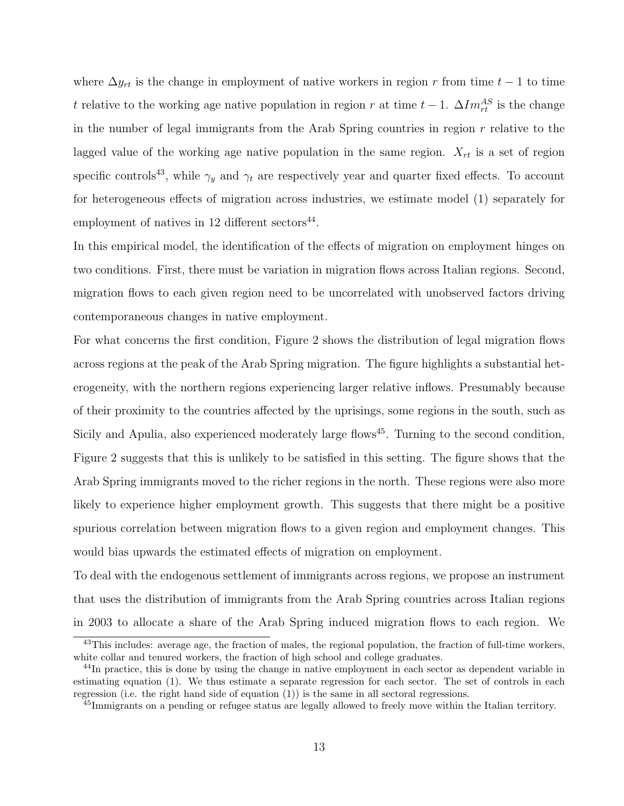where  $\Delta y_{rt}$  is the change in employment of native workers in region r from time  $t - 1$  to time t relative to the working age native population in region r at time  $t-1$ .  $\Delta Im_{rt}^{AS}$  is the change in the number of legal immigrants from the Arab Spring countries in region  $r$  relative to the lagged value of the working age native population in the same region.  $X_{rt}$  is a set of region specific controls<sup>[43](#page-12-0)</sup>, while  $\gamma_y$  and  $\gamma_t$  are respectively year and quarter fixed effects. To account for heterogeneous effects of migration across industries, we estimate model [\(1\)](#page-11-3) separately for employment of natives in 12 different sectors<sup>[44](#page-12-1)</sup>.

In this empirical model, the identification of the effects of migration on employment hinges on two conditions. First, there must be variation in migration flows across Italian regions. Second, migration flows to each given region need to be uncorrelated with unobserved factors driving contemporaneous changes in native employment.

For what concerns the first condition, Figure [2](#page-35-1) shows the distribution of legal migration flows across regions at the peak of the Arab Spring migration. The figure highlights a substantial heterogeneity, with the northern regions experiencing larger relative inflows. Presumably because of their proximity to the countries affected by the uprisings, some regions in the south, such as Sicily and Apulia, also experienced moderately large flows<sup>[45](#page-12-2)</sup>. Turning to the second condition, Figure [2](#page-35-1) suggests that this is unlikely to be satisfied in this setting. The figure shows that the Arab Spring immigrants moved to the richer regions in the north. These regions were also more likely to experience higher employment growth. This suggests that there might be a positive spurious correlation between migration flows to a given region and employment changes. This would bias upwards the estimated effects of migration on employment.

To deal with the endogenous settlement of immigrants across regions, we propose an instrument that uses the distribution of immigrants from the Arab Spring countries across Italian regions in 2003 to allocate a share of the Arab Spring induced migration flows to each region. We

<span id="page-12-0"></span><sup>&</sup>lt;sup>43</sup>This includes: average age, the fraction of males, the regional population, the fraction of full-time workers, white collar and tenured workers, the fraction of high school and college graduates.

<span id="page-12-1"></span><sup>44</sup>In practice, this is done by using the change in native employment in each sector as dependent variable in estimating equation [\(1\)](#page-11-3). We thus estimate a separate regression for each sector. The set of controls in each regression (i.e. the right hand side of equation [\(1\)](#page-11-3)) is the same in all sectoral regressions.

<span id="page-12-2"></span><sup>&</sup>lt;sup>45</sup>Immigrants on a pending or refugee status are legally allowed to freely move within the Italian territory.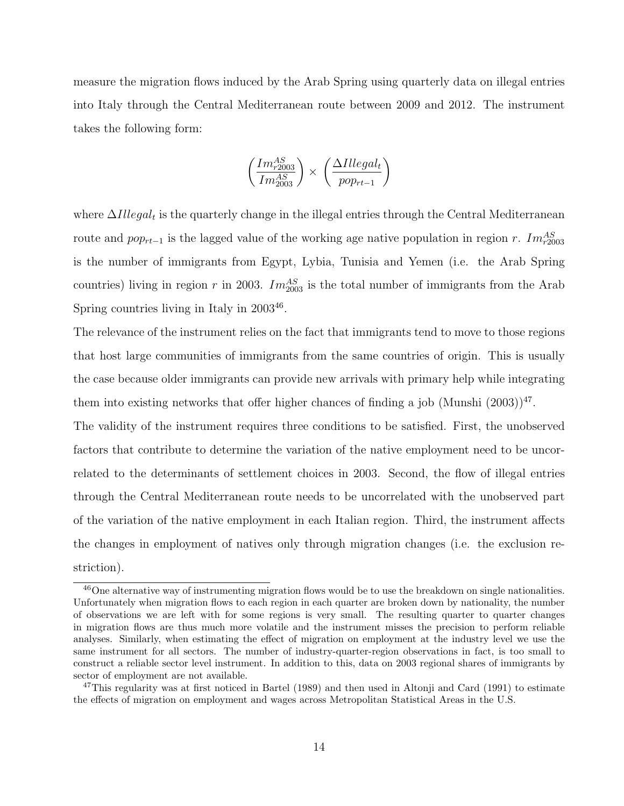measure the migration flows induced by the Arab Spring using quarterly data on illegal entries into Italy through the Central Mediterranean route between 2009 and 2012. The instrument takes the following form:

$$
\left(\frac{Im_{r2003}^{AS}}{Im_{2003}^{AS}}\right)\times\left(\frac{\Delta Illegal_t}{pop_{rt-1}}\right)
$$

where  $\Delta Illegal_t$  is the quarterly change in the illegal entries through the Central Mediterranean route and  $pop_{rt-1}$  is the lagged value of the working age native population in region r.  $Im_{r2003}^{AS}$ is the number of immigrants from Egypt, Lybia, Tunisia and Yemen (i.e. the Arab Spring countries) living in region r in 2003.  $Im_{2003}^{AS}$  is the total number of immigrants from the Arab Spring countries living in Italy in 2003<sup>[46](#page-13-0)</sup>.

The relevance of the instrument relies on the fact that immigrants tend to move to those regions that host large communities of immigrants from the same countries of origin. This is usually the case because older immigrants can provide new arrivals with primary help while integrating them into existing networks that offer higher chances of finding a job [\(Munshi](#page-33-6)  $(2003)$ <sup>[47](#page-13-1)</sup>.

The validity of the instrument requires three conditions to be satisfied. First, the unobserved factors that contribute to determine the variation of the native employment need to be uncorrelated to the determinants of settlement choices in 2003. Second, the flow of illegal entries through the Central Mediterranean route needs to be uncorrelated with the unobserved part of the variation of the native employment in each Italian region. Third, the instrument affects the changes in employment of natives only through migration changes (i.e. the exclusion restriction).

<span id="page-13-0"></span><sup>46</sup>One alternative way of instrumenting migration flows would be to use the breakdown on single nationalities. Unfortunately when migration flows to each region in each quarter are broken down by nationality, the number of observations we are left with for some regions is very small. The resulting quarter to quarter changes in migration flows are thus much more volatile and the instrument misses the precision to perform reliable analyses. Similarly, when estimating the effect of migration on employment at the industry level we use the same instrument for all sectors. The number of industry-quarter-region observations in fact, is too small to construct a reliable sector level instrument. In addition to this, data on 2003 regional shares of immigrants by sector of employment are not available.

<span id="page-13-1"></span><sup>&</sup>lt;sup>47</sup>This regularity was at first noticed in [Bartel](#page-30-3) [\(1989\)](#page-30-3) and then used in [Altonji and Card](#page-30-0) [\(1991\)](#page-30-0) to estimate the effects of migration on employment and wages across Metropolitan Statistical Areas in the U.S.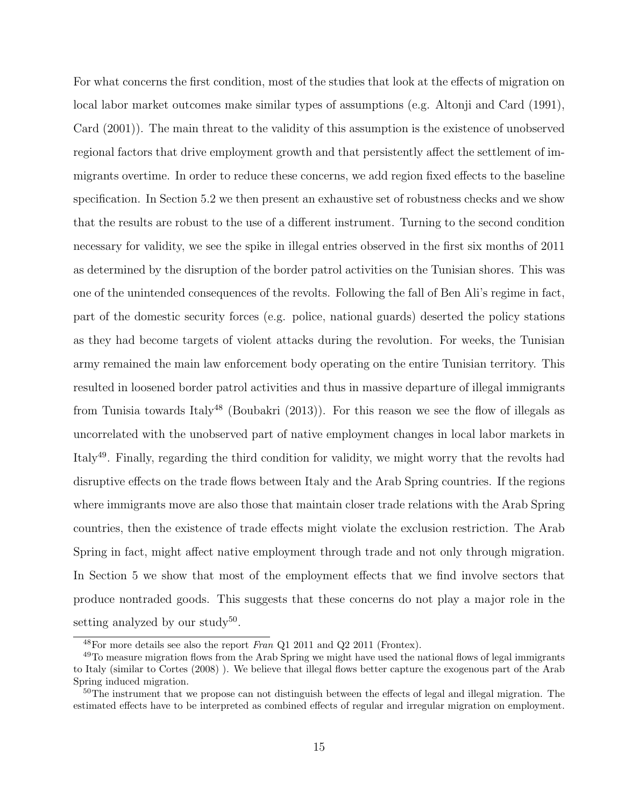For what concerns the first condition, most of the studies that look at the effects of migration on local labor market outcomes make similar types of assumptions (e.g. [Altonji and Card](#page-30-0) [\(1991\)](#page-30-0), [Card](#page-31-7) [\(2001\)](#page-31-7)). The main threat to the validity of this assumption is the existence of unobserved regional factors that drive employment growth and that persistently affect the settlement of immigrants overtime. In order to reduce these concerns, we add region fixed effects to the baseline specification. In Section [5.2](#page-22-0) we then present an exhaustive set of robustness checks and we show that the results are robust to the use of a different instrument. Turning to the second condition necessary for validity, we see the spike in illegal entries observed in the first six months of 2011 as determined by the disruption of the border patrol activities on the Tunisian shores. This was one of the unintended consequences of the revolts. Following the fall of Ben Ali's regime in fact, part of the domestic security forces (e.g. police, national guards) deserted the policy stations as they had become targets of violent attacks during the revolution. For weeks, the Tunisian army remained the main law enforcement body operating on the entire Tunisian territory. This resulted in loosened border patrol activities and thus in massive departure of illegal immigrants from Tunisia towards Italy<sup>[48](#page-14-0)</sup> [\(Boubakri](#page-30-4) [\(2013\)](#page-30-4)). For this reason we see the flow of illegals as uncorrelated with the unobserved part of native employment changes in local labor markets in Italy[49](#page-14-1). Finally, regarding the third condition for validity, we might worry that the revolts had disruptive effects on the trade flows between Italy and the Arab Spring countries. If the regions where immigrants move are also those that maintain closer trade relations with the Arab Spring countries, then the existence of trade effects might violate the exclusion restriction. The Arab Spring in fact, might affect native employment through trade and not only through migration. In Section [5](#page-15-0) we show that most of the employment effects that we find involve sectors that produce nontraded goods. This suggests that these concerns do not play a major role in the setting analyzed by our study<sup>[50](#page-14-2)</sup>.

<span id="page-14-1"></span><span id="page-14-0"></span> $^{48}$ For more details see also the report Fran Q1 2011 and Q2 2011 (Frontex).

<sup>&</sup>lt;sup>49</sup>To measure migration flows from the Arab Spring we might have used the national flows of legal immigrants to Italy (similar to [Cortes](#page-31-4) [\(2008\)](#page-31-4) ). We believe that illegal flows better capture the exogenous part of the Arab Spring induced migration.

<span id="page-14-2"></span><sup>50</sup>The instrument that we propose can not distinguish between the effects of legal and illegal migration. The estimated effects have to be interpreted as combined effects of regular and irregular migration on employment.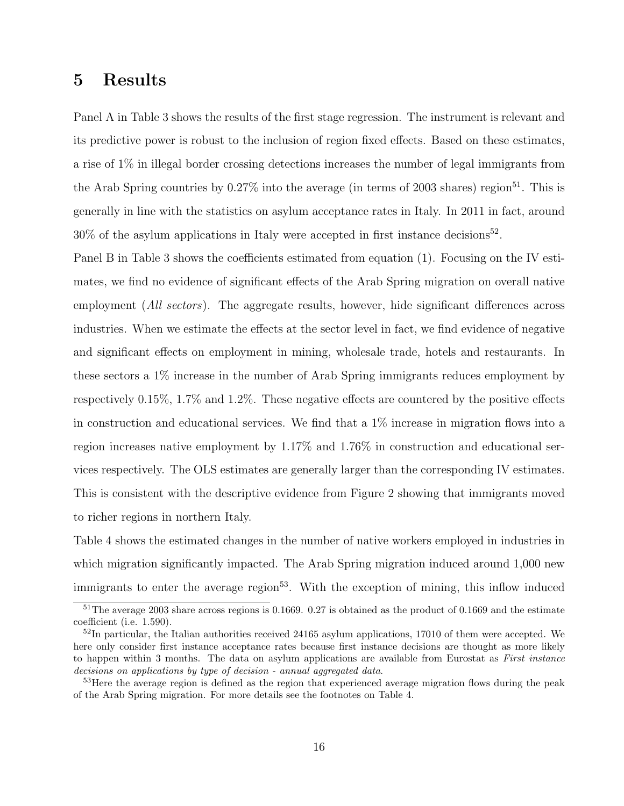### <span id="page-15-0"></span>5 Results

Panel A in Table [3](#page-39-0) shows the results of the first stage regression. The instrument is relevant and its predictive power is robust to the inclusion of region fixed effects. Based on these estimates, a rise of 1% in illegal border crossing detections increases the number of legal immigrants from the Arab Spring countries by  $0.27\%$  into the average (in terms of 2003 shares) region<sup>[51](#page-15-1)</sup>. This is generally in line with the statistics on asylum acceptance rates in Italy. In 2011 in fact, around  $30\%$  of the asylum applications in Italy were accepted in first instance decisions<sup>[52](#page-15-2)</sup>.

Panel B in Table [3](#page-39-0) shows the coefficients estimated from equation [\(1\)](#page-11-3). Focusing on the IV estimates, we find no evidence of significant effects of the Arab Spring migration on overall native employment *(All sectors)*. The aggregate results, however, hide significant differences across industries. When we estimate the effects at the sector level in fact, we find evidence of negative and significant effects on employment in mining, wholesale trade, hotels and restaurants. In these sectors a 1% increase in the number of Arab Spring immigrants reduces employment by respectively 0.15%, 1.7% and 1.2%. These negative effects are countered by the positive effects in construction and educational services. We find that a 1% increase in migration flows into a region increases native employment by 1.17% and 1.76% in construction and educational services respectively. The OLS estimates are generally larger than the corresponding IV estimates. This is consistent with the descriptive evidence from Figure [2](#page-35-1) showing that immigrants moved to richer regions in northern Italy.

Table [4](#page-40-0) shows the estimated changes in the number of native workers employed in industries in which migration significantly impacted. The Arab Spring migration induced around 1,000 new immigrants to enter the average region<sup>[53](#page-15-3)</sup>. With the exception of mining, this inflow induced

<span id="page-15-1"></span> $51$ The average 2003 share across regions is 0.1669. 0.27 is obtained as the product of 0.1669 and the estimate coefficient (i.e. 1.590).

<span id="page-15-2"></span><sup>&</sup>lt;sup>52</sup>In particular, the Italian authorities received 24165 asylum applications, 17010 of them were accepted. We here only consider first instance acceptance rates because first instance decisions are thought as more likely to happen within 3 months. The data on asylum applications are available from Eurostat as First instance decisions on applications by type of decision - annual aggregated data.

<span id="page-15-3"></span><sup>&</sup>lt;sup>53</sup>Here the average region is defined as the region that experienced average migration flows during the peak of the Arab Spring migration. For more details see the footnotes on Table [4.](#page-40-0)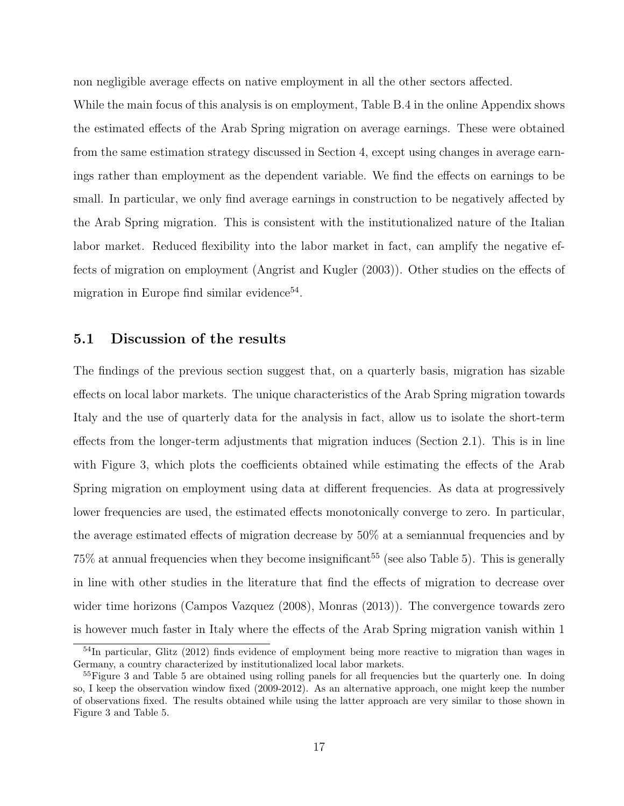non negligible average effects on native employment in all the other sectors affected.

While the main focus of this analysis is on employment, Table [B.4](#page-37-0) in the online Appendix shows the estimated effects of the Arab Spring migration on average earnings. These were obtained from the same estimation strategy discussed in Section [4,](#page-11-0) except using changes in average earnings rather than employment as the dependent variable. We find the effects on earnings to be small. In particular, we only find average earnings in construction to be negatively affected by the Arab Spring migration. This is consistent with the institutionalized nature of the Italian labor market. Reduced flexibility into the labor market in fact, can amplify the negative effects of migration on employment [\(Angrist and Kugler](#page-30-5) [\(2003\)](#page-30-5)). Other studies on the effects of migration in Europe find similar evidence<sup>[54](#page-16-0)</sup>.

#### <span id="page-16-2"></span>5.1 Discussion of the results

The findings of the previous section suggest that, on a quarterly basis, migration has sizable effects on local labor markets. The unique characteristics of the Arab Spring migration towards Italy and the use of quarterly data for the analysis in fact, allow us to isolate the short-term effects from the longer-term adjustments that migration induces (Section [2.1\)](#page-7-4). This is in line with Figure [3,](#page-36-0) which plots the coefficients obtained while estimating the effects of the Arab Spring migration on employment using data at different frequencies. As data at progressively lower frequencies are used, the estimated effects monotonically converge to zero. In particular, the average estimated effects of migration decrease by 50% at a semiannual frequencies and by  $75\%$  at annual frequencies when they become insignificant<sup>[55](#page-16-1)</sup> (see also Table [5\)](#page-41-0). This is generally in line with other studies in the literature that find the effects of migration to decrease over wider time horizons [\(Campos Vazquez](#page-31-6) [\(2008\)](#page-31-6), [Monras](#page-33-3) [\(2013\)](#page-33-3)). The convergence towards zero is however much faster in Italy where the effects of the Arab Spring migration vanish within 1

<span id="page-16-0"></span><sup>&</sup>lt;sup>54</sup>In particular, [Glitz](#page-32-3) [\(2012\)](#page-32-3) finds evidence of employment being more reactive to migration than wages in Germany, a country characterized by institutionalized local labor markets.

<span id="page-16-1"></span><sup>&</sup>lt;sup>55</sup>Figure [3](#page-36-0) and Table [5](#page-41-0) are obtained using rolling panels for all frequencies but the quarterly one. In doing so, I keep the observation window fixed (2009-2012). As an alternative approach, one might keep the number of observations fixed. The results obtained while using the latter approach are very similar to those shown in Figure [3](#page-36-0) and Table [5.](#page-41-0)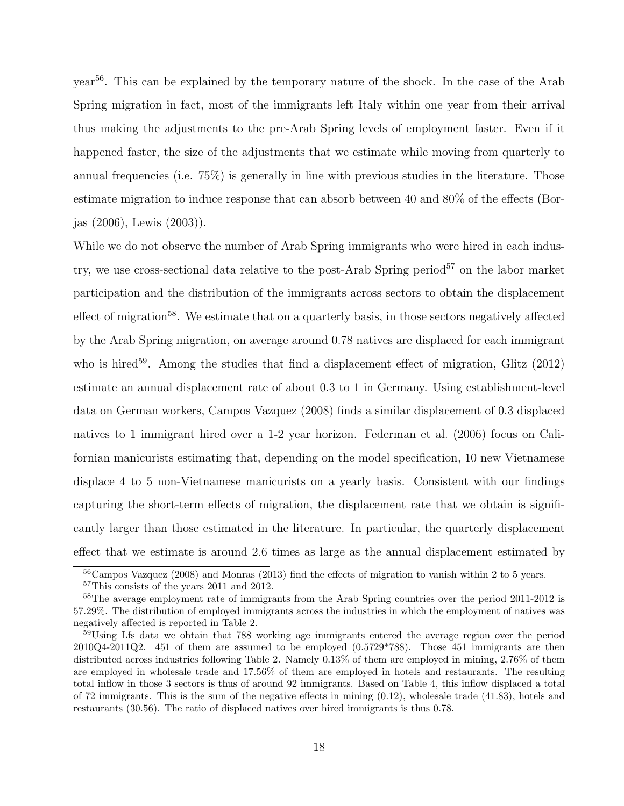year<sup>[56](#page-17-0)</sup>. This can be explained by the temporary nature of the shock. In the case of the Arab Spring migration in fact, most of the immigrants left Italy within one year from their arrival thus making the adjustments to the pre-Arab Spring levels of employment faster. Even if it happened faster, the size of the adjustments that we estimate while moving from quarterly to annual frequencies (i.e. 75%) is generally in line with previous studies in the literature. Those estimate migration to induce response that can absorb between 40 and 80% of the effects [\(Bor](#page-30-2)[jas](#page-30-2) [\(2006\)](#page-30-2), [Lewis](#page-33-1) [\(2003\)](#page-33-1)).

While we do not observe the number of Arab Spring immigrants who were hired in each indus-try, we use cross-sectional data relative to the post-Arab Spring period<sup>[57](#page-17-1)</sup> on the labor market participation and the distribution of the immigrants across sectors to obtain the displacement effect of migration<sup>[58](#page-17-2)</sup>. We estimate that on a quarterly basis, in those sectors negatively affected by the Arab Spring migration, on average around 0.78 natives are displaced for each immigrant who is hired<sup>[59](#page-17-3)</sup>. Among the studies that find a displacement effect of migration, [Glitz](#page-32-3)  $(2012)$ estimate an annual displacement rate of about 0.3 to 1 in Germany. Using establishment-level data on German workers, [Campos Vazquez](#page-31-6) [\(2008\)](#page-31-6) finds a similar displacement of 0.3 displaced natives to 1 immigrant hired over a 1-2 year horizon. [Federman et al.](#page-32-7) [\(2006\)](#page-32-7) focus on Californian manicurists estimating that, depending on the model specification, 10 new Vietnamese displace 4 to 5 non-Vietnamese manicurists on a yearly basis. Consistent with our findings capturing the short-term effects of migration, the displacement rate that we obtain is significantly larger than those estimated in the literature. In particular, the quarterly displacement effect that we estimate is around 2.6 times as large as the annual displacement estimated by

<span id="page-17-0"></span><sup>56</sup>[Campos Vazquez](#page-31-6) [\(2008\)](#page-31-6) and [Monras](#page-33-3) [\(2013\)](#page-33-3) find the effects of migration to vanish within 2 to 5 years.

<span id="page-17-2"></span><span id="page-17-1"></span><sup>&</sup>lt;sup>57</sup>This consists of the years 2011 and 2012.

<sup>&</sup>lt;sup>58</sup>The average employment rate of immigrants from the Arab Spring countries over the period 2011-2012 is 57.29%. The distribution of employed immigrants across the industries in which the employment of natives was negatively affected is reported in Table [2.](#page-38-0)

<span id="page-17-3"></span><sup>&</sup>lt;sup>59</sup>Using Lfs data we obtain that 788 working age immigrants entered the average region over the period 2010Q4-2011Q2. 451 of them are assumed to be employed (0.5729\*788). Those 451 immigrants are then distributed across industries following Table [2.](#page-38-0) Namely 0.13% of them are employed in mining, 2.76% of them are employed in wholesale trade and 17.56% of them are employed in hotels and restaurants. The resulting total inflow in those 3 sectors is thus of around 92 immigrants. Based on Table [4,](#page-40-0) this inflow displaced a total of 72 immigrants. This is the sum of the negative effects in mining (0.12), wholesale trade (41.83), hotels and restaurants (30.56). The ratio of displaced natives over hired immigrants is thus 0.78.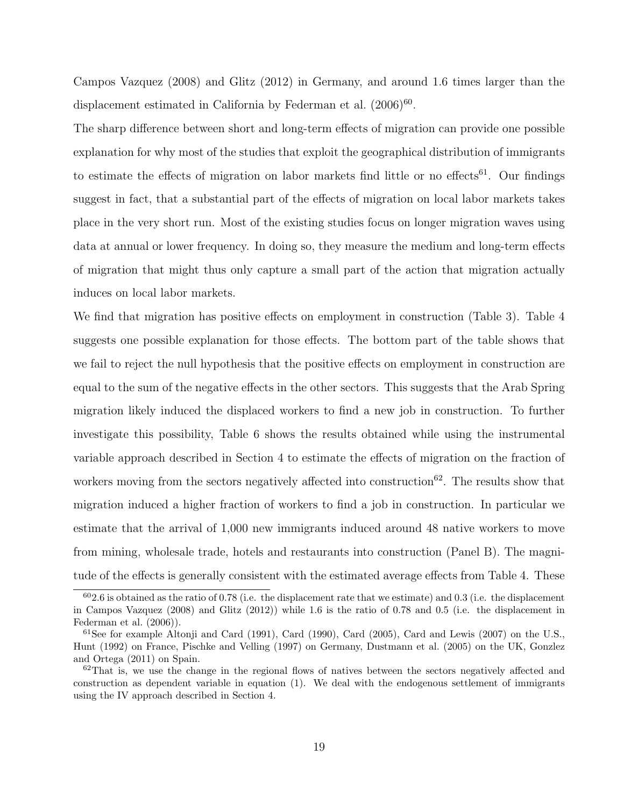[Campos Vazquez](#page-31-6) [\(2008\)](#page-31-6) and [Glitz](#page-32-3) [\(2012\)](#page-32-3) in Germany, and around 1.6 times larger than the displacement estimated in California by [Federman et al.](#page-32-7)  $(2006)^{60}$  $(2006)^{60}$  $(2006)^{60}$  $(2006)^{60}$ .

The sharp difference between short and long-term effects of migration can provide one possible explanation for why most of the studies that exploit the geographical distribution of immigrants to estimate the effects of migration on labor markets find little or no effects<sup>[61](#page-18-1)</sup>. Our findings suggest in fact, that a substantial part of the effects of migration on local labor markets takes place in the very short run. Most of the existing studies focus on longer migration waves using data at annual or lower frequency. In doing so, they measure the medium and long-term effects of migration that might thus only capture a small part of the action that migration actually induces on local labor markets.

We find that migration has positive effects on employment in construction (Table [3\)](#page-39-0). Table [4](#page-40-0) suggests one possible explanation for those effects. The bottom part of the table shows that we fail to reject the null hypothesis that the positive effects on employment in construction are equal to the sum of the negative effects in the other sectors. This suggests that the Arab Spring migration likely induced the displaced workers to find a new job in construction. To further investigate this possibility, Table [6](#page-42-0) shows the results obtained while using the instrumental variable approach described in Section [4](#page-11-0) to estimate the effects of migration on the fraction of workers moving from the sectors negatively affected into construction<sup>[62](#page-18-2)</sup>. The results show that migration induced a higher fraction of workers to find a job in construction. In particular we estimate that the arrival of 1,000 new immigrants induced around 48 native workers to move from mining, wholesale trade, hotels and restaurants into construction (Panel B). The magnitude of the effects is generally consistent with the estimated average effects from Table [4.](#page-40-0) These

<span id="page-18-0"></span> $602.6$  is obtained as the ratio of 0.78 (i.e. the displacement rate that we estimate) and 0.3 (i.e. the displacement in [Campos Vazquez](#page-31-6) [\(2008\)](#page-31-6) and [Glitz](#page-32-3) [\(2012\)](#page-32-3)) while 1.6 is the ratio of 0.78 and 0.5 (i.e. the displacement in [Federman et al.](#page-32-7) [\(2006\)](#page-32-7)).

<span id="page-18-1"></span><sup>61</sup>See for example [Altonji and Card](#page-30-0) [\(1991\)](#page-30-0), [Card](#page-31-0) [\(1990\)](#page-31-0), [Card](#page-31-1) [\(2005\)](#page-31-1), [Card and Lewis](#page-31-2) [\(2007\)](#page-31-2) on the U.S., [Hunt](#page-32-0) [\(1992\)](#page-32-0) on France, [Pischke and Velling](#page-33-0) [\(1997\)](#page-33-0) on Germany, [Dustmann et al.](#page-32-1) [\(2005\)](#page-32-1) on the UK, [Gonzlez](#page-32-2) [and Ortega](#page-32-2) [\(2011\)](#page-32-2) on Spain.

<span id="page-18-2"></span> $62$ That is, we use the change in the regional flows of natives between the sectors negatively affected and construction as dependent variable in equation [\(1\)](#page-11-3). We deal with the endogenous settlement of immigrants using the IV approach described in Section [4.](#page-11-0)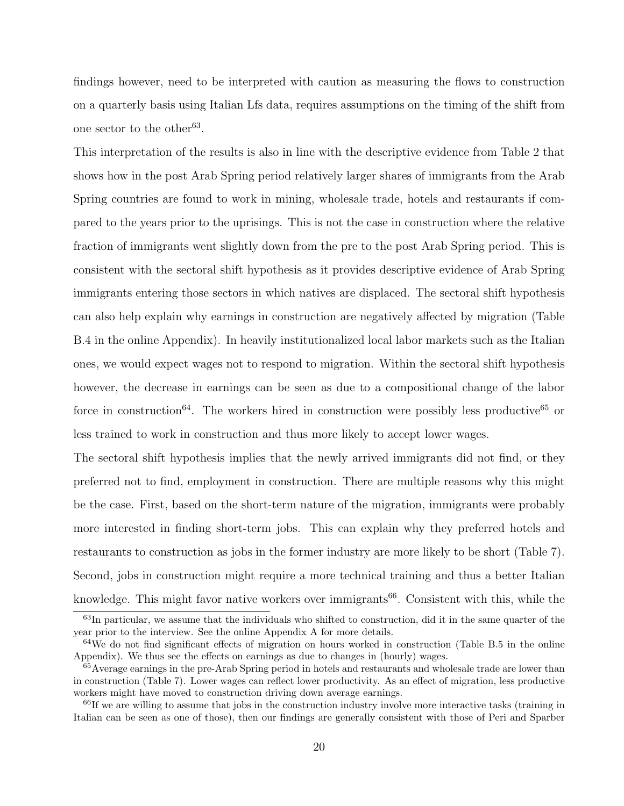findings however, need to be interpreted with caution as measuring the flows to construction on a quarterly basis using Italian Lfs data, requires assumptions on the timing of the shift from one sector to the other<sup>[63](#page-19-0)</sup>.

This interpretation of the results is also in line with the descriptive evidence from Table [2](#page-38-0) that shows how in the post Arab Spring period relatively larger shares of immigrants from the Arab Spring countries are found to work in mining, wholesale trade, hotels and restaurants if compared to the years prior to the uprisings. This is not the case in construction where the relative fraction of immigrants went slightly down from the pre to the post Arab Spring period. This is consistent with the sectoral shift hypothesis as it provides descriptive evidence of Arab Spring immigrants entering those sectors in which natives are displaced. The sectoral shift hypothesis can also help explain why earnings in construction are negatively affected by migration (Table [B.4](#page-37-0) in the online Appendix). In heavily institutionalized local labor markets such as the Italian ones, we would expect wages not to respond to migration. Within the sectoral shift hypothesis however, the decrease in earnings can be seen as due to a compositional change of the labor force in construction<sup>[64](#page-19-1)</sup>. The workers hired in construction were possibly less productive<sup>[65](#page-19-2)</sup> or less trained to work in construction and thus more likely to accept lower wages.

The sectoral shift hypothesis implies that the newly arrived immigrants did not find, or they preferred not to find, employment in construction. There are multiple reasons why this might be the case. First, based on the short-term nature of the migration, immigrants were probably more interested in finding short-term jobs. This can explain why they preferred hotels and restaurants to construction as jobs in the former industry are more likely to be short (Table [7\)](#page-43-0). Second, jobs in construction might require a more technical training and thus a better Italian knowledge. This might favor native workers over immigrants<sup>[66](#page-19-3)</sup>. Consistent with this, while the

<span id="page-19-0"></span><sup>63</sup>In particular, we assume that the individuals who shifted to construction, did it in the same quarter of the year prior to the interview. See the online Appendix [A](#page-0-0) for more details.

<span id="page-19-1"></span><sup>&</sup>lt;sup>64</sup>We do not find significant effects of migration on hours worked in construction (Table [B.5](#page-38-0) in the online Appendix). We thus see the effects on earnings as due to changes in (hourly) wages.

<span id="page-19-2"></span><sup>&</sup>lt;sup>65</sup>Average earnings in the pre-Arab Spring period in hotels and restaurants and wholesale trade are lower than in construction (Table [7\)](#page-43-0). Lower wages can reflect lower productivity. As an effect of migration, less productive workers might have moved to construction driving down average earnings.

<span id="page-19-3"></span> $66$ If we are willing to assume that jobs in the construction industry involve more interactive tasks (training in Italian can be seen as one of those), then our findings are generally consistent with those of [Peri and Sparber](#page-33-5)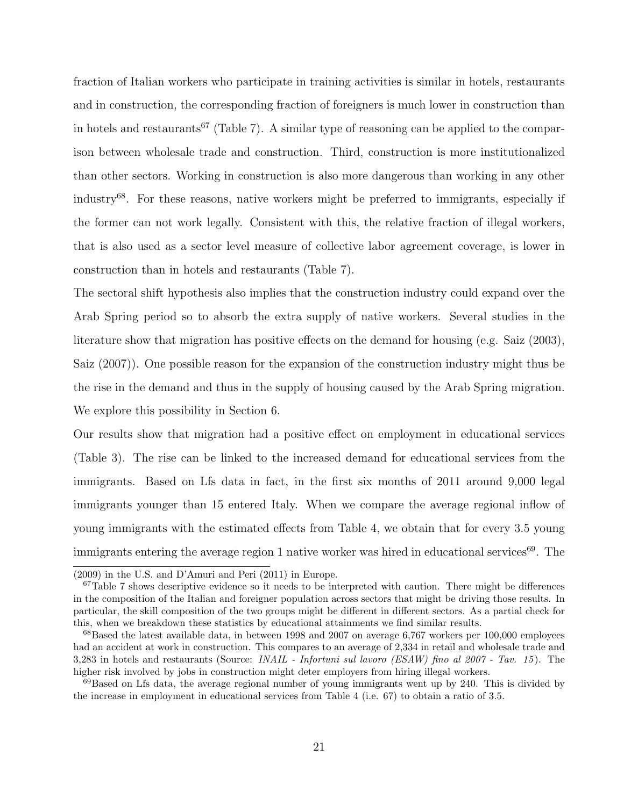fraction of Italian workers who participate in training activities is similar in hotels, restaurants and in construction, the corresponding fraction of foreigners is much lower in construction than in hotels and restaurants<sup>[67](#page-20-0)</sup> (Table [7\)](#page-43-0). A similar type of reasoning can be applied to the comparison between wholesale trade and construction. Third, construction is more institutionalized than other sectors. Working in construction is also more dangerous than working in any other industry[68](#page-20-1). For these reasons, native workers might be preferred to immigrants, especially if the former can not work legally. Consistent with this, the relative fraction of illegal workers, that is also used as a sector level measure of collective labor agreement coverage, is lower in construction than in hotels and restaurants (Table [7\)](#page-43-0).

The sectoral shift hypothesis also implies that the construction industry could expand over the Arab Spring period so to absorb the extra supply of native workers. Several studies in the literature show that migration has positive effects on the demand for housing (e.g. [Saiz](#page-33-7) [\(2003\)](#page-33-7), [Saiz](#page-33-4) [\(2007\)](#page-33-4)). One possible reason for the expansion of the construction industry might thus be the rise in the demand and thus in the supply of housing caused by the Arab Spring migration. We explore this possibility in Section [6.](#page-25-0)

Our results show that migration had a positive effect on employment in educational services (Table [3\)](#page-39-0). The rise can be linked to the increased demand for educational services from the immigrants. Based on Lfs data in fact, in the first six months of 2011 around 9,000 legal immigrants younger than 15 entered Italy. When we compare the average regional inflow of young immigrants with the estimated effects from Table [4,](#page-40-0) we obtain that for every 3.5 young immigrants entering the average region 1 native worker was hired in educational services<sup>[69](#page-20-2)</sup>. The

[<sup>\(2009\)</sup>](#page-33-5) in the U.S. and [D'Amuri and Peri](#page-31-8) [\(2011\)](#page-31-8) in Europe.

<span id="page-20-0"></span> $67$ Table [7](#page-43-0) shows descriptive evidence so it needs to be interpreted with caution. There might be differences in the composition of the Italian and foreigner population across sectors that might be driving those results. In particular, the skill composition of the two groups might be different in different sectors. As a partial check for this, when we breakdown these statistics by educational attainments we find similar results.

<span id="page-20-1"></span><sup>&</sup>lt;sup>68</sup>Based the latest available data, in between 1998 and 2007 on average 6,767 workers per 100,000 employees had an accident at work in construction. This compares to an average of 2,334 in retail and wholesale trade and 3,283 in hotels and restaurants (Source: INAIL - Infortuni sul lavoro (ESAW) fino al 2007 - Tav. 15 ). The higher risk involved by jobs in construction might deter employers from hiring illegal workers.

<span id="page-20-2"></span><sup>&</sup>lt;sup>69</sup>Based on Lfs data, the average regional number of young immigrants went up by 240. This is divided by the increase in employment in educational services from Table [4](#page-40-0) (i.e. 67) to obtain a ratio of 3.5.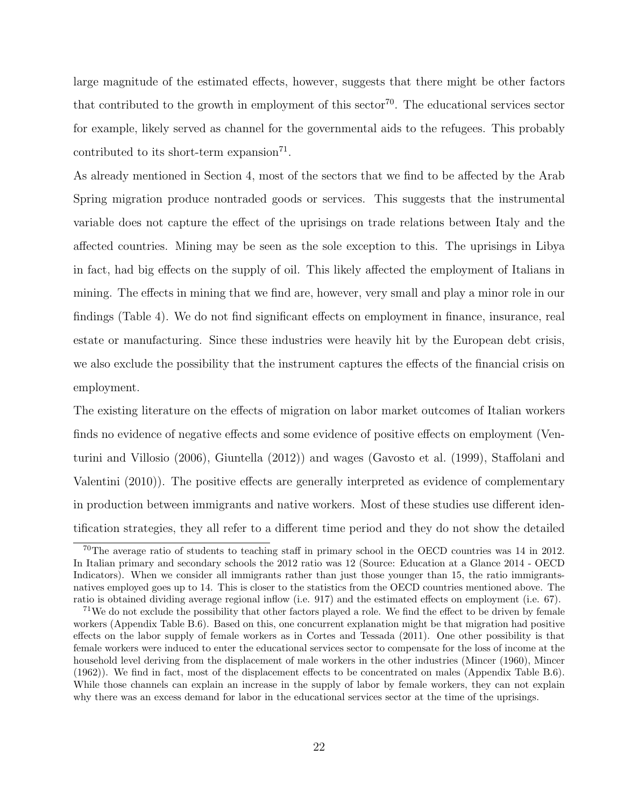large magnitude of the estimated effects, however, suggests that there might be other factors that contributed to the growth in employment of this sector<sup>[70](#page-21-0)</sup>. The educational services sector for example, likely served as channel for the governmental aids to the refugees. This probably contributed to its short-term expansion<sup>[71](#page-21-1)</sup>.

As already mentioned in Section [4,](#page-11-0) most of the sectors that we find to be affected by the Arab Spring migration produce nontraded goods or services. This suggests that the instrumental variable does not capture the effect of the uprisings on trade relations between Italy and the affected countries. Mining may be seen as the sole exception to this. The uprisings in Libya in fact, had big effects on the supply of oil. This likely affected the employment of Italians in mining. The effects in mining that we find are, however, very small and play a minor role in our findings (Table [4\)](#page-40-0). We do not find significant effects on employment in finance, insurance, real estate or manufacturing. Since these industries were heavily hit by the European debt crisis, we also exclude the possibility that the instrument captures the effects of the financial crisis on employment.

The existing literature on the effects of migration on labor market outcomes of Italian workers finds no evidence of negative effects and some evidence of positive effects on employment [\(Ven](#page-34-1)[turini and Villosio](#page-34-1) [\(2006\)](#page-34-1), [Giuntella](#page-32-8) [\(2012\)](#page-32-8)) and wages [\(Gavosto et al.](#page-32-9) [\(1999\)](#page-32-9), [Staffolani and](#page-33-8) [Valentini](#page-33-8) [\(2010\)](#page-33-8)). The positive effects are generally interpreted as evidence of complementary in production between immigrants and native workers. Most of these studies use different identification strategies, they all refer to a different time period and they do not show the detailed

<span id="page-21-0"></span><sup>70</sup>The average ratio of students to teaching staff in primary school in the OECD countries was 14 in 2012. In Italian primary and secondary schools the 2012 ratio was 12 (Source: Education at a Glance 2014 - OECD Indicators). When we consider all immigrants rather than just those younger than 15, the ratio immigrantsnatives employed goes up to 14. This is closer to the statistics from the OECD countries mentioned above. The ratio is obtained dividing average regional inflow (i.e. 917) and the estimated effects on employment (i.e. 67).

<span id="page-21-1"></span> $71$ We do not exclude the possibility that other factors played a role. We find the effect to be driven by female workers (Appendix Table [B.6\)](#page-39-0). Based on this, one concurrent explanation might be that migration had positive effects on the labor supply of female workers as in [Cortes and Tessada](#page-31-9) [\(2011\)](#page-31-9). One other possibility is that female workers were induced to enter the educational services sector to compensate for the loss of income at the household level deriving from the displacement of male workers in the other industries [\(Mincer](#page-33-9) [\(1960\)](#page-33-9), [Mincer](#page-33-10) [\(1962\)](#page-33-10)). We find in fact, most of the displacement effects to be concentrated on males (Appendix Table [B.6\)](#page-39-0). While those channels can explain an increase in the supply of labor by female workers, they can not explain why there was an excess demand for labor in the educational services sector at the time of the uprisings.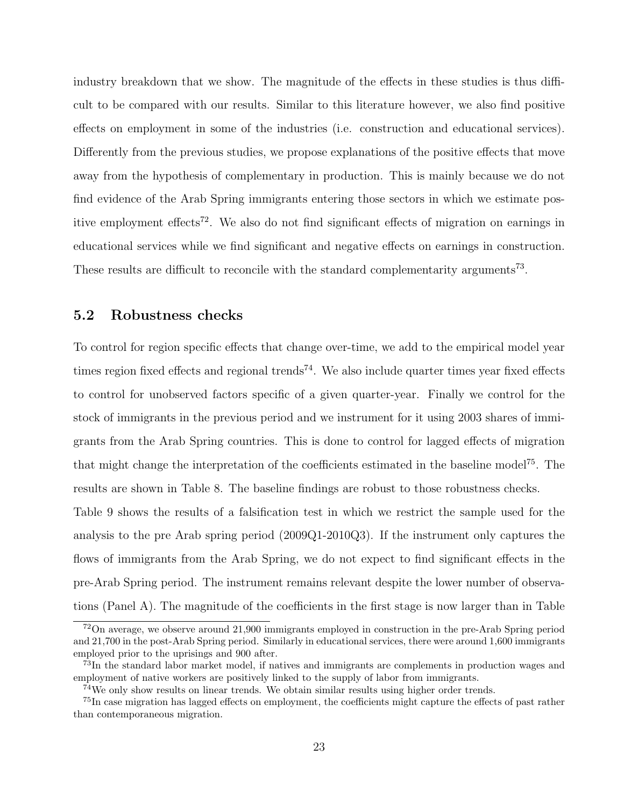industry breakdown that we show. The magnitude of the effects in these studies is thus difficult to be compared with our results. Similar to this literature however, we also find positive effects on employment in some of the industries (i.e. construction and educational services). Differently from the previous studies, we propose explanations of the positive effects that move away from the hypothesis of complementary in production. This is mainly because we do not find evidence of the Arab Spring immigrants entering those sectors in which we estimate pos-itive employment effects<sup>[72](#page-22-1)</sup>. We also do not find significant effects of migration on earnings in educational services while we find significant and negative effects on earnings in construction. These results are difficult to reconcile with the standard complementarity arguments<sup>[73](#page-22-2)</sup>.

#### <span id="page-22-0"></span>5.2 Robustness checks

To control for region specific effects that change over-time, we add to the empirical model year times region fixed effects and regional trends<sup> $74$ </sup>. We also include quarter times year fixed effects to control for unobserved factors specific of a given quarter-year. Finally we control for the stock of immigrants in the previous period and we instrument for it using 2003 shares of immigrants from the Arab Spring countries. This is done to control for lagged effects of migration that might change the interpretation of the coefficients estimated in the baseline model<sup>[75](#page-22-4)</sup>. The results are shown in Table [8.](#page-44-0) The baseline findings are robust to those robustness checks.

Table [9](#page-45-0) shows the results of a falsification test in which we restrict the sample used for the analysis to the pre Arab spring period (2009Q1-2010Q3). If the instrument only captures the flows of immigrants from the Arab Spring, we do not expect to find significant effects in the pre-Arab Spring period. The instrument remains relevant despite the lower number of observations (Panel A). The magnitude of the coefficients in the first stage is now larger than in Table

<span id="page-22-1"></span><sup>72</sup>On average, we observe around 21,900 immigrants employed in construction in the pre-Arab Spring period and 21,700 in the post-Arab Spring period. Similarly in educational services, there were around 1,600 immigrants employed prior to the uprisings and 900 after.

<span id="page-22-2"></span><sup>&</sup>lt;sup>73</sup>In the standard labor market model, if natives and immigrants are complements in production wages and employment of native workers are positively linked to the supply of labor from immigrants.

<span id="page-22-4"></span><span id="page-22-3"></span><sup>74</sup>We only show results on linear trends. We obtain similar results using higher order trends.

<sup>75</sup>In case migration has lagged effects on employment, the coefficients might capture the effects of past rather than contemporaneous migration.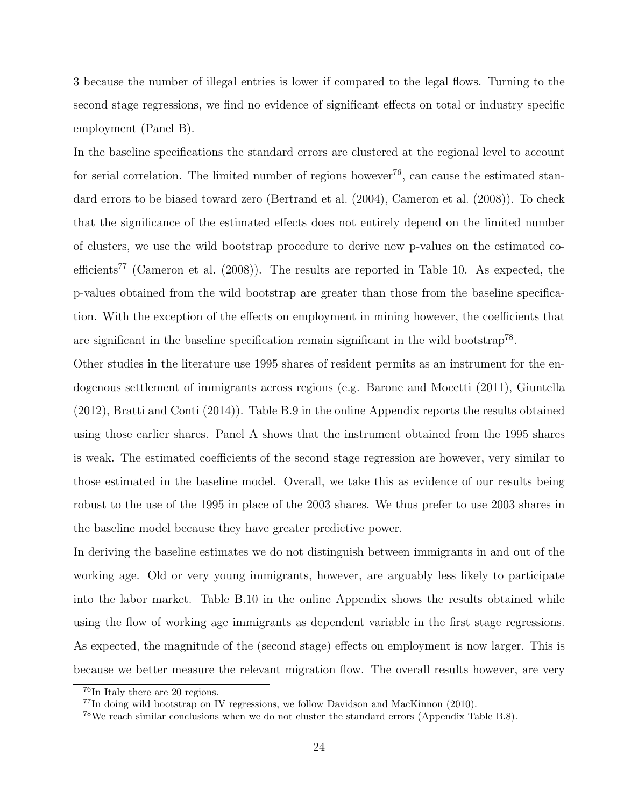[3](#page-39-0) because the number of illegal entries is lower if compared to the legal flows. Turning to the second stage regressions, we find no evidence of significant effects on total or industry specific employment (Panel B).

In the baseline specifications the standard errors are clustered at the regional level to account for serial correlation. The limited number of regions however<sup>[76](#page-23-0)</sup>, can cause the estimated standard errors to be biased toward zero [\(Bertrand et al.](#page-30-6) [\(2004\)](#page-30-6), [Cameron et al.](#page-31-10) [\(2008\)](#page-31-10)). To check that the significance of the estimated effects does not entirely depend on the limited number of clusters, we use the wild bootstrap procedure to derive new p-values on the estimated co-efficients<sup>[77](#page-23-1)</sup> [\(Cameron et al.](#page-31-10)  $(2008)$ ). The results are reported in Table [10.](#page-46-0) As expected, the p-values obtained from the wild bootstrap are greater than those from the baseline specification. With the exception of the effects on employment in mining however, the coefficients that are significant in the baseline specification remain significant in the wild bootstrap<sup>[78](#page-23-2)</sup>.

Other studies in the literature use 1995 shares of resident permits as an instrument for the endogenous settlement of immigrants across regions (e.g. [Barone and Mocetti](#page-30-7) [\(2011\)](#page-30-7), [Giuntella](#page-32-8) [\(2012\)](#page-32-8), [Bratti and Conti](#page-30-8) [\(2014\)](#page-30-8)). Table [B.9](#page-42-0) in the online Appendix reports the results obtained using those earlier shares. Panel A shows that the instrument obtained from the 1995 shares is weak. The estimated coefficients of the second stage regression are however, very similar to those estimated in the baseline model. Overall, we take this as evidence of our results being robust to the use of the 1995 in place of the 2003 shares. We thus prefer to use 2003 shares in the baseline model because they have greater predictive power.

In deriving the baseline estimates we do not distinguish between immigrants in and out of the working age. Old or very young immigrants, however, are arguably less likely to participate into the labor market. Table [B.10](#page-43-0) in the online Appendix shows the results obtained while using the flow of working age immigrants as dependent variable in the first stage regressions. As expected, the magnitude of the (second stage) effects on employment is now larger. This is because we better measure the relevant migration flow. The overall results however, are very

<span id="page-23-0"></span><sup>76</sup>In Italy there are 20 regions.

<span id="page-23-1"></span><sup>77</sup>In doing wild bootstrap on IV regressions, we follow [Davidson and MacKinnon](#page-31-11) [\(2010\)](#page-31-11).

<span id="page-23-2"></span> $78$ We reach similar conclusions when we do not cluster the standard errors (Appendix Table [B.8\)](#page-41-0).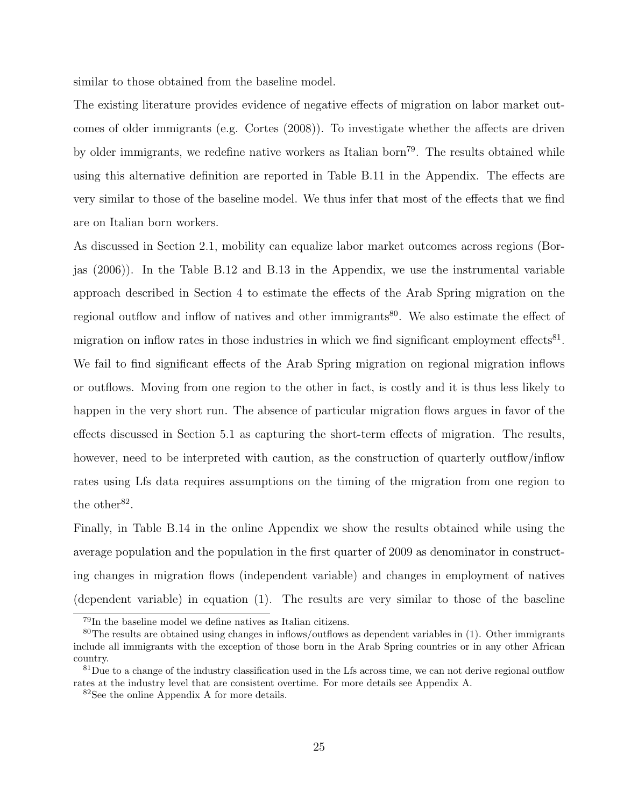similar to those obtained from the baseline model.

The existing literature provides evidence of negative effects of migration on labor market outcomes of older immigrants (e.g. [Cortes](#page-31-4) [\(2008\)](#page-31-4)). To investigate whether the affects are driven by older immigrants, we redefine native workers as Italian born<sup>[79](#page-24-0)</sup>. The results obtained while using this alternative definition are reported in Table [B.11](#page-44-0) in the Appendix. The effects are very similar to those of the baseline model. We thus infer that most of the effects that we find are on Italian born workers.

As discussed in Section [2.1,](#page-7-4) mobility can equalize labor market outcomes across regions [\(Bor](#page-30-2)[jas](#page-30-2) [\(2006\)](#page-30-2)). In the Table [B.12](#page-45-0) and [B.13](#page-46-0) in the Appendix, we use the instrumental variable approach described in Section [4](#page-11-0) to estimate the effects of the Arab Spring migration on the regional outflow and inflow of natives and other immigrants<sup>[80](#page-24-1)</sup>. We also estimate the effect of migration on inflow rates in those industries in which we find significant employment effects $81$ . We fail to find significant effects of the Arab Spring migration on regional migration inflows or outflows. Moving from one region to the other in fact, is costly and it is thus less likely to happen in the very short run. The absence of particular migration flows argues in favor of the effects discussed in Section [5.1](#page-16-2) as capturing the short-term effects of migration. The results, however, need to be interpreted with caution, as the construction of quarterly outflow/inflow rates using Lfs data requires assumptions on the timing of the migration from one region to the other<sup>[82](#page-24-3)</sup>.

Finally, in Table [B.14](#page-47-0) in the online Appendix we show the results obtained while using the average population and the population in the first quarter of 2009 as denominator in constructing changes in migration flows (independent variable) and changes in employment of natives (dependent variable) in equation [\(1\)](#page-11-3). The results are very similar to those of the baseline

<span id="page-24-1"></span><span id="page-24-0"></span><sup>79</sup>In the baseline model we define natives as Italian citizens.

<sup>&</sup>lt;sup>80</sup>The results are obtained using changes in inflows/outflows as dependent variables in [\(1\)](#page-11-3). Other immigrants include all immigrants with the exception of those born in the Arab Spring countries or in any other African country.

<span id="page-24-2"></span><sup>&</sup>lt;sup>81</sup>Due to a change of the industry classification used in the Lfs across time, we can not derive regional outflow rates at the industry level that are consistent overtime. For more details see Appendix [A.](#page-0-0)

<span id="page-24-3"></span><sup>82</sup>See the online Appendix [A](#page-0-0) for more details.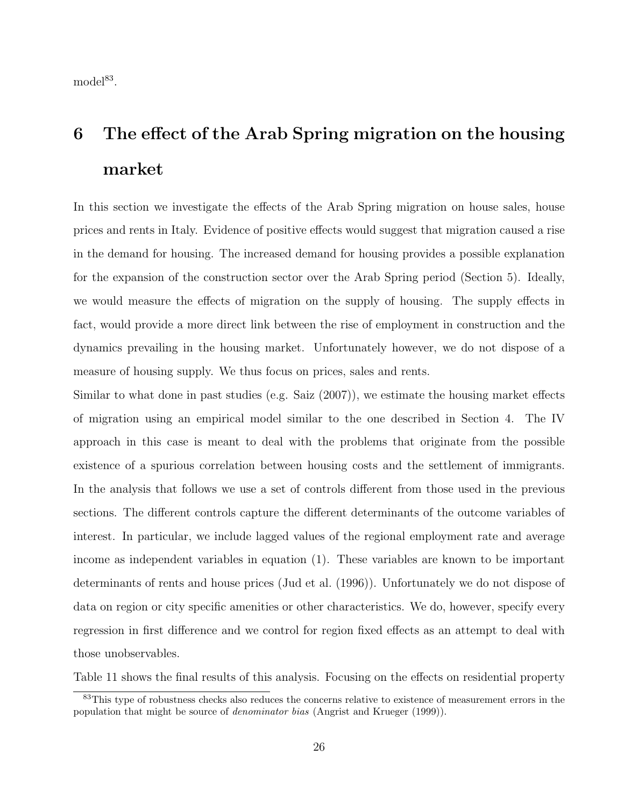model<sup>[83](#page-25-1)</sup>.

## <span id="page-25-0"></span>6 The effect of the Arab Spring migration on the housing market

In this section we investigate the effects of the Arab Spring migration on house sales, house prices and rents in Italy. Evidence of positive effects would suggest that migration caused a rise in the demand for housing. The increased demand for housing provides a possible explanation for the expansion of the construction sector over the Arab Spring period (Section [5\)](#page-15-0). Ideally, we would measure the effects of migration on the supply of housing. The supply effects in fact, would provide a more direct link between the rise of employment in construction and the dynamics prevailing in the housing market. Unfortunately however, we do not dispose of a measure of housing supply. We thus focus on prices, sales and rents.

Similar to what done in past studies (e.g. [Saiz](#page-33-4) [\(2007\)](#page-33-4)), we estimate the housing market effects of migration using an empirical model similar to the one described in Section [4.](#page-11-0) The IV approach in this case is meant to deal with the problems that originate from the possible existence of a spurious correlation between housing costs and the settlement of immigrants. In the analysis that follows we use a set of controls different from those used in the previous sections. The different controls capture the different determinants of the outcome variables of interest. In particular, we include lagged values of the regional employment rate and average income as independent variables in equation [\(1\)](#page-11-3). These variables are known to be important determinants of rents and house prices [\(Jud et al.](#page-32-10) [\(1996\)](#page-32-10)). Unfortunately we do not dispose of data on region or city specific amenities or other characteristics. We do, however, specify every regression in first difference and we control for region fixed effects as an attempt to deal with those unobservables.

Table [11](#page-47-0) shows the final results of this analysis. Focusing on the effects on residential property

<span id="page-25-1"></span><sup>&</sup>lt;sup>83</sup>This type of robustness checks also reduces the concerns relative to existence of measurement errors in the population that might be source of denominator bias [\(Angrist and Krueger](#page-30-9) [\(1999\)](#page-30-9)).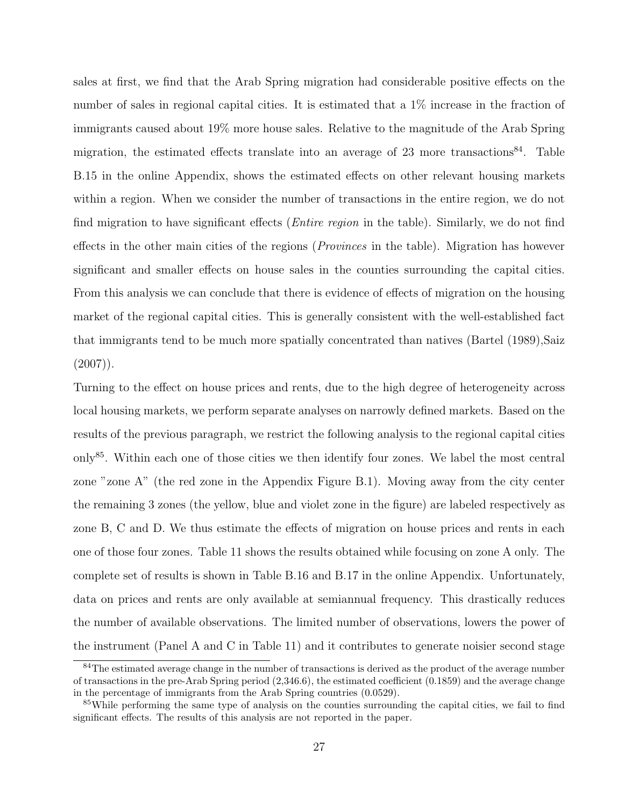sales at first, we find that the Arab Spring migration had considerable positive effects on the number of sales in regional capital cities. It is estimated that a 1% increase in the fraction of immigrants caused about 19% more house sales. Relative to the magnitude of the Arab Spring migration, the estimated effects translate into an average of  $23$  more transactions<sup>[84](#page-26-0)</sup>. Table [B.15](#page-0-0) in the online Appendix, shows the estimated effects on other relevant housing markets within a region. When we consider the number of transactions in the entire region, we do not find migration to have significant effects (Entire region in the table). Similarly, we do not find effects in the other main cities of the regions (*Provinces* in the table). Migration has however significant and smaller effects on house sales in the counties surrounding the capital cities. From this analysis we can conclude that there is evidence of effects of migration on the housing market of the regional capital cities. This is generally consistent with the well-established fact that immigrants tend to be much more spatially concentrated than natives [\(Bartel](#page-30-3) [\(1989\)](#page-30-3)[,Saiz](#page-33-4)  $(2007)$ .

Turning to the effect on house prices and rents, due to the high degree of heterogeneity across local housing markets, we perform separate analyses on narrowly defined markets. Based on the results of the previous paragraph, we restrict the following analysis to the regional capital cities only<sup>[85](#page-26-1)</sup>. Within each one of those cities we then identify four zones. We label the most central zone "zone A" (the red zone in the Appendix Figure [B.1\)](#page-0-0). Moving away from the city center the remaining 3 zones (the yellow, blue and violet zone in the figure) are labeled respectively as zone B, C and D. We thus estimate the effects of migration on house prices and rents in each one of those four zones. Table [11](#page-47-0) shows the results obtained while focusing on zone A only. The complete set of results is shown in Table [B.16](#page-0-0) and [B.17](#page-0-0) in the online Appendix. Unfortunately, data on prices and rents are only available at semiannual frequency. This drastically reduces the number of available observations. The limited number of observations, lowers the power of the instrument (Panel A and C in Table [11\)](#page-47-0) and it contributes to generate noisier second stage

<span id="page-26-0"></span><sup>&</sup>lt;sup>84</sup>The estimated average change in the number of transactions is derived as the product of the average number of transactions in the pre-Arab Spring period (2,346.6), the estimated coefficient (0.1859) and the average change in the percentage of immigrants from the Arab Spring countries (0.0529).

<span id="page-26-1"></span><sup>&</sup>lt;sup>85</sup>While performing the same type of analysis on the counties surrounding the capital cities, we fail to find significant effects. The results of this analysis are not reported in the paper.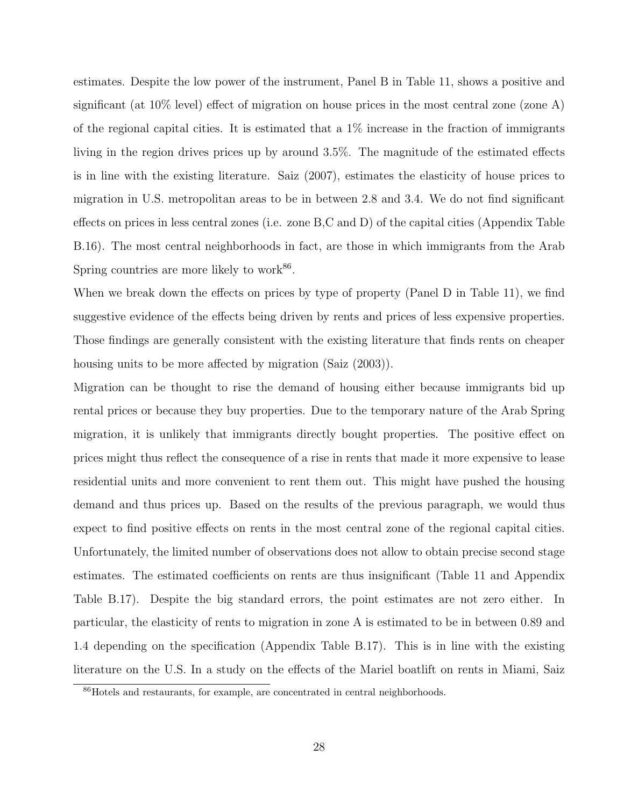estimates. Despite the low power of the instrument, Panel B in Table [11,](#page-47-0) shows a positive and significant (at  $10\%$  level) effect of migration on house prices in the most central zone (zone A) of the regional capital cities. It is estimated that a 1% increase in the fraction of immigrants living in the region drives prices up by around 3.5%. The magnitude of the estimated effects is in line with the existing literature. [Saiz](#page-33-4) [\(2007\)](#page-33-4), estimates the elasticity of house prices to migration in U.S. metropolitan areas to be in between 2.8 and 3.4. We do not find significant effects on prices in less central zones (i.e. zone B,C and D) of the capital cities (Appendix Table [B.16\)](#page-0-0). The most central neighborhoods in fact, are those in which immigrants from the Arab Spring countries are more likely to work $86$ .

When we break down the effects on prices by type of property (Panel D in Table [11\)](#page-47-0), we find suggestive evidence of the effects being driven by rents and prices of less expensive properties. Those findings are generally consistent with the existing literature that finds rents on cheaper housing units to be more affected by migration [\(Saiz](#page-33-7)  $(2003)$ ).

Migration can be thought to rise the demand of housing either because immigrants bid up rental prices or because they buy properties. Due to the temporary nature of the Arab Spring migration, it is unlikely that immigrants directly bought properties. The positive effect on prices might thus reflect the consequence of a rise in rents that made it more expensive to lease residential units and more convenient to rent them out. This might have pushed the housing demand and thus prices up. Based on the results of the previous paragraph, we would thus expect to find positive effects on rents in the most central zone of the regional capital cities. Unfortunately, the limited number of observations does not allow to obtain precise second stage estimates. The estimated coefficients on rents are thus insignificant (Table [11](#page-47-0) and Appendix Table [B.17\)](#page-0-0). Despite the big standard errors, the point estimates are not zero either. In particular, the elasticity of rents to migration in zone A is estimated to be in between 0.89 and 1.4 depending on the specification (Appendix Table [B.17\)](#page-0-0). This is in line with the existing literature on the U.S. In a study on the effects of the Mariel boatlift on rents in Miami, [Saiz](#page-33-7)

<span id="page-27-0"></span><sup>86</sup>Hotels and restaurants, for example, are concentrated in central neighborhoods.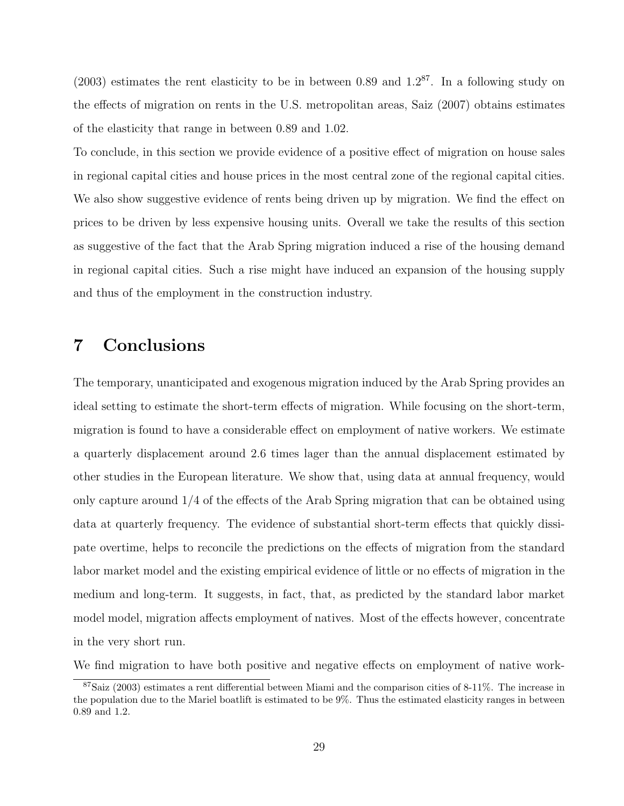$(2003)$  estimates the rent elasticity to be in between 0.89 and  $1.2^{87}$  $1.2^{87}$  $1.2^{87}$ . In a following study on the effects of migration on rents in the U.S. metropolitan areas, [Saiz](#page-33-4) [\(2007\)](#page-33-4) obtains estimates of the elasticity that range in between 0.89 and 1.02.

To conclude, in this section we provide evidence of a positive effect of migration on house sales in regional capital cities and house prices in the most central zone of the regional capital cities. We also show suggestive evidence of rents being driven up by migration. We find the effect on prices to be driven by less expensive housing units. Overall we take the results of this section as suggestive of the fact that the Arab Spring migration induced a rise of the housing demand in regional capital cities. Such a rise might have induced an expansion of the housing supply and thus of the employment in the construction industry.

### <span id="page-28-0"></span>7 Conclusions

The temporary, unanticipated and exogenous migration induced by the Arab Spring provides an ideal setting to estimate the short-term effects of migration. While focusing on the short-term, migration is found to have a considerable effect on employment of native workers. We estimate a quarterly displacement around 2.6 times lager than the annual displacement estimated by other studies in the European literature. We show that, using data at annual frequency, would only capture around 1/4 of the effects of the Arab Spring migration that can be obtained using data at quarterly frequency. The evidence of substantial short-term effects that quickly dissipate overtime, helps to reconcile the predictions on the effects of migration from the standard labor market model and the existing empirical evidence of little or no effects of migration in the medium and long-term. It suggests, in fact, that, as predicted by the standard labor market model model, migration affects employment of natives. Most of the effects however, concentrate in the very short run.

We find migration to have both positive and negative effects on employment of native work-

<span id="page-28-1"></span><sup>87</sup>[Saiz](#page-33-7) [\(2003\)](#page-33-7) estimates a rent differential between Miami and the comparison cities of 8-11%. The increase in the population due to the Mariel boatlift is estimated to be 9%. Thus the estimated elasticity ranges in between 0.89 and 1.2.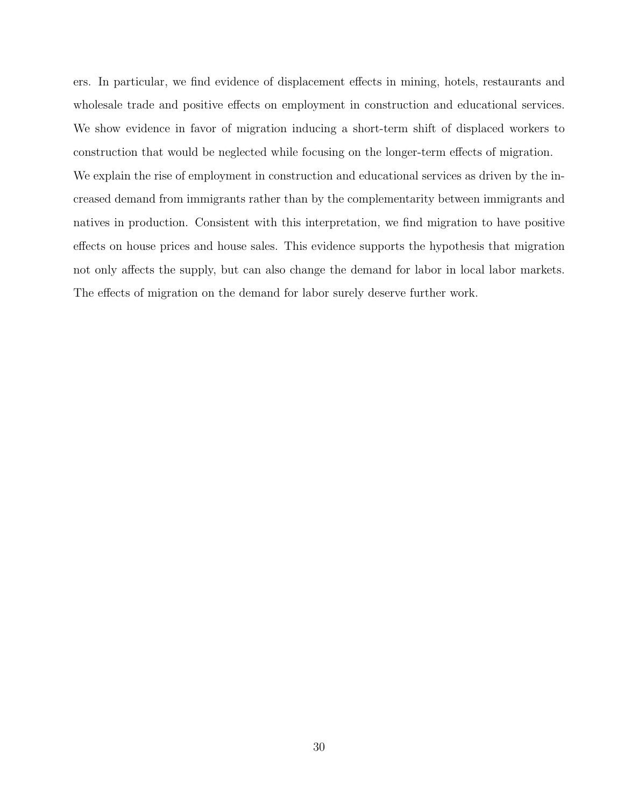ers. In particular, we find evidence of displacement effects in mining, hotels, restaurants and wholesale trade and positive effects on employment in construction and educational services. We show evidence in favor of migration inducing a short-term shift of displaced workers to construction that would be neglected while focusing on the longer-term effects of migration. We explain the rise of employment in construction and educational services as driven by the increased demand from immigrants rather than by the complementarity between immigrants and natives in production. Consistent with this interpretation, we find migration to have positive effects on house prices and house sales. This evidence supports the hypothesis that migration not only affects the supply, but can also change the demand for labor in local labor markets. The effects of migration on the demand for labor surely deserve further work.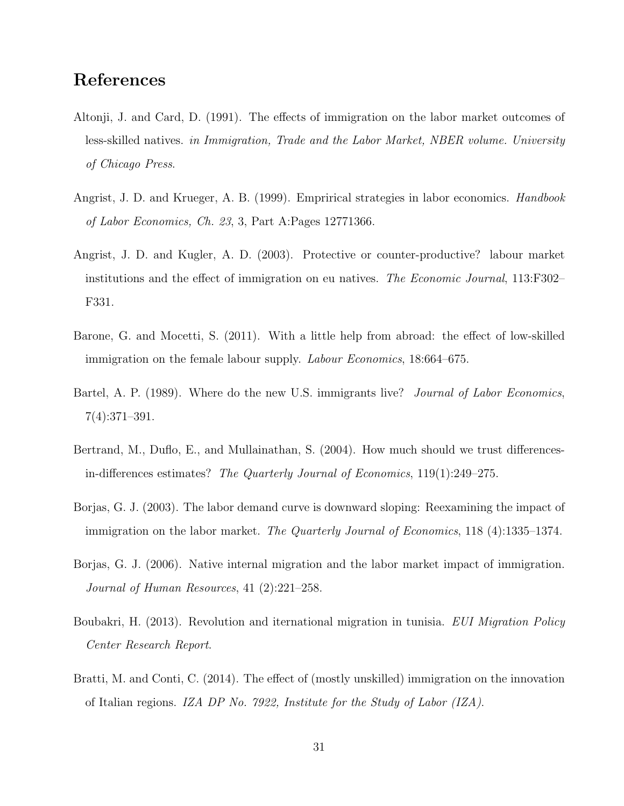### References

- <span id="page-30-0"></span>Altonji, J. and Card, D. (1991). The effects of immigration on the labor market outcomes of less-skilled natives. in Immigration, Trade and the Labor Market, NBER volume. University of Chicago Press.
- <span id="page-30-9"></span>Angrist, J. D. and Krueger, A. B. (1999). Emprirical strategies in labor economics. Handbook of Labor Economics, Ch. 23, 3, Part A:Pages 12771366.
- <span id="page-30-5"></span>Angrist, J. D. and Kugler, A. D. (2003). Protective or counter-productive? labour market institutions and the effect of immigration on eu natives. The Economic Journal, 113:F302– F331.
- <span id="page-30-7"></span>Barone, G. and Mocetti, S. (2011). With a little help from abroad: the effect of low-skilled immigration on the female labour supply. *Labour Economics*, 18:664–675.
- <span id="page-30-3"></span>Bartel, A. P. (1989). Where do the new U.S. immigrants live? *Journal of Labor Economics*, 7(4):371–391.
- <span id="page-30-6"></span>Bertrand, M., Duflo, E., and Mullainathan, S. (2004). How much should we trust differencesin-differences estimates? The Quarterly Journal of Economics, 119(1):249–275.
- <span id="page-30-1"></span>Borjas, G. J. (2003). The labor demand curve is downward sloping: Reexamining the impact of immigration on the labor market. The Quarterly Journal of Economics, 118 (4):1335–1374.
- <span id="page-30-2"></span>Borjas, G. J. (2006). Native internal migration and the labor market impact of immigration. Journal of Human Resources, 41 (2):221–258.
- <span id="page-30-4"></span>Boubakri, H. (2013). Revolution and iternational migration in tunisia. EUI Migration Policy Center Research Report.
- <span id="page-30-8"></span>Bratti, M. and Conti, C. (2014). The effect of (mostly unskilled) immigration on the innovation of Italian regions. IZA DP No. 7922, Institute for the Study of Labor (IZA).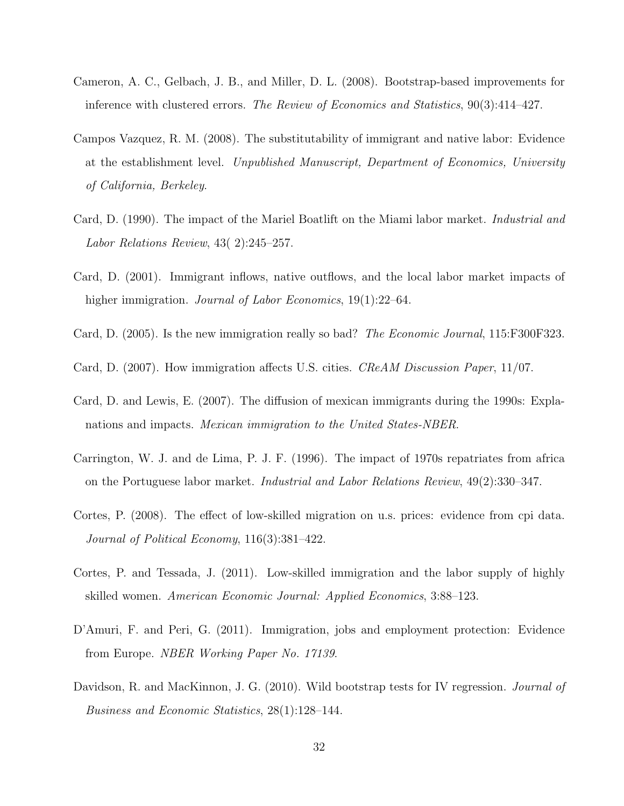- <span id="page-31-10"></span>Cameron, A. C., Gelbach, J. B., and Miller, D. L. (2008). Bootstrap-based improvements for inference with clustered errors. The Review of Economics and Statistics, 90(3):414–427.
- <span id="page-31-6"></span>Campos Vazquez, R. M. (2008). The substitutability of immigrant and native labor: Evidence at the establishment level. Unpublished Manuscript, Department of Economics, University of California, Berkeley.
- <span id="page-31-0"></span>Card, D. (1990). The impact of the Mariel Boatlift on the Miami labor market. Industrial and Labor Relations Review, 43( 2):245–257.
- <span id="page-31-7"></span>Card, D. (2001). Immigrant inflows, native outflows, and the local labor market impacts of higher immigration. *Journal of Labor Economics*, 19(1):22–64.
- <span id="page-31-1"></span>Card, D. (2005). Is the new immigration really so bad? The Economic Journal, 115:F300F323.
- <span id="page-31-3"></span>Card, D. (2007). How immigration affects U.S. cities. CReAM Discussion Paper, 11/07.
- <span id="page-31-2"></span>Card, D. and Lewis, E. (2007). The diffusion of mexican immigrants during the 1990s: Explanations and impacts. Mexican immigration to the United States-NBER.
- <span id="page-31-5"></span>Carrington, W. J. and de Lima, P. J. F. (1996). The impact of 1970s repatriates from africa on the Portuguese labor market. Industrial and Labor Relations Review, 49(2):330–347.
- <span id="page-31-4"></span>Cortes, P. (2008). The effect of low-skilled migration on u.s. prices: evidence from cpi data. Journal of Political Economy, 116(3):381–422.
- <span id="page-31-9"></span>Cortes, P. and Tessada, J. (2011). Low-skilled immigration and the labor supply of highly skilled women. American Economic Journal: Applied Economics, 3:88–123.
- <span id="page-31-8"></span>D'Amuri, F. and Peri, G. (2011). Immigration, jobs and employment protection: Evidence from Europe. NBER Working Paper No. 17139.
- <span id="page-31-11"></span>Davidson, R. and MacKinnon, J. G. (2010). Wild bootstrap tests for IV regression. *Journal of* Business and Economic Statistics, 28(1):128–144.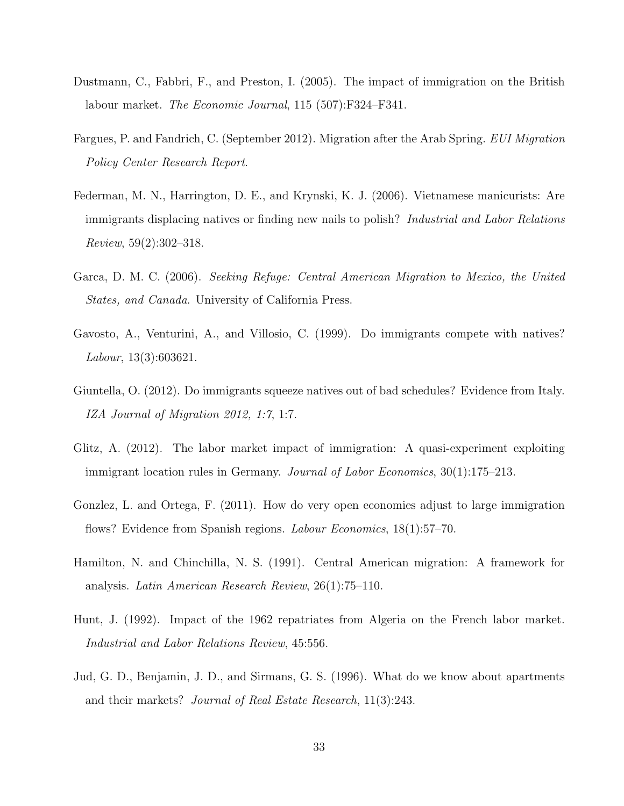- <span id="page-32-1"></span>Dustmann, C., Fabbri, F., and Preston, I. (2005). The impact of immigration on the British labour market. The Economic Journal, 115 (507):F324–F341.
- <span id="page-32-6"></span>Fargues, P. and Fandrich, C. (September 2012). Migration after the Arab Spring. EUI Migration Policy Center Research Report.
- <span id="page-32-7"></span>Federman, M. N., Harrington, D. E., and Krynski, K. J. (2006). Vietnamese manicurists: Are immigrants displacing natives or finding new nails to polish? Industrial and Labor Relations Review, 59(2):302–318.
- <span id="page-32-5"></span>Garca, D. M. C. (2006). Seeking Refuge: Central American Migration to Mexico, the United States, and Canada. University of California Press.
- <span id="page-32-9"></span>Gavosto, A., Venturini, A., and Villosio, C. (1999). Do immigrants compete with natives? Labour, 13(3):603621.
- <span id="page-32-8"></span>Giuntella, O. (2012). Do immigrants squeeze natives out of bad schedules? Evidence from Italy. IZA Journal of Migration 2012, 1:7, 1:7.
- <span id="page-32-3"></span>Glitz, A. (2012). The labor market impact of immigration: A quasi-experiment exploiting immigrant location rules in Germany. Journal of Labor Economics, 30(1):175–213.
- <span id="page-32-2"></span>Gonzlez, L. and Ortega, F. (2011). How do very open economies adjust to large immigration flows? Evidence from Spanish regions. *Labour Economics*, 18(1):57–70.
- <span id="page-32-4"></span>Hamilton, N. and Chinchilla, N. S. (1991). Central American migration: A framework for analysis. Latin American Research Review, 26(1):75–110.
- <span id="page-32-0"></span>Hunt, J. (1992). Impact of the 1962 repatriates from Algeria on the French labor market. Industrial and Labor Relations Review, 45:556.
- <span id="page-32-10"></span>Jud, G. D., Benjamin, J. D., and Sirmans, G. S. (1996). What do we know about apartments and their markets? Journal of Real Estate Research, 11(3):243.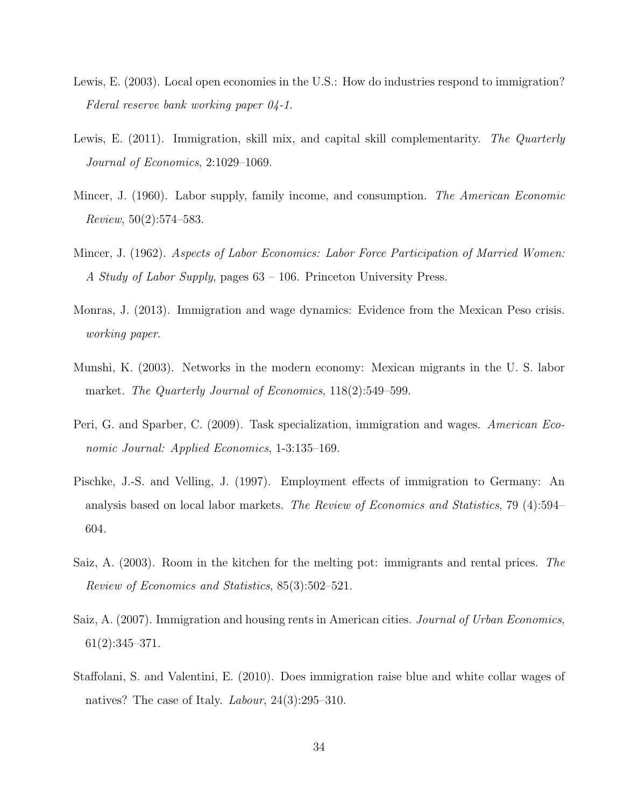- <span id="page-33-1"></span>Lewis, E. (2003). Local open economies in the U.S.: How do industries respond to immigration? Fderal reserve bank working paper 04-1.
- <span id="page-33-2"></span>Lewis, E. (2011). Immigration, skill mix, and capital skill complementarity. The Quarterly Journal of Economics, 2:1029–1069.
- <span id="page-33-9"></span>Mincer, J. (1960). Labor supply, family income, and consumption. The American Economic Review, 50(2):574–583.
- <span id="page-33-10"></span>Mincer, J. (1962). Aspects of Labor Economics: Labor Force Participation of Married Women: A Study of Labor Supply, pages 63 – 106. Princeton University Press.
- <span id="page-33-3"></span>Monras, J. (2013). Immigration and wage dynamics: Evidence from the Mexican Peso crisis. working paper.
- <span id="page-33-6"></span>Munshi, K. (2003). Networks in the modern economy: Mexican migrants in the U. S. labor market. The Quarterly Journal of Economics, 118(2):549–599.
- <span id="page-33-5"></span>Peri, G. and Sparber, C. (2009). Task specialization, immigration and wages. American Economic Journal: Applied Economics, 1-3:135–169.
- <span id="page-33-0"></span>Pischke, J.-S. and Velling, J. (1997). Employment effects of immigration to Germany: An analysis based on local labor markets. The Review of Economics and Statistics, 79 (4):594– 604.
- <span id="page-33-7"></span>Saiz, A. (2003). Room in the kitchen for the melting pot: immigrants and rental prices. The Review of Economics and Statistics, 85(3):502–521.
- <span id="page-33-4"></span>Saiz, A. (2007). Immigration and housing rents in American cities. Journal of Urban Economics, 61(2):345–371.
- <span id="page-33-8"></span>Staffolani, S. and Valentini, E. (2010). Does immigration raise blue and white collar wages of natives? The case of Italy. *Labour*, 24(3):295–310.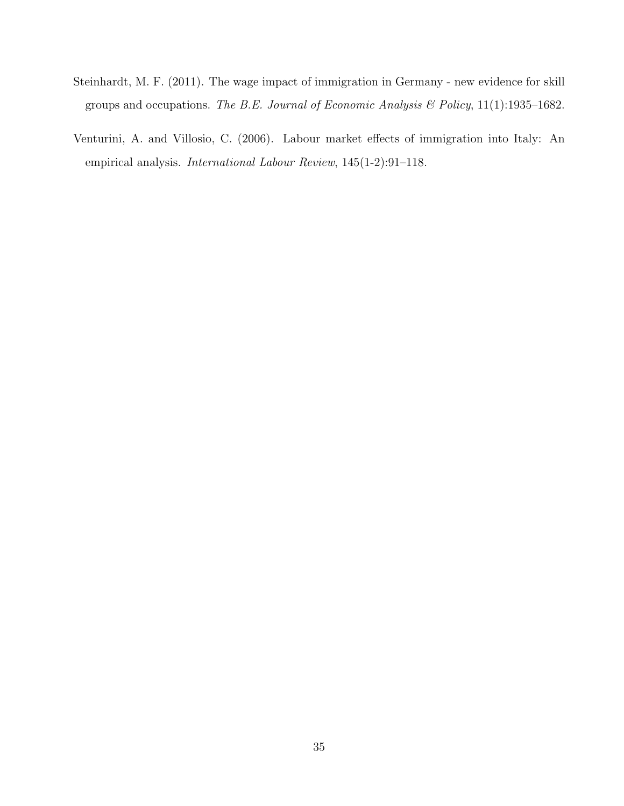- <span id="page-34-0"></span>Steinhardt, M. F. (2011). The wage impact of immigration in Germany - new evidence for skill groups and occupations. The B.E. Journal of Economic Analysis & Policy, 11(1):1935–1682.
- <span id="page-34-1"></span>Venturini, A. and Villosio, C. (2006). Labour market effects of immigration into Italy: An empirical analysis. International Labour Review, 145(1-2):91–118.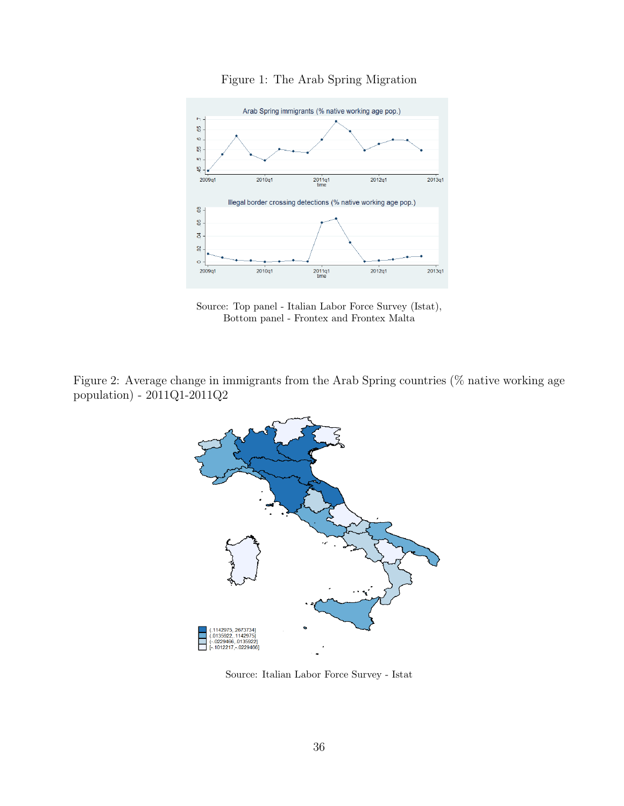<span id="page-35-0"></span>

Figure 1: The Arab Spring Migration

Source: Top panel - Italian Labor Force Survey (Istat), Bottom panel - Frontex and Frontex Malta

<span id="page-35-1"></span>Figure 2: Average change in immigrants from the Arab Spring countries (% native working age population) - 2011Q1-2011Q2



Source: Italian Labor Force Survey - Istat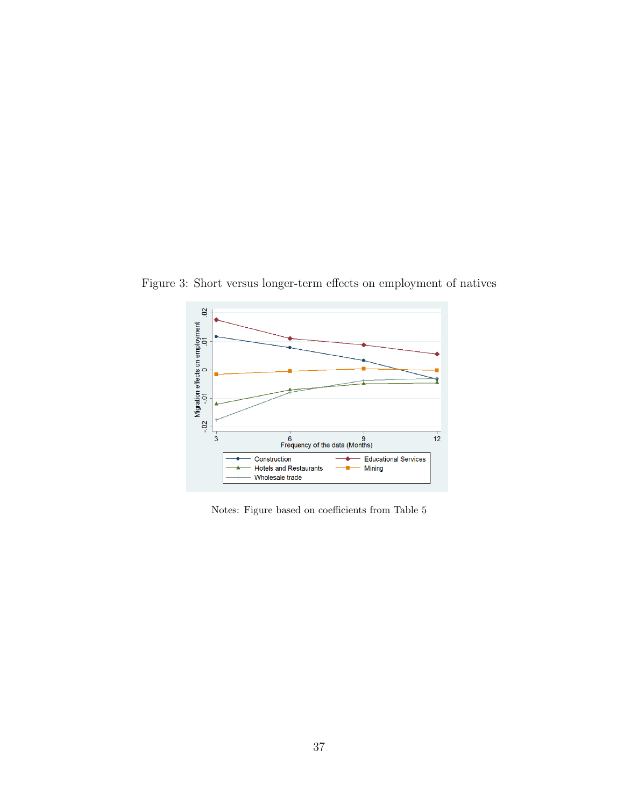

Figure 3: Short versus longer-term effects on employment of natives

Notes: Figure based on coefficients from Table [5](#page-41-0)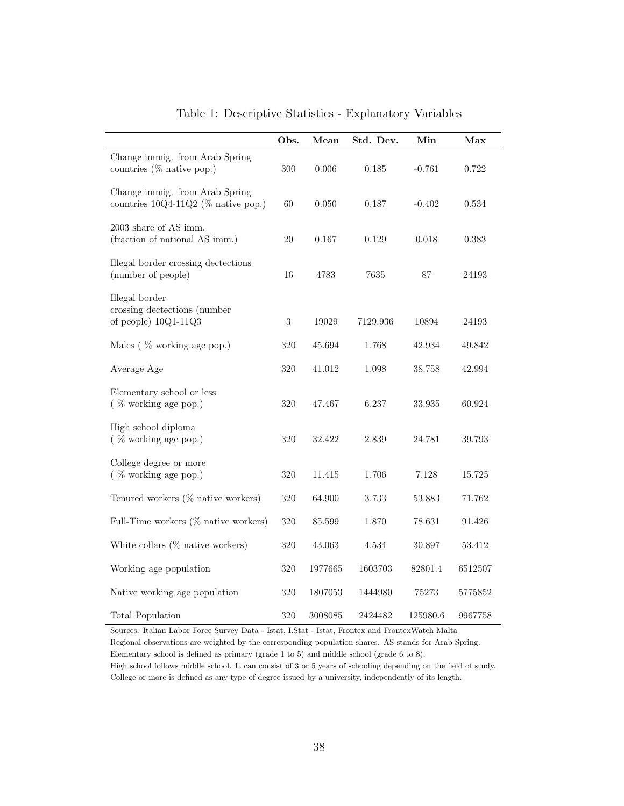|                                                                          | Obs.       | Mean    | Std. Dev. | Min      | Max     |
|--------------------------------------------------------------------------|------------|---------|-----------|----------|---------|
| Change immig. from Arab Spring<br>countries $(\%$ native pop.)           | 300        | 0.006   | 0.185     | $-0.761$ | 0.722   |
| Change immig. from Arab Spring<br>countries $10Q4-11Q2$ (% native pop.)  | 60         | 0.050   | 0.187     | $-0.402$ | 0.534   |
| 2003 share of AS imm.<br>(fraction of national AS imm.)                  | 20         | 0.167   | 0.129     | 0.018    | 0.383   |
| Illegal border crossing dectections<br>(number of people)                | 16         | 4783    | 7635      | 87       | 24193   |
| Illegal border<br>crossing dectections (number<br>of people) $10Q1-11Q3$ | $\sqrt{3}$ | 19029   | 7129.936  | 10894    | 24193   |
| Males (% working age pop.)                                               | 320        | 45.694  | 1.768     | 42.934   | 49.842  |
| Average Age                                                              | 320        | 41.012  | 1.098     | 38.758   | 42.994  |
| Elementary school or less<br>(% working age pop.)                        | 320        | 47.467  | 6.237     | 33.935   | 60.924  |
| High school diploma<br>(% working age pop.)                              | 320        | 32.422  | 2.839     | 24.781   | 39.793  |
| College degree or more<br>(% working age pop.)                           | 320        | 11.415  | 1.706     | 7.128    | 15.725  |
| Tenured workers (% native workers)                                       | 320        | 64.900  | 3.733     | 53.883   | 71.762  |
| Full-Time workers $(\%$ native workers)                                  | 320        | 85.599  | 1.870     | 78.631   | 91.426  |
| White collars (% native workers)                                         | 320        | 43.063  | 4.534     | 30.897   | 53.412  |
| Working age population                                                   | 320        | 1977665 | 1603703   | 82801.4  | 6512507 |
| Native working age population                                            | 320        | 1807053 | 1444980   | 75273    | 5775852 |
| <b>Total Population</b>                                                  | 320        | 3008085 | 2424482   | 125980.6 | 9967758 |

Table 1: Descriptive Statistics - Explanatory Variables

Sources: Italian Labor Force Survey Data - Istat, I.Stat - Istat, Frontex and FrontexWatch Malta

Regional observations are weighted by the corresponding population shares. AS stands for Arab Spring.

Elementary school is defined as primary (grade 1 to 5) and middle school (grade 6 to 8).

High school follows middle school. It can consist of 3 or 5 years of schooling depending on the field of study. College or more is defined as any type of degree issued by a university, independently of its length.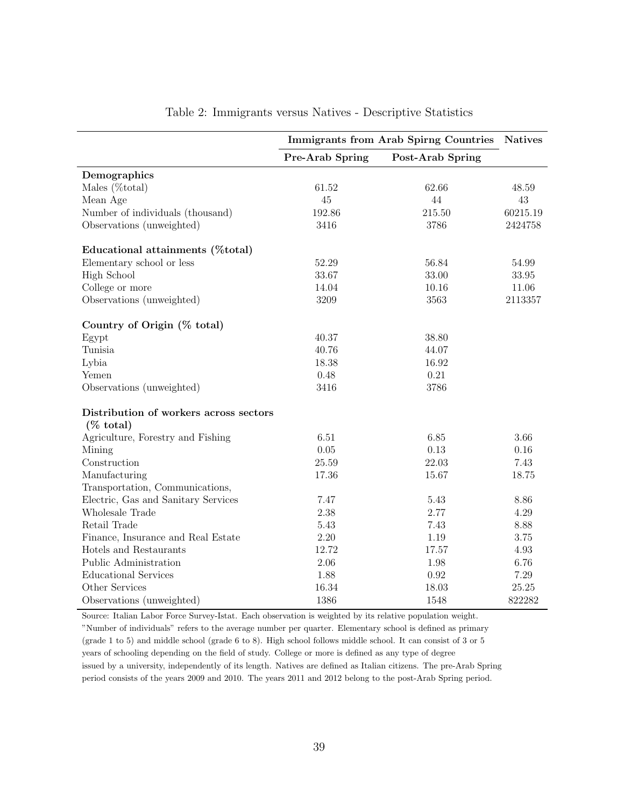|                                        |                 | <b>Immigrants from Arab Spirng Countries</b> | <b>Natives</b> |
|----------------------------------------|-----------------|----------------------------------------------|----------------|
|                                        | Pre-Arab Spring | Post-Arab Spring                             |                |
| Demographics                           |                 |                                              |                |
| Males (%total)                         | 61.52           | 62.66                                        | 48.59          |
| Mean Age                               | 45              | 44                                           | 43             |
| Number of individuals (thousand)       | 192.86          | 215.50                                       | 60215.19       |
| Observations (unweighted)              | 3416            | 3786                                         | 2424758        |
| Educational attainments (%total)       |                 |                                              |                |
| Elementary school or less              | 52.29           | 56.84                                        | 54.99          |
| High School                            | 33.67           | 33.00                                        | 33.95          |
| College or more                        | 14.04           | 10.16                                        | 11.06          |
| Observations (unweighted)              | 3209            | 3563                                         | 2113357        |
| Country of Origin (% total)            |                 |                                              |                |
| Egypt                                  | 40.37           | 38.80                                        |                |
| Tunisia                                | 40.76           | 44.07                                        |                |
| Lybia                                  | 18.38           | 16.92                                        |                |
| Yemen                                  | 0.48            | 0.21                                         |                |
| Observations (unweighted)              | 3416            | 3786                                         |                |
| Distribution of workers across sectors |                 |                                              |                |
| $(\% \ total)$                         |                 |                                              |                |
| Agriculture, Forestry and Fishing      | 6.51            | 6.85                                         | 3.66           |
| Mining                                 | 0.05            | 0.13                                         | 0.16           |
| Construction                           | $25.59\,$       | 22.03                                        | 7.43           |
| Manufacturing                          | 17.36           | 15.67                                        | 18.75          |
| Transportation, Communications,        |                 |                                              |                |
| Electric, Gas and Sanitary Services    | 7.47            | 5.43                                         | 8.86           |
| Wholesale Trade                        | 2.38            | 2.77                                         | 4.29           |
| Retail Trade                           | 5.43            | 7.43                                         | 8.88           |
| Finance, Insurance and Real Estate     | 2.20            | 1.19                                         | 3.75           |
| Hotels and Restaurants                 | 12.72           | 17.57                                        | 4.93           |
| Public Administration                  | 2.06            | 1.98                                         | 6.76           |
| <b>Educational Services</b>            | 1.88            | 0.92                                         | 7.29           |
| Other Services                         | 16.34           | 18.03                                        | 25.25          |
| Observations (unweighted)              | 1386            | 1548                                         | 822282         |

#### Table 2: Immigrants versus Natives - Descriptive Statistics

Source: Italian Labor Force Survey-Istat. Each observation is weighted by its relative population weight. "Number of individuals" refers to the average number per quarter. Elementary school is defined as primary (grade 1 to 5) and middle school (grade 6 to 8). High school follows middle school. It can consist of 3 or 5 years of schooling depending on the field of study. College or more is defined as any type of degree issued by a university, independently of its length. Natives are defined as Italian citizens. The pre-Arab Spring period consists of the years 2009 and 2010. The years 2011 and 2012 belong to the post-Arab Spring period.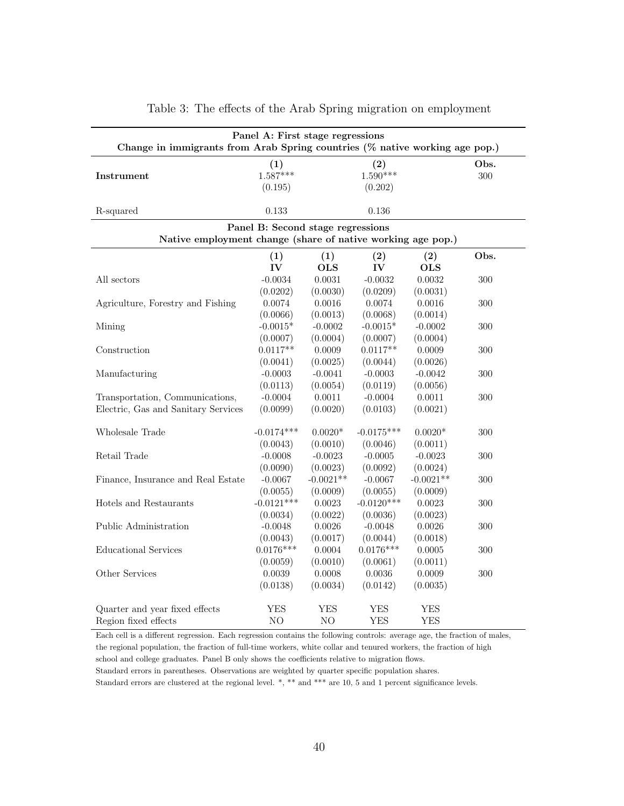<span id="page-39-0"></span>

| Panel A: First stage regressions<br>Change in immigrants from Arab Spring countries (% native working age pop.) |                                |                                |                                |                                |             |  |
|-----------------------------------------------------------------------------------------------------------------|--------------------------------|--------------------------------|--------------------------------|--------------------------------|-------------|--|
| Instrument                                                                                                      | (1)<br>$1.587***$<br>(0.195)   |                                | (2)<br>$1.590***$<br>(0.202)   |                                | Obs.<br>300 |  |
| R-squared                                                                                                       | 0.133                          |                                | 0.136                          |                                |             |  |
| Panel B: Second stage regressions                                                                               |                                |                                |                                |                                |             |  |
| Native employment change (share of native working age pop.)                                                     |                                |                                |                                |                                |             |  |
|                                                                                                                 | (1)<br>IV                      | (1)<br><b>OLS</b>              | (2)<br>IV                      | (2)<br><b>OLS</b>              | Obs.        |  |
| All sectors                                                                                                     | $-0.0034$<br>(0.0202)          | 0.0031<br>(0.0030)             | $-0.0032$<br>(0.0209)          | 0.0032<br>(0.0031)             | 300         |  |
| Agriculture, Forestry and Fishing                                                                               | 0.0074<br>(0.0066)             | 0.0016<br>(0.0013)             | 0.0074<br>(0.0068)             | 0.0016<br>(0.0014)             | 300         |  |
| Mining                                                                                                          | $-0.0015*$<br>(0.0007)         | $-0.0002$<br>(0.0004)          | $-0.0015*$<br>(0.0007)         | $-0.0002$<br>(0.0004)          | 300         |  |
| Construction                                                                                                    | $0.0117**$<br>(0.0041)         | 0.0009<br>(0.0025)             | $0.0117**$<br>(0.0044)         | 0.0009<br>(0.0026)             | 300         |  |
| Manufacturing                                                                                                   | $-0.0003$<br>(0.0113)          | $-0.0041$<br>(0.0054)          | $-0.0003$<br>(0.0119)          | $-0.0042$<br>(0.0056)          | 300         |  |
| Transportation, Communications,<br>Electric, Gas and Sanitary Services                                          | $-0.0004$<br>(0.0099)          | 0.0011<br>(0.0020)             | $-0.0004$<br>(0.0103)          | 0.0011<br>(0.0021)             | 300         |  |
|                                                                                                                 |                                |                                |                                |                                |             |  |
| Wholesale Trade                                                                                                 | $-0.0174***$<br>(0.0043)       | $0.0020*$<br>(0.0010)          | $-0.0175***$<br>(0.0046)       | $0.0020*$<br>(0.0011)          | 300         |  |
| Retail Trade                                                                                                    | $-0.0008$                      | $-0.0023$                      | $-0.0005$                      | $-0.0023$                      | 300         |  |
| Finance, Insurance and Real Estate                                                                              | (0.0090)<br>$-0.0067$          | (0.0023)<br>$-0.0021**$        | (0.0092)<br>$-0.0067$          | (0.0024)<br>$-0.0021**$        | 300         |  |
| Hotels and Restaurants                                                                                          | (0.0055)<br>$-0.0121***$       | (0.0009)<br>0.0023             | (0.0055)<br>$-0.0120***$       | (0.0009)<br>0.0023             | 300         |  |
| Public Administration                                                                                           | (0.0034)<br>$-0.0048$          | (0.0022)<br>0.0026             | (0.0036)<br>$-0.0048$          | (0.0023)<br>0.0026             | 300         |  |
| <b>Educational Services</b>                                                                                     | (0.0043)<br>$0.0176***$        | (0.0017)<br>0.0004             | (0.0044)<br>$0.0176***$        | (0.0018)<br>0.0005             | 300         |  |
| Other Services                                                                                                  | (0.0059)<br>0.0039<br>(0.0138) | (0.0010)<br>0.0008<br>(0.0034) | (0.0061)<br>0.0036<br>(0.0142) | (0.0011)<br>0.0009<br>(0.0035) | 300         |  |
| Quarter and year fixed effects<br>Region fixed effects                                                          | YES<br>NO                      | YES<br>NO                      | YES<br><b>YES</b>              | YES<br><b>YES</b>              |             |  |

### Table 3: The effects of the Arab Spring migration on employment

Each cell is a different regression. Each regression contains the following controls: average age, the fraction of males, the regional population, the fraction of full-time workers, white collar and tenured workers, the fraction of high

school and college graduates. Panel B only shows the coefficients relative to migration flows.

Standard errors in parentheses. Observations are weighted by quarter specific population shares.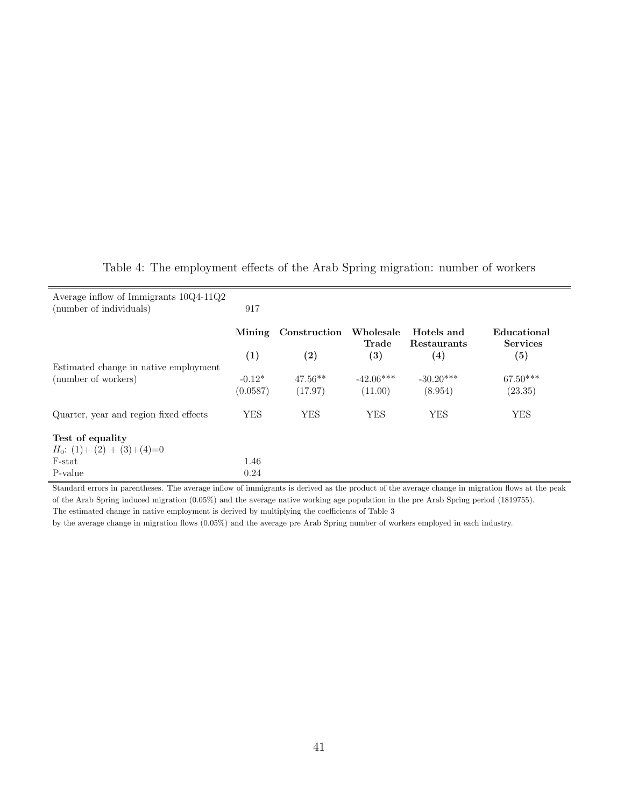Table 4: The employment effects of the Arab Spring migration: number of workers

<span id="page-40-0"></span>

| Average inflow of Immigrants 10Q4-11Q2<br>(number of individuals) | 917        |              |                    |                                  |                                |
|-------------------------------------------------------------------|------------|--------------|--------------------|----------------------------------|--------------------------------|
|                                                                   | Mining     | Construction | Wholesale<br>Trade | Hotels and<br><b>Restaurants</b> | Educational<br><b>Services</b> |
|                                                                   | (1)        | (2)          | (3)                | (4)                              | (5)                            |
| Estimated change in native employment<br>(number of workers)      | $-0.12*$   | $47.56**$    | $-42.06***$        | $-30.20***$                      | $67.50***$                     |
|                                                                   | (0.0587)   | (17.97)      | (11.00)            | (8.954)                          | (23.35)                        |
| Quarter, year and region fixed effects                            | <b>YES</b> | <b>YES</b>   | <b>YES</b>         | <b>YES</b>                       | <b>YES</b>                     |
| Test of equality                                                  |            |              |                    |                                  |                                |
| $H_0$ : (1)+ (2) + (3)+(4)=0                                      |            |              |                    |                                  |                                |
| F-stat                                                            | 1.46       |              |                    |                                  |                                |
| P-value                                                           | 0.24       |              |                    |                                  |                                |

Standard errors in parentheses. The average inflow of immigrants is derived as the product of the average change in migration flows at the peak of the Arab Spring induced migration (0.05%) and the average native working age population in the pre Arab Spring period (1819755). The estimated change in native employment is derived by multiplying the coefficients of Table [3](#page-39-0)

by the average change in migration flows (0.05%) and the average pre Arab Spring number of workers employed in each industry.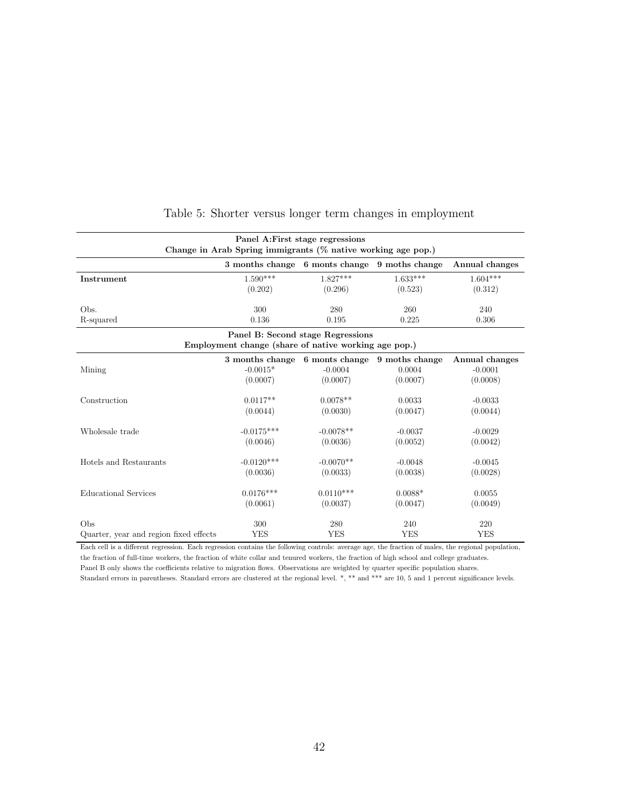<span id="page-41-0"></span>

| Panel A: First stage regressions<br>Change in Arab Spring immigrants $(\%$ native working age pop.) |                                               |                |                |                |  |  |
|-----------------------------------------------------------------------------------------------------|-----------------------------------------------|----------------|----------------|----------------|--|--|
|                                                                                                     | 3 months change 6 monts change 9 moths change |                |                | Annual changes |  |  |
| Instrument                                                                                          | $1.590***$                                    | $1.827***$     | $1.633***$     | $1.604***$     |  |  |
|                                                                                                     | (0.202)                                       | (0.296)        | (0.523)        | (0.312)        |  |  |
| Obs.                                                                                                | 300                                           | 280            | 260            | 240            |  |  |
| R-squared                                                                                           | 0.136                                         | 0.195          | 0.225          | 0.306          |  |  |
| Panel B: Second stage Regressions                                                                   |                                               |                |                |                |  |  |
| Employment change (share of native working age pop.)                                                |                                               |                |                |                |  |  |
|                                                                                                     | 3 months change                               | 6 monts change | 9 moths change | Annual changes |  |  |
| Mining                                                                                              | $-0.0015*$                                    | $-0.0004$      | 0.0004         | $-0.0001$      |  |  |
|                                                                                                     | (0.0007)                                      | (0.0007)       | (0.0007)       | (0.0008)       |  |  |
| Construction                                                                                        | $0.0117**$                                    | $0.0078**$     | 0.0033         | $-0.0033$      |  |  |
|                                                                                                     | (0.0044)                                      | (0.0030)       | (0.0047)       | (0.0044)       |  |  |
| Wholesale trade                                                                                     | $-0.0175***$                                  | $-0.0078**$    | $-0.0037$      | $-0.0029$      |  |  |
|                                                                                                     | (0.0046)                                      | (0.0036)       | (0.0052)       | (0.0042)       |  |  |
| Hotels and Restaurants                                                                              | $-0.0120***$                                  | $-0.0070**$    | $-0.0048$      | $-0.0045$      |  |  |
|                                                                                                     | (0.0036)                                      | (0.0033)       | (0.0038)       | (0.0028)       |  |  |
| Educational Services                                                                                | $0.0176***$                                   | $0.0110***$    | $0.0088*$      | 0.0055         |  |  |
|                                                                                                     | (0.0061)                                      | (0.0037)       | (0.0047)       | (0.0049)       |  |  |
| Obs                                                                                                 | 300                                           | 280            | 240            | 220            |  |  |
| Quarter, year and region fixed effects                                                              | YES                                           | <b>YES</b>     | <b>YES</b>     | <b>YES</b>     |  |  |

# Table 5: Shorter versus longer term changes in employment

Each cell is a different regression. Each regression contains the following controls: average age, the fraction of males, the regional population, the fraction of full-time workers, the fraction of white collar and tenured workers, the fraction of high school and college graduates. Panel B only shows the coefficients relative to migration flows. Observations are weighted by quarter specific population shares.

Standard errors in parentheses. Standard errors are clustered at the regional level. \*, \*\* and \*\*\* are 10, 5 and 1 percent significance levels.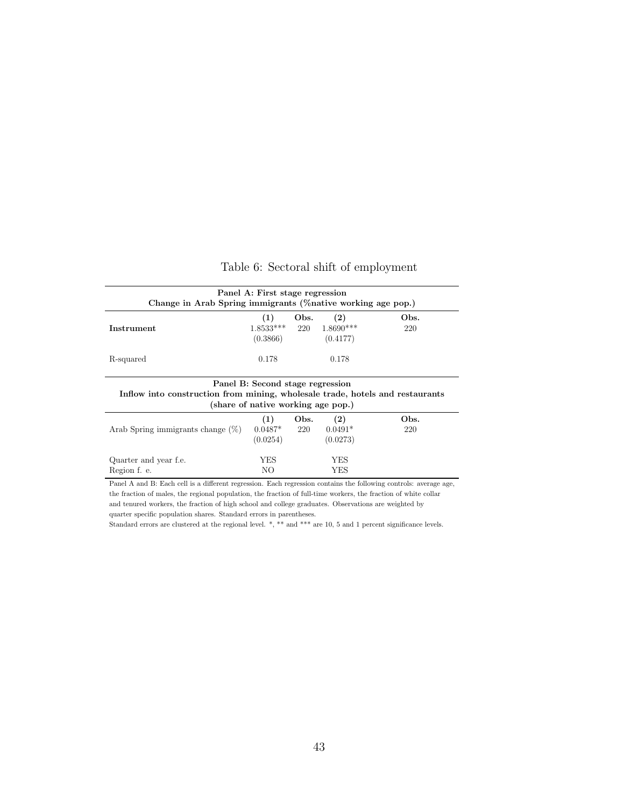| Panel A: First stage regression<br>Change in Arab Spring immigrants (% native working age pop.)                                                         |                                    |             |                                |             |  |
|---------------------------------------------------------------------------------------------------------------------------------------------------------|------------------------------------|-------------|--------------------------------|-------------|--|
| <b>Instrument</b>                                                                                                                                       | (1)<br>$1.8533***$ 220<br>(0.3866) | Obs.        | (2)<br>$1.8690***$<br>(0.4177) | Obs.<br>220 |  |
| R-squared                                                                                                                                               | 0.178                              |             | 0.178                          |             |  |
| Panel B: Second stage regression<br>Inflow into construction from mining, wholesale trade, hotels and restaurants<br>(share of native working age pop.) |                                    |             |                                |             |  |
| Arab Spring immigrants change $(\%)$                                                                                                                    | (1)<br>$0.0487*$<br>(0.0254)       | Obs.<br>220 | (2)<br>$0.0491*$<br>(0.0273)   | Obs.<br>220 |  |
| Quarter and year f.e.<br>Region f. e.                                                                                                                   | YES<br>NO                          |             | YES<br>YES                     |             |  |

Table 6: Sectoral shift of employment

Panel A and B: Each cell is a different regression. Each regression contains the following controls: average age, the fraction of males, the regional population, the fraction of full-time workers, the fraction of white collar and tenured workers, the fraction of high school and college graduates. Observations are weighted by quarter specific population shares. Standard errors in parentheses.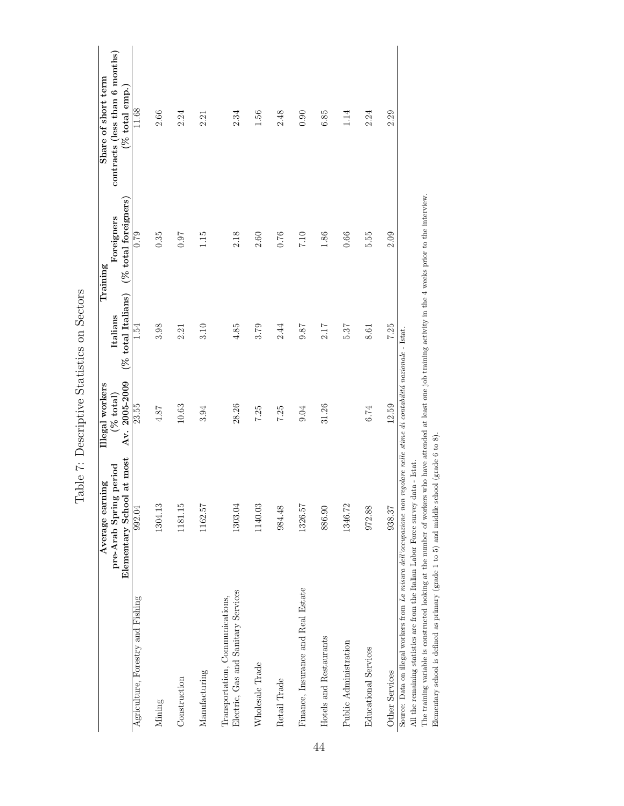|                                                                                                                                                                                                                                                                                                                                                                                                                            | Average earning                                        | Illegal workers                                        |                                | Training                             | Share of short term                               |
|----------------------------------------------------------------------------------------------------------------------------------------------------------------------------------------------------------------------------------------------------------------------------------------------------------------------------------------------------------------------------------------------------------------------------|--------------------------------------------------------|--------------------------------------------------------|--------------------------------|--------------------------------------|---------------------------------------------------|
|                                                                                                                                                                                                                                                                                                                                                                                                                            | at most<br>pre-Arab Spring period<br>Elementary School | Av. 2005-2009<br>$(\%$ total)                          | (% total Italians)<br>Italians | $(%$ total foreigners)<br>Foreigners | contracts (less than 6 months)<br>$\%$ total emp. |
| Agriculture, Forestry and Fishing                                                                                                                                                                                                                                                                                                                                                                                          | 992.04                                                 | 23.55                                                  | 1.54                           | 0.79                                 | 11.68                                             |
| Mining                                                                                                                                                                                                                                                                                                                                                                                                                     | 1304.13                                                | 4.87                                                   | 3.98                           | 0.35                                 | 2.66                                              |
| Construction                                                                                                                                                                                                                                                                                                                                                                                                               | 1181.15                                                | 10.63                                                  | 2.21                           | 0.07                                 | 2.24                                              |
| Manufacturing                                                                                                                                                                                                                                                                                                                                                                                                              | 1162.57                                                | 3.94                                                   | 3.10                           | 1.15                                 | 2.21                                              |
| Electric, Gas and Sanitary Services<br>Transportation, Communications,                                                                                                                                                                                                                                                                                                                                                     | 1303.04                                                | 28.26                                                  | 4.85                           | 2.18                                 | 2.34                                              |
| Wholesale Trade                                                                                                                                                                                                                                                                                                                                                                                                            | 1140.03                                                | 7.25                                                   | 3.79                           | 2.60                                 | 1.56                                              |
| Retail Trade                                                                                                                                                                                                                                                                                                                                                                                                               | 984.48                                                 | 7.25                                                   | 2.44                           | $0.76\,$                             | 2.48                                              |
| Finance, Insurance and Real Estate                                                                                                                                                                                                                                                                                                                                                                                         | 1326.57                                                | 9.04                                                   | 9.87                           | 7.10                                 | 0.90                                              |
| Hotels and Restaurants                                                                                                                                                                                                                                                                                                                                                                                                     | 886.90                                                 | 31.26                                                  | 2.17                           | 1.86                                 | 6.85                                              |
| Public Administration                                                                                                                                                                                                                                                                                                                                                                                                      | 1346.72                                                |                                                        | 5.37                           | 0.66                                 | 1.14                                              |
| <b>Educational Services</b>                                                                                                                                                                                                                                                                                                                                                                                                | 972.88                                                 | $6.74\,$                                               | 8.61                           | 5.55                                 | 2.24                                              |
| Other Services                                                                                                                                                                                                                                                                                                                                                                                                             | 938.37                                                 | 12.59                                                  | 7.25                           | 2.09                                 | 2.29                                              |
| The training variable is constructed looking at the number of workers who have attended at least one job training activity in the 4 weeks prior to the interview.<br>Elementary school is defined as primary (grade 1 to 5) and middle school (grade 6 to 8).<br>All the remaining statistics are from the Italian Labor Force survey data - Istat.<br>Source: Data on illegal workers from La misura dell'occupazione non |                                                        | regolare nelle stime di contabilitá nazionale - Istat. |                                |                                      |                                                   |

Table 7: Descriptive Statistics on Sectors Table 7: Descriptive Statistics on Sectors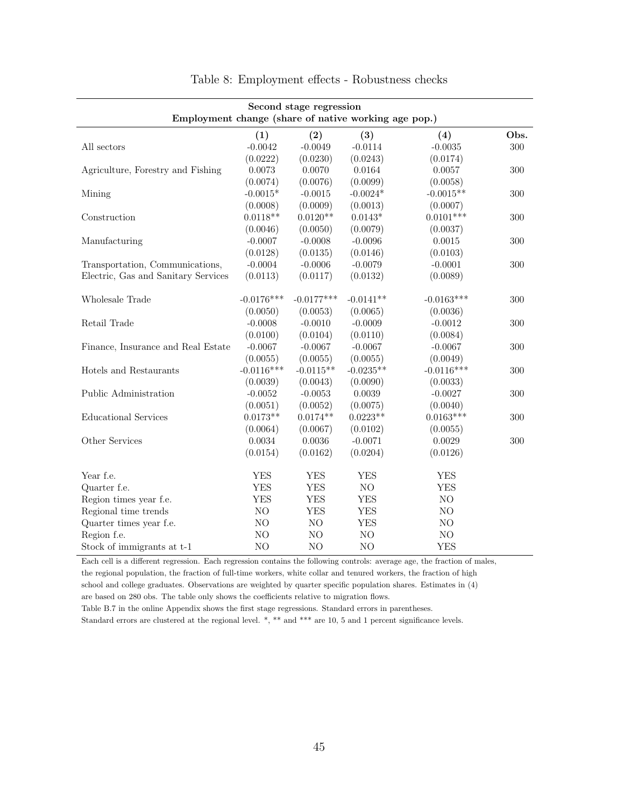| Second stage regression<br>Employment change (share of native working age pop.) |                |                |             |              |      |
|---------------------------------------------------------------------------------|----------------|----------------|-------------|--------------|------|
|                                                                                 | (1)            | (2)            | (3)         | (4)          | Obs. |
| All sectors                                                                     | $-0.0042$      | $-0.0049$      | $-0.0114$   | $-0.0035$    | 300  |
|                                                                                 | (0.0222)       | (0.0230)       | (0.0243)    | (0.0174)     |      |
| Agriculture, Forestry and Fishing                                               | 0.0073         | 0.0070         | 0.0164      | 0.0057       | 300  |
|                                                                                 | (0.0074)       | (0.0076)       | (0.0099)    | (0.0058)     |      |
| Mining                                                                          | $-0.0015*$     | $-0.0015$      | $-0.0024*$  | $-0.0015**$  | 300  |
|                                                                                 | (0.0008)       | (0.0009)       | (0.0013)    | (0.0007)     |      |
| Construction                                                                    | $0.0118**$     | $0.0120**$     | $0.0143*$   | $0.0101***$  | 300  |
|                                                                                 | (0.0046)       | (0.0050)       | (0.0079)    | (0.0037)     |      |
| Manufacturing                                                                   | $-0.0007$      | $-0.0008$      | $-0.0096$   | 0.0015       | 300  |
|                                                                                 | (0.0128)       | (0.0135)       | (0.0146)    | (0.0103)     |      |
| Transportation, Communications,                                                 | $-0.0004$      | $-0.0006$      | $-0.0079$   | $-0.0001$    | 300  |
| Electric, Gas and Sanitary Services                                             | (0.0113)       | (0.0117)       | (0.0132)    | (0.0089)     |      |
| Wholesale Trade                                                                 | $-0.0176***$   | $-0.0177***$   | $-0.0141**$ | $-0.0163***$ | 300  |
|                                                                                 | (0.0050)       | (0.0053)       | (0.0065)    | (0.0036)     |      |
| Retail Trade                                                                    | $-0.0008$      | $-0.0010$      | $-0.0009$   | $-0.0012$    | 300  |
|                                                                                 | (0.0100)       | (0.0104)       | (0.0110)    | (0.0084)     |      |
| Finance, Insurance and Real Estate                                              | $-0.0067$      | $-0.0067$      | $-0.0067$   | $-0.0067$    | 300  |
|                                                                                 | (0.0055)       | (0.0055)       | (0.0055)    | (0.0049)     |      |
| Hotels and Restaurants                                                          | $-0.0116***$   | $-0.0115**$    | $-0.0235**$ | $-0.0116***$ | 300  |
|                                                                                 | (0.0039)       | (0.0043)       | (0.0090)    | (0.0033)     |      |
| Public Administration                                                           | $-0.0052$      | $-0.0053$      | 0.0039      | $-0.0027$    | 300  |
|                                                                                 | (0.0051)       | (0.0052)       | (0.0075)    | (0.0040)     |      |
| <b>Educational Services</b>                                                     | $0.0173**$     | $0.0174**$     | $0.0223**$  | $0.0163***$  | 300  |
|                                                                                 | (0.0064)       | (0.0067)       | (0.0102)    | (0.0055)     |      |
| Other Services                                                                  | 0.0034         | 0.0036         | $-0.0071$   | 0.0029       | 300  |
|                                                                                 | (0.0154)       | (0.0162)       | (0.0204)    | (0.0126)     |      |
| Year f.e.                                                                       | <b>YES</b>     | <b>YES</b>     | <b>YES</b>  | <b>YES</b>   |      |
| Quarter f.e.                                                                    | <b>YES</b>     | <b>YES</b>     | NO          | <b>YES</b>   |      |
| Region times year f.e.                                                          | <b>YES</b>     | <b>YES</b>     | <b>YES</b>  | $\rm NO$     |      |
| Regional time trends                                                            | NO             | <b>YES</b>     | <b>YES</b>  | NO           |      |
| Quarter times year f.e.                                                         | NO             | $\rm NO$       | <b>YES</b>  | NO           |      |
| Region f.e.                                                                     | N <sub>O</sub> | N <sub>O</sub> | NO          | NO           |      |
| Stock of immigrants at t-1                                                      | N <sub>O</sub> | N <sub>O</sub> | NO          | <b>YES</b>   |      |

|  | Table 8: Employment effects - Robustness checks |  |  |  |
|--|-------------------------------------------------|--|--|--|
|--|-------------------------------------------------|--|--|--|

Each cell is a different regression. Each regression contains the following controls: average age, the fraction of males, the regional population, the fraction of full-time workers, white collar and tenured workers, the fraction of high school and college graduates. Observations are weighted by quarter specific population shares. Estimates in (4) are based on 280 obs. The table only shows the coefficients relative to migration flows.

Table [B.7](#page-40-0) in the online Appendix shows the first stage regressions. Standard errors in parentheses.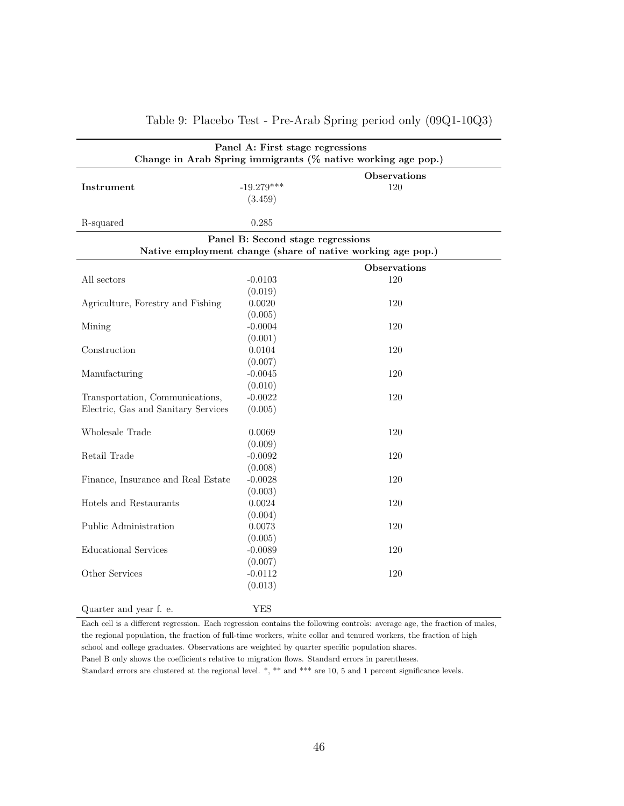| Panel A: First stage regressions<br>Change in Arab Spring immigrants (% native working age pop.) |                   |              |  |  |  |
|--------------------------------------------------------------------------------------------------|-------------------|--------------|--|--|--|
|                                                                                                  |                   | Observations |  |  |  |
| Instrument                                                                                       | $-19.279***$      | 120          |  |  |  |
|                                                                                                  | (3.459)           |              |  |  |  |
|                                                                                                  |                   |              |  |  |  |
| R-squared                                                                                        | 0.285             |              |  |  |  |
| Panel B: Second stage regressions                                                                |                   |              |  |  |  |
| Native employment change (share of native working age pop.)                                      |                   |              |  |  |  |
|                                                                                                  |                   | Observations |  |  |  |
| All sectors                                                                                      | $-0.0103$         | 120          |  |  |  |
|                                                                                                  | (0.019)           |              |  |  |  |
| Agriculture, Forestry and Fishing                                                                | 0.0020            | 120          |  |  |  |
|                                                                                                  | (0.005)           |              |  |  |  |
| Mining                                                                                           | $-0.0004$         | 120          |  |  |  |
|                                                                                                  | (0.001)           |              |  |  |  |
| Construction                                                                                     | 0.0104            | 120          |  |  |  |
|                                                                                                  | (0.007)           |              |  |  |  |
| Manufacturing                                                                                    | $-0.0045$         | 120          |  |  |  |
|                                                                                                  | (0.010)           |              |  |  |  |
| Transportation, Communications,                                                                  | $-0.0022$         | 120          |  |  |  |
| Electric, Gas and Sanitary Services                                                              | (0.005)           |              |  |  |  |
|                                                                                                  |                   |              |  |  |  |
| Wholesale Trade                                                                                  | 0.0069            | 120          |  |  |  |
| Retail Trade                                                                                     | (0.009)           | 120          |  |  |  |
|                                                                                                  | $-0.0092$         |              |  |  |  |
|                                                                                                  | (0.008)           | 120          |  |  |  |
| Finance, Insurance and Real Estate                                                               | $-0.0028$         |              |  |  |  |
| Hotels and Restaurants                                                                           | (0.003)<br>0.0024 | 120          |  |  |  |
|                                                                                                  | (0.004)           |              |  |  |  |
| Public Administration                                                                            | 0.0073            | 120          |  |  |  |
|                                                                                                  | (0.005)           |              |  |  |  |
| <b>Educational Services</b>                                                                      | $-0.0089$         | 120          |  |  |  |
|                                                                                                  | (0.007)           |              |  |  |  |
| Other Services                                                                                   | $-0.0112$         | 120          |  |  |  |
|                                                                                                  | (0.013)           |              |  |  |  |
|                                                                                                  |                   |              |  |  |  |
| Quarter and year f. e.                                                                           | <b>YES</b>        |              |  |  |  |

# Table 9: Placebo Test - Pre-Arab Spring period only (09Q1-10Q3)

Each cell is a different regression. Each regression contains the following controls: average age, the fraction of males, the regional population, the fraction of full-time workers, white collar and tenured workers, the fraction of high school and college graduates. Observations are weighted by quarter specific population shares.

Panel B only shows the coefficients relative to migration flows. Standard errors in parentheses.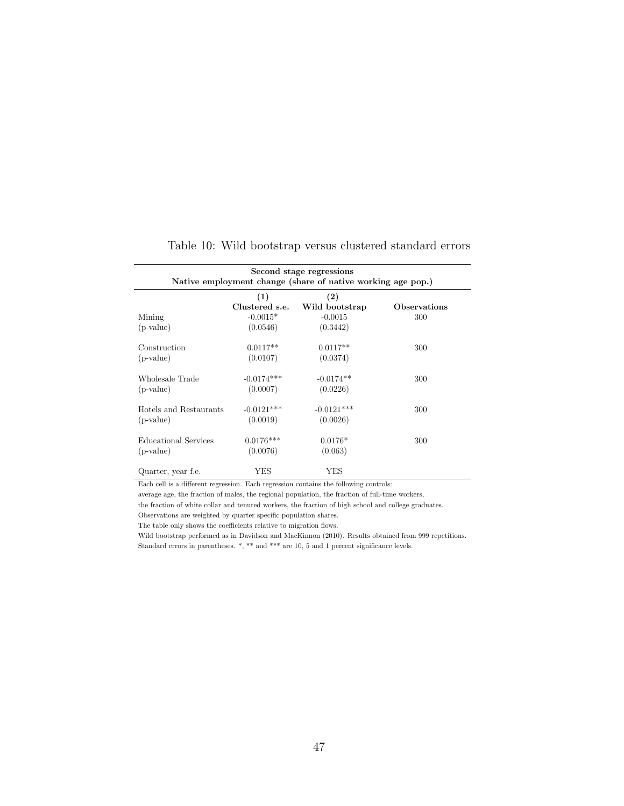| Second stage regressions<br>Native employment change (share of native working age pop.) |                |                   |              |  |
|-----------------------------------------------------------------------------------------|----------------|-------------------|--------------|--|
|                                                                                         |                |                   |              |  |
|                                                                                         | (1)            | $\left( 2\right)$ |              |  |
|                                                                                         | Clustered s.e. | Wild bootstrap    | Observations |  |
| Mining                                                                                  | $-0.0015*$     | $-0.0015$         | 300          |  |
| (p-value)                                                                               | (0.0546)       | (0.3442)          |              |  |
| Construction                                                                            | $0.0117**$     | $0.0117**$        | 300          |  |
| (p-value)                                                                               | (0.0107)       | (0.0374)          |              |  |
| Wholesale Trade                                                                         | $-0.0174***$   | $-0.0174**$       | 300          |  |
| $(p-value)$                                                                             | (0.0007)       | (0.0226)          |              |  |
| Hotels and Restaurants                                                                  | $-0.0121***$   | $-0.0121***$      | 300          |  |
| (p-value)                                                                               | (0.0019)       | (0.0026)          |              |  |
| Educational Services                                                                    | $0.0176***$    | $0.0176*$         | 300          |  |
| $(p-value)$                                                                             | (0.0076)       | (0.063)           |              |  |
| Quarter, year f.e.                                                                      | YES            | YES               |              |  |

### Table 10: Wild bootstrap versus clustered standard errors

Each cell is a different regression. Each regression contains the following controls:

average age, the fraction of males, the regional population, the fraction of full-time workers,

the fraction of white collar and tenured workers, the fraction of high school and college graduates. Observations are weighted by quarter specific population shares.

The table only shows the coefficients relative to migration flows.

Wild bootstrap performed as in Davidson and MacKinnon (2010). Results obtained from 999 repetitions. Standard errors in parentheses.  $^\ast,$   $^{\ast\ast}$  and  $^{\ast\ast\ast}$  are 10, 5 and 1 percent significance levels.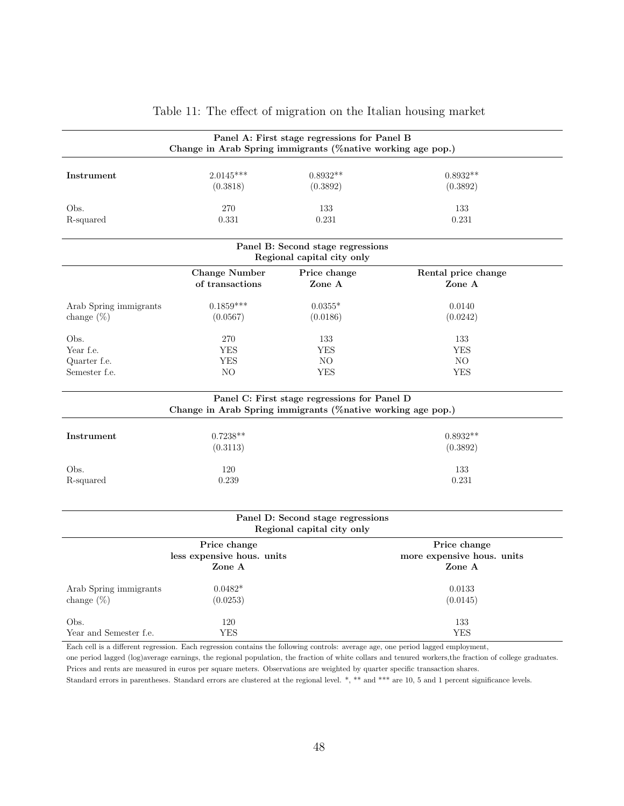| Panel A: First stage regressions for Panel B<br>Change in Arab Spring immigrants (%native working age pop.) |                                                      |              |                                                      |  |  |
|-------------------------------------------------------------------------------------------------------------|------------------------------------------------------|--------------|------------------------------------------------------|--|--|
| Instrument                                                                                                  | $2.0145***$                                          | $0.8932**$   | $0.8932**$                                           |  |  |
|                                                                                                             | (0.3818)                                             | (0.3892)     | (0.3892)                                             |  |  |
| Obs.                                                                                                        | 270                                                  | 133          | 133                                                  |  |  |
| R-squared                                                                                                   | 0.331                                                | 0.231        | 0.231                                                |  |  |
| Panel B: Second stage regressions<br>Regional capital city only                                             |                                                      |              |                                                      |  |  |
|                                                                                                             | <b>Change Number</b>                                 | Price change | Rental price change                                  |  |  |
|                                                                                                             | of transactions                                      | Zone A       | Zone A                                               |  |  |
| Arab Spring immigrants                                                                                      | $0.1859***$                                          | $0.0355*$    | 0.0140                                               |  |  |
| change $(\%)$                                                                                               | (0.0567)                                             | (0.0186)     | (0.0242)                                             |  |  |
| Obs.                                                                                                        | 270                                                  | 133          | 133                                                  |  |  |
| Year f.e.                                                                                                   | <b>YES</b>                                           | YES          | <b>YES</b>                                           |  |  |
| Quarter f.e.                                                                                                | YES                                                  | NO.          | NO.                                                  |  |  |
| Semester f.e.                                                                                               | N <sub>O</sub>                                       | <b>YES</b>   | <b>YES</b>                                           |  |  |
| Panel C: First stage regressions for Panel D<br>Change in Arab Spring immigrants (%native working age pop.) |                                                      |              |                                                      |  |  |
| Instrument                                                                                                  | $0.7238**$<br>(0.3113)                               |              | $0.8932**$<br>(0.3892)                               |  |  |
| Obs.                                                                                                        | 120                                                  |              | 133                                                  |  |  |
| R-squared                                                                                                   | 0.239                                                |              | 0.231                                                |  |  |
| Panel D: Second stage regressions<br>Regional capital city only                                             |                                                      |              |                                                      |  |  |
|                                                                                                             | Price change<br>less expensive hous. units<br>Zone A |              | Price change<br>more expensive hous. units<br>Zone A |  |  |
| Arab Spring immigrants                                                                                      | $0.0482*$                                            |              | 0.0133                                               |  |  |
| change $(\%)$                                                                                               | (0.0253)                                             |              | (0.0145)                                             |  |  |
| Obs.                                                                                                        | 120                                                  |              | 133                                                  |  |  |
| Year and Semester f.e.                                                                                      | <b>YES</b>                                           |              | <b>YES</b>                                           |  |  |

### Table 11: The effect of migration on the Italian housing market

Each cell is a different regression. Each regression contains the following controls: average age, one period lagged employment,

one period lagged (log)average earnings, the regional population, the fraction of white collars and tenured workers,the fraction of college graduates. Prices and rents are measured in euros per square meters. Observations are weighted by quarter specific transaction shares.

Standard errors in parentheses. Standard errors are clustered at the regional level. \*, \*\* and \*\*\* are 10, 5 and 1 percent significance levels.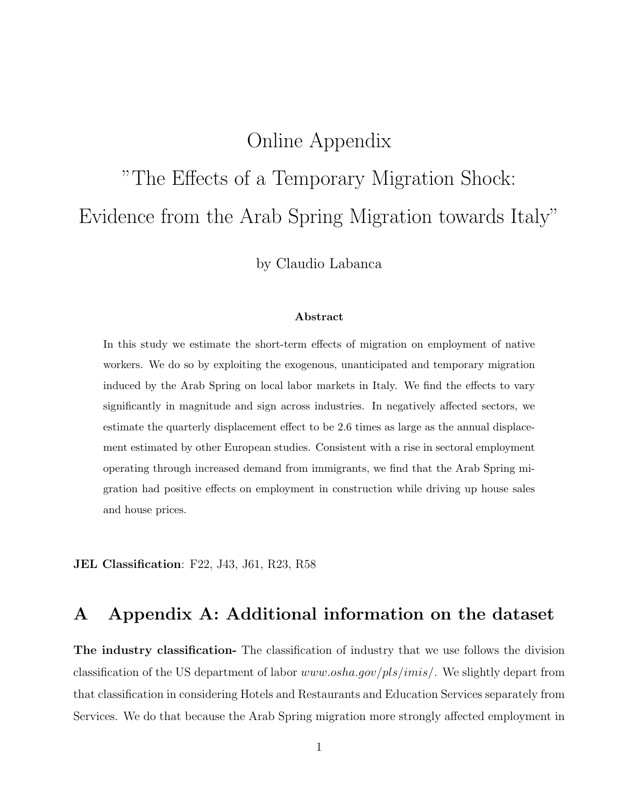# Online Appendix

# "The Effects of a Temporary Migration Shock: Evidence from the Arab Spring Migration towards Italy"

by Claudio Labanca

#### Abstract

In this study we estimate the short-term effects of migration on employment of native workers. We do so by exploiting the exogenous, unanticipated and temporary migration induced by the Arab Spring on local labor markets in Italy. We find the effects to vary significantly in magnitude and sign across industries. In negatively affected sectors, we estimate the quarterly displacement effect to be 2.6 times as large as the annual displacement estimated by other European studies. Consistent with a rise in sectoral employment operating through increased demand from immigrants, we find that the Arab Spring migration had positive effects on employment in construction while driving up house sales and house prices.

JEL Classification: F22, J43, J61, R23, R58

# A Appendix A: Additional information on the dataset

The industry classification- The classification of industry that we use follows the division classification of the US department of labor www.osha.gov/pls/imis/. We slightly depart from that classification in considering Hotels and Restaurants and Education Services separately from Services. We do that because the Arab Spring migration more strongly affected employment in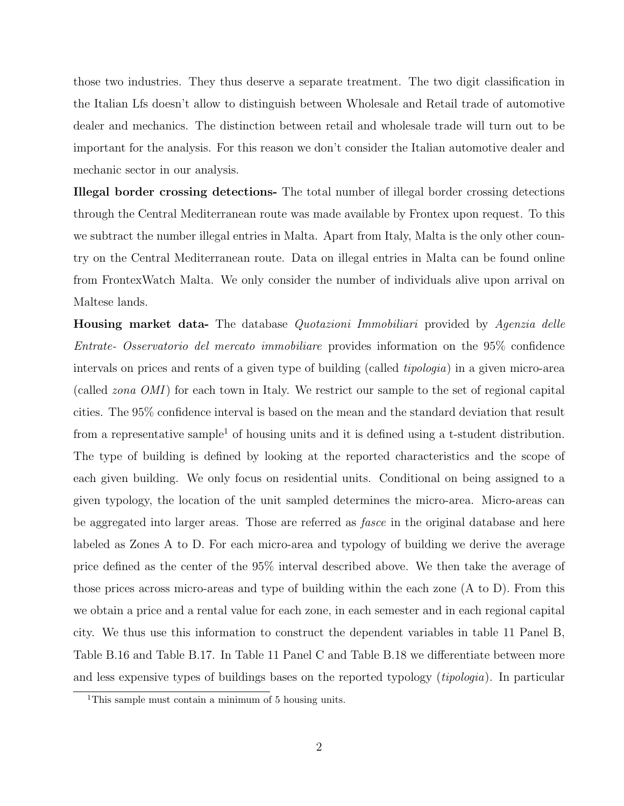those two industries. They thus deserve a separate treatment. The two digit classification in the Italian Lfs doesn't allow to distinguish between Wholesale and Retail trade of automotive dealer and mechanics. The distinction between retail and wholesale trade will turn out to be important for the analysis. For this reason we don't consider the Italian automotive dealer and mechanic sector in our analysis.

Illegal border crossing detections- The total number of illegal border crossing detections through the Central Mediterranean route was made available by Frontex upon request. To this we subtract the number illegal entries in Malta. Apart from Italy, Malta is the only other country on the Central Mediterranean route. Data on illegal entries in Malta can be found online from FrontexWatch Malta. We only consider the number of individuals alive upon arrival on Maltese lands.

**Housing market data-** The database *Quotazioni Immobiliari* provided by *Agenzia delle* Entrate- Osservatorio del mercato immobiliare provides information on the 95% confidence intervals on prices and rents of a given type of building (called tipologia) in a given micro-area (called zona OMI) for each town in Italy. We restrict our sample to the set of regional capital cities. The 95% confidence interval is based on the mean and the standard deviation that result from a representative sample<sup>[1](#page-49-0)</sup> of housing units and it is defined using a t-student distribution. The type of building is defined by looking at the reported characteristics and the scope of each given building. We only focus on residential units. Conditional on being assigned to a given typology, the location of the unit sampled determines the micro-area. Micro-areas can be aggregated into larger areas. Those are referred as fasce in the original database and here labeled as Zones A to D. For each micro-area and typology of building we derive the average price defined as the center of the 95% interval described above. We then take the average of those prices across micro-areas and type of building within the each zone (A to D). From this we obtain a price and a rental value for each zone, in each semester and in each regional capital city. We thus use this information to construct the dependent variables in table [11](#page-64-0) Panel B, Table [B.16](#page-67-0) and Table [B.17.](#page-68-0) In Table [11](#page-64-0) Panel C and Table [B.18](#page-69-0) we differentiate between more and less expensive types of buildings bases on the reported typology (tipologia). In particular

<span id="page-49-0"></span><sup>&</sup>lt;sup>1</sup>This sample must contain a minimum of 5 housing units.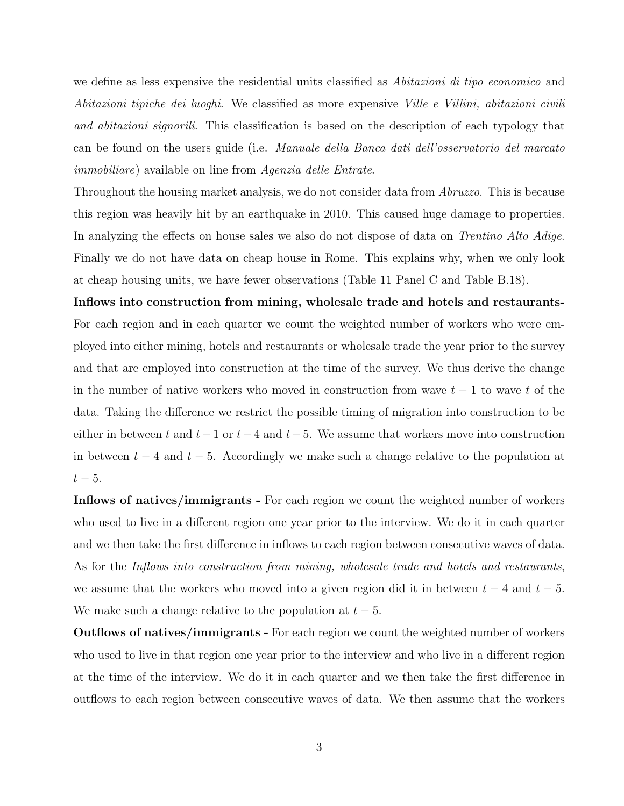we define as less expensive the residential units classified as *Abitazioni di tipo economico* and Abitazioni tipiche dei luoghi. We classified as more expensive Ville e Villini, abitazioni civili and abitazioni signorili. This classification is based on the description of each typology that can be found on the users guide (i.e. Manuale della Banca dati dell'osservatorio del marcato immobiliare) available on line from Agenzia delle Entrate.

Throughout the housing market analysis, we do not consider data from Abruzzo. This is because this region was heavily hit by an earthquake in 2010. This caused huge damage to properties. In analyzing the effects on house sales we also do not dispose of data on *Trentino Alto Adige*. Finally we do not have data on cheap house in Rome. This explains why, when we only look at cheap housing units, we have fewer observations (Table [11](#page-64-0) Panel C and Table [B.18\)](#page-69-0).

Inflows into construction from mining, wholesale trade and hotels and restaurants-For each region and in each quarter we count the weighted number of workers who were employed into either mining, hotels and restaurants or wholesale trade the year prior to the survey and that are employed into construction at the time of the survey. We thus derive the change in the number of native workers who moved in construction from wave  $t-1$  to wave t of the data. Taking the difference we restrict the possible timing of migration into construction to be either in between t and  $t-1$  or  $t-4$  and  $t-5$ . We assume that workers move into construction in between  $t - 4$  and  $t - 5$ . Accordingly we make such a change relative to the population at  $t-5$ .

Inflows of natives/immigrants - For each region we count the weighted number of workers who used to live in a different region one year prior to the interview. We do it in each quarter and we then take the first difference in inflows to each region between consecutive waves of data. As for the Inflows into construction from mining, wholesale trade and hotels and restaurants, we assume that the workers who moved into a given region did it in between  $t - 4$  and  $t - 5$ . We make such a change relative to the population at  $t - 5$ .

Outflows of natives/immigrants - For each region we count the weighted number of workers who used to live in that region one year prior to the interview and who live in a different region at the time of the interview. We do it in each quarter and we then take the first difference in outflows to each region between consecutive waves of data. We then assume that the workers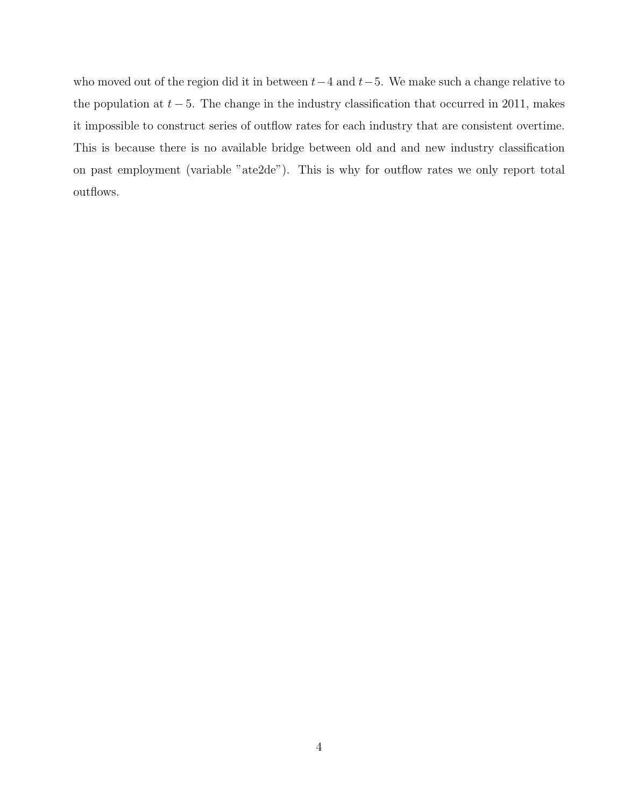who moved out of the region did it in between  $t-4$  and  $t-5$ . We make such a change relative to the population at  $t - 5$ . The change in the industry classification that occurred in 2011, makes it impossible to construct series of outflow rates for each industry that are consistent overtime. This is because there is no available bridge between old and and new industry classification on past employment (variable "ate2de"). This is why for outflow rates we only report total outflows.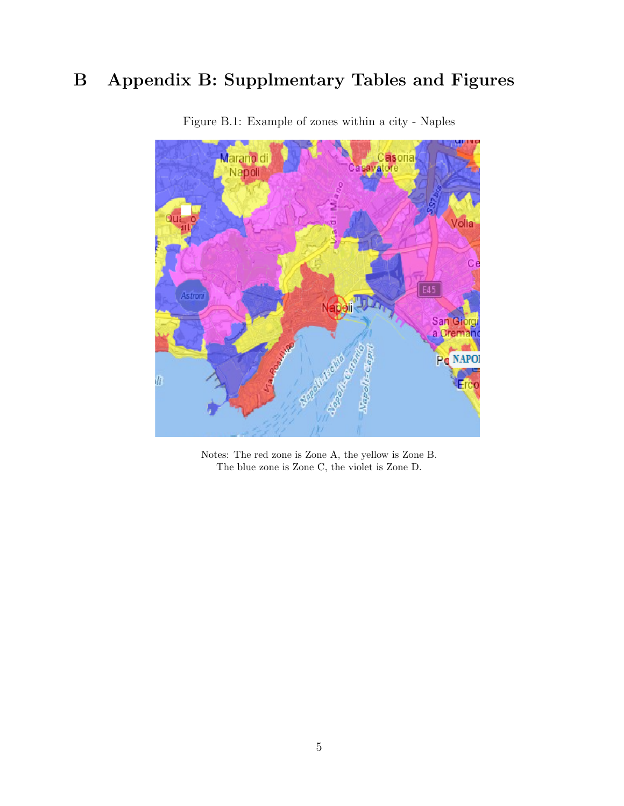# <span id="page-52-0"></span>B Appendix B: Supplmentary Tables and Figures



Figure B.1: Example of zones within a city - Naples

Notes: The red zone is Zone A, the yellow is Zone B. The blue zone is Zone C, the violet is Zone D.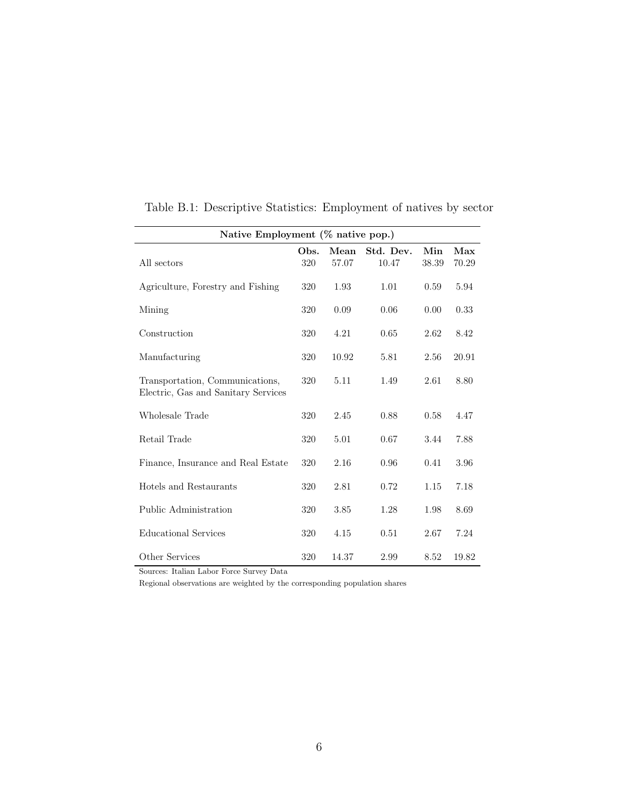| Native Employment (% native pop.)                                      |             |               |                    |              |              |  |  |  |  |  |
|------------------------------------------------------------------------|-------------|---------------|--------------------|--------------|--------------|--|--|--|--|--|
| All sectors                                                            | Obs.<br>320 | Mean<br>57.07 | Std. Dev.<br>10.47 | Min<br>38.39 | Max<br>70.29 |  |  |  |  |  |
| Agriculture, Forestry and Fishing                                      | 320         | 1.93          | 1.01               | 0.59         | 5.94         |  |  |  |  |  |
| Mining                                                                 | 320         | 0.09          | 0.06               | 0.00         | 0.33         |  |  |  |  |  |
| Construction                                                           | 320         | 4.21          | 0.65               | 2.62         | 8.42         |  |  |  |  |  |
| Manufacturing                                                          | 320         | 10.92         | 5.81               | 2.56         | 20.91        |  |  |  |  |  |
| Transportation, Communications,<br>Electric, Gas and Sanitary Services | 320         | 5.11          | 1.49               | 2.61         | 8.80         |  |  |  |  |  |
| Wholesale Trade                                                        | 320         | 2.45          | 0.88               | 0.58         | 4.47         |  |  |  |  |  |
| Retail Trade                                                           | 320         | 5.01          | 0.67               | 3.44         | 7.88         |  |  |  |  |  |
| Finance, Insurance and Real Estate                                     | 320         | 2.16          | 0.96               | 0.41         | 3.96         |  |  |  |  |  |
| Hotels and Restaurants                                                 | 320         | 2.81          | 0.72               | 1.15         | 7.18         |  |  |  |  |  |
| Public Administration                                                  | 320         | 3.85          | 1.28               | 1.98         | 8.69         |  |  |  |  |  |
| <b>Educational Services</b>                                            | 320         | 4.15          | 0.51               | 2.67         | 7.24         |  |  |  |  |  |
| Other Services                                                         | 320         | 14.37         | 2.99               | 8.52         | 19.82        |  |  |  |  |  |

Table B.1: Descriptive Statistics: Employment of natives by sector

Sources: Italian Labor Force Survey Data

Regional observations are weighted by the corresponding population shares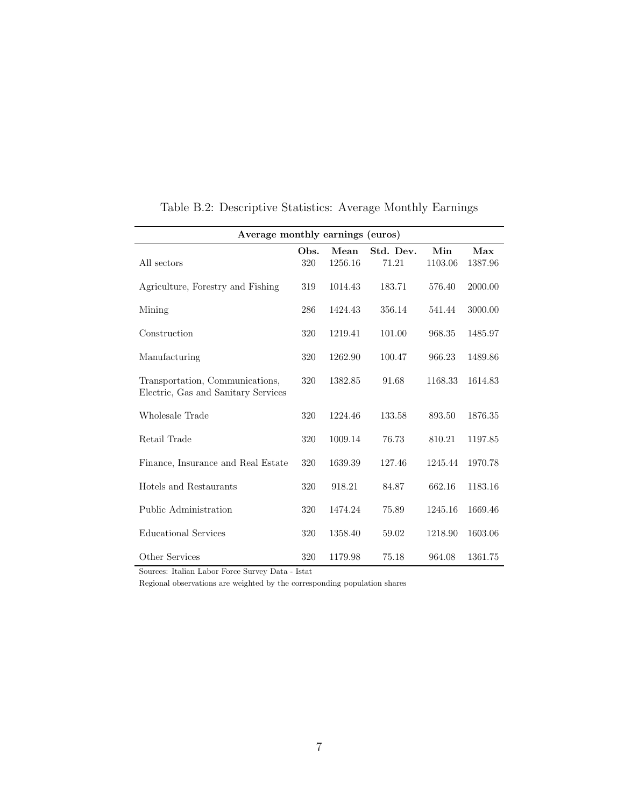| Average monthly earnings (euros)                                       |             |                 |                    |                |                |  |  |  |  |  |
|------------------------------------------------------------------------|-------------|-----------------|--------------------|----------------|----------------|--|--|--|--|--|
| All sectors                                                            | Obs.<br>320 | Mean<br>1256.16 | Std. Dev.<br>71.21 | Min<br>1103.06 | Max<br>1387.96 |  |  |  |  |  |
| Agriculture, Forestry and Fishing                                      | 319         | 1014.43         | 183.71             | 576.40         | 2000.00        |  |  |  |  |  |
| Mining                                                                 | 286         | 1424.43         | 356.14             | 541.44         | 3000.00        |  |  |  |  |  |
| Construction                                                           | 320         | 1219.41         | 101.00             | 968.35         | 1485.97        |  |  |  |  |  |
| Manufacturing                                                          | 320         | 1262.90         | 100.47             | 966.23         | 1489.86        |  |  |  |  |  |
| Transportation, Communications,<br>Electric, Gas and Sanitary Services | 320         | 1382.85         | 91.68              | 1168.33        | 1614.83        |  |  |  |  |  |
| Wholesale Trade                                                        | 320         | 1224.46         | 133.58             | 893.50         | 1876.35        |  |  |  |  |  |
| Retail Trade                                                           | 320         | 1009.14         | 76.73              | 810.21         | 1197.85        |  |  |  |  |  |
| Finance, Insurance and Real Estate                                     | 320         | 1639.39         | 127.46             | 1245.44        | 1970.78        |  |  |  |  |  |
| Hotels and Restaurants                                                 | 320         | 918.21          | 84.87              | 662.16         | 1183.16        |  |  |  |  |  |
| Public Administration                                                  | 320         | 1474.24         | 75.89              | 1245.16        | 1669.46        |  |  |  |  |  |
| <b>Educational Services</b>                                            | 320         | 1358.40         | 59.02              | 1218.90        | 1603.06        |  |  |  |  |  |
| Other Services                                                         | 320         | 1179.98         | 75.18              | 964.08         | 1361.75        |  |  |  |  |  |

Table B.2: Descriptive Statistics: Average Monthly Earnings

Sources: Italian Labor Force Survey Data - Istat

Regional observations are weighted by the corresponding population shares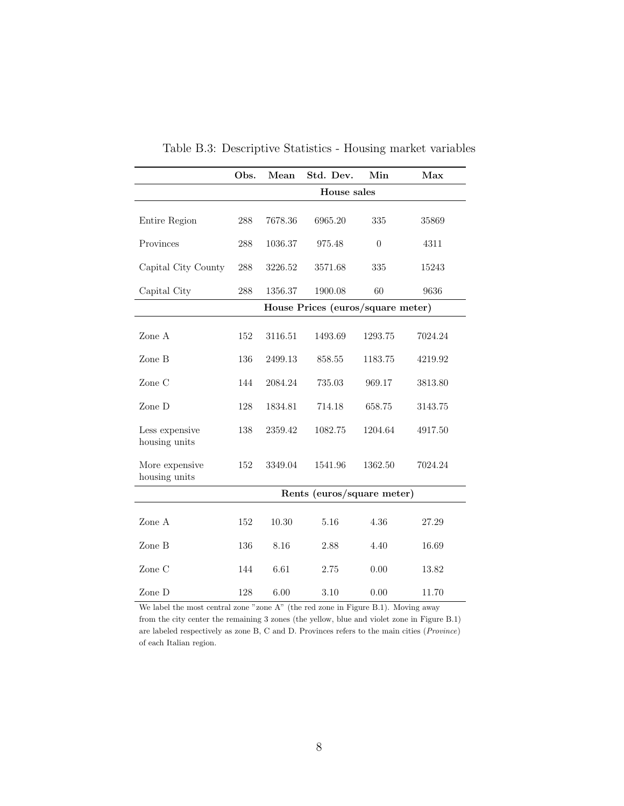|                                 | Obs. | Mean    | Std. Dev.                         | Min            | Max     |
|---------------------------------|------|---------|-----------------------------------|----------------|---------|
|                                 |      |         | House sales                       |                |         |
| Entire Region                   | 288  | 7678.36 | 6965.20                           | 335            | 35869   |
| Provinces                       | 288  | 1036.37 | 975.48                            | $\overline{0}$ | 4311    |
| Capital City County             | 288  | 3226.52 | 3571.68                           | 335            | 15243   |
| Capital City                    | 288  | 1356.37 | 1900.08                           | 60             | 9636    |
|                                 |      |         | House Prices (euros/square meter) |                |         |
| Zone A                          | 152  | 3116.51 | 1493.69                           | 1293.75        | 7024.24 |
| Zone B                          | 136  | 2499.13 | 858.55                            | 1183.75        | 4219.92 |
| Zone C                          | 144  | 2084.24 | 735.03                            | 969.17         | 3813.80 |
| Zone D                          | 128  | 1834.81 | 714.18                            | 658.75         | 3143.75 |
| Less expensive<br>housing units | 138  | 2359.42 | 1082.75                           | 1204.64        | 4917.50 |
| More expensive<br>housing units | 152  | 3349.04 | 1541.96                           | 1362.50        | 7024.24 |
|                                 |      |         | Rents (euros/square meter)        |                |         |
| Zone A                          | 152  | 10.30   | 5.16                              | 4.36           | 27.29   |
| Zone B                          | 136  | 8.16    | 2.88                              | 4.40           | 16.69   |
| Zone C                          | 144  | 6.61    | 2.75                              | 0.00           | 13.82   |
| Zone D                          | 128  | 6.00    | 3.10                              | 0.00           | 11.70   |

Table B.3: Descriptive Statistics - Housing market variables

We label the most central zone "zone A" (the red zone in Figure [B.1\)](#page-52-0). Moving away from the city center the remaining 3 zones (the yellow, blue and violet zone in Figure [B.1\)](#page-52-0) are labeled respectively as zone B, C and D. Provinces refers to the main cities (Province) of each Italian region.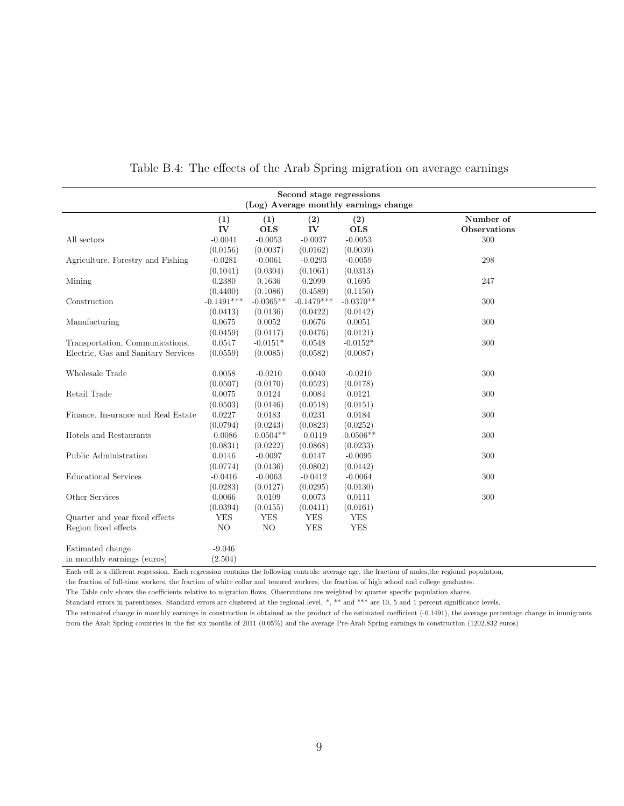| Second stage regressions<br>(Log) Average monthly earnings change |              |                   |              |                   |                           |  |  |
|-------------------------------------------------------------------|--------------|-------------------|--------------|-------------------|---------------------------|--|--|
|                                                                   | (1)<br>IV    | (1)<br><b>OLS</b> | (2)<br>IV    | (2)<br><b>OLS</b> | Number of<br>Observations |  |  |
| All sectors                                                       | $-0.0041$    | $-0.0053$         | $-0.0037$    | $-0.0053$         | 300                       |  |  |
|                                                                   | (0.0156)     | (0.0037)          | (0.0162)     | (0.0039)          |                           |  |  |
| Agriculture, Forestry and Fishing                                 | $-0.0281$    | $-0.0061$         | $-0.0293$    | $-0.0059$         | 298                       |  |  |
|                                                                   | (0.1041)     | (0.0304)          | (0.1061)     | (0.0313)          |                           |  |  |
| Mining                                                            | 0.2380       | 0.1636            | 0.2099       | 0.1695            | 247                       |  |  |
|                                                                   | (0.4400)     | (0.1086)          | (0.4589)     | (0.1150)          |                           |  |  |
| Construction                                                      | $-0.1491***$ | $-0.0365**$       | $-0.1479***$ | $-0.0370**$       | 300                       |  |  |
|                                                                   | (0.0413)     | (0.0136)          | (0.0422)     | (0.0142)          |                           |  |  |
| Manufacturing                                                     | 0.0675       | 0.0052            | 0.0676       | 0.0051            | 300                       |  |  |
|                                                                   | (0.0459)     | (0.0117)          | (0.0476)     | (0.0121)          |                           |  |  |
| Transportation, Communications,                                   | 0.0547       | $-0.0151*$        | 0.0548       | $-0.0152*$        | 300                       |  |  |
| Electric, Gas and Sanitary Services                               | (0.0559)     | (0.0085)          | (0.0582)     | (0.0087)          |                           |  |  |
|                                                                   |              |                   |              |                   |                           |  |  |
| Wholesale Trade                                                   | 0.0058       | $-0.0210$         | 0.0040       | $-0.0210$         | 300                       |  |  |
|                                                                   | (0.0507)     | (0.0170)          | (0.0523)     | (0.0178)          |                           |  |  |
| Retail Trade                                                      | 0.0075       | 0.0124            | 0.0084       | 0.0121            | 300                       |  |  |
|                                                                   | (0.0503)     | (0.0146)          | (0.0518)     | (0.0151)          |                           |  |  |
| Finance, Insurance and Real Estate                                | 0.0227       | 0.0183            | 0.0231       | 0.0184            | 300                       |  |  |
|                                                                   | (0.0794)     | (0.0243)          | (0.0823)     | (0.0252)          |                           |  |  |
| Hotels and Restaurants                                            | $-0.0086$    | $-0.0504**$       | $-0.0119$    | $-0.0506**$       | 300                       |  |  |
|                                                                   | (0.0831)     | (0.0222)          | (0.0868)     | (0.0233)          |                           |  |  |
| Public Administration                                             | 0.0146       | $-0.0097$         | 0.0147       | $-0.0095$         | 300                       |  |  |
|                                                                   | (0.0774)     | (0.0136)          | (0.0802)     | (0.0142)          |                           |  |  |
| <b>Educational Services</b>                                       | $-0.0416$    | $-0.0063$         | $-0.0412$    | $-0.0064$         | 300                       |  |  |
|                                                                   | (0.0283)     | (0.0127)          | (0.0295)     | (0.0130)          |                           |  |  |
| Other Services                                                    | 0.0066       | 0.0109            | 0.0073       | 0.0111            | 300                       |  |  |
|                                                                   | (0.0394)     | (0.0155)          | (0.0411)     | (0.0161)          |                           |  |  |
| Quarter and year fixed effects                                    | <b>YES</b>   | <b>YES</b>        | <b>YES</b>   | <b>YES</b>        |                           |  |  |
| Region fixed effects                                              | NO           | NO                | <b>YES</b>   | <b>YES</b>        |                           |  |  |
|                                                                   |              |                   |              |                   |                           |  |  |
| Estimated change                                                  | $-9.046$     |                   |              |                   |                           |  |  |
| in monthly earnings (euros)                                       | (2.504)      |                   |              |                   |                           |  |  |

### Table B.4: The effects of the Arab Spring migration on average earnings

Each cell is a different regression. Each regression contains the following controls: average age, the fraction of males,the regional population,

the fraction of full-time workers, the fraction of white collar and tenured workers, the fraction of high school and college graduates.

The Table only shows the coefficients relative to migration flows. Observations are weighted by quarter specific population shares.

Standard errors in parentheses. Standard errors are clustered at the regional level. \*, \*\* and \*\*\* are 10, 5 and 1 percent significance levels.

The estimated change in monthly earnings in construction is obtained as the product of the estimated coefficient (-0.1491), the average percentage change in immigrants from the Arab Spring countries in the fist six months of 2011 (0.05%) and the average Pre-Arab Spring earnings in construction (1202.832 euros)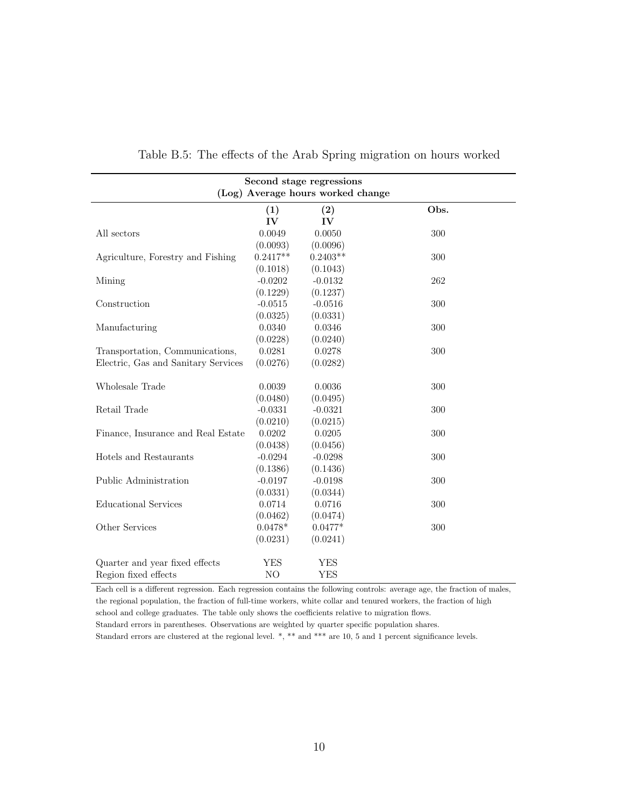| Second stage regressions<br>(Log) Average hours worked change |                        |                      |      |  |  |  |
|---------------------------------------------------------------|------------------------|----------------------|------|--|--|--|
|                                                               | $\left(1\right)$<br>IV | (2)<br>$\mathbf{IV}$ | Obs. |  |  |  |
| All sectors                                                   | 0.0049                 | 0.0050               | 300  |  |  |  |
|                                                               | (0.0093)               | (0.0096)             |      |  |  |  |
| Agriculture, Forestry and Fishing                             | $0.2417**$             | $0.2403**$           | 300  |  |  |  |
|                                                               | (0.1018)               | (0.1043)             |      |  |  |  |
| Mining                                                        | $-0.0202$              | $-0.0132$            | 262  |  |  |  |
|                                                               | (0.1229)               | (0.1237)             |      |  |  |  |
| Construction                                                  | $-0.0515$              | $-0.0516$            | 300  |  |  |  |
|                                                               | (0.0325)               | (0.0331)             |      |  |  |  |
| Manufacturing                                                 | 0.0340                 | 0.0346               | 300  |  |  |  |
|                                                               | (0.0228)               | (0.0240)             |      |  |  |  |
| Transportation, Communications,                               | 0.0281                 | 0.0278               | 300  |  |  |  |
| Electric, Gas and Sanitary Services                           | (0.0276)               | (0.0282)             |      |  |  |  |
|                                                               |                        |                      |      |  |  |  |
| Wholesale Trade                                               | 0.0039                 | 0.0036               | 300  |  |  |  |
|                                                               | (0.0480)               | (0.0495)             |      |  |  |  |
| Retail Trade                                                  | $-0.0331$              | $-0.0321$            | 300  |  |  |  |
|                                                               | (0.0210)               | (0.0215)             |      |  |  |  |
| Finance, Insurance and Real Estate                            | 0.0202                 | 0.0205               | 300  |  |  |  |
|                                                               | (0.0438)               | (0.0456)             |      |  |  |  |
| Hotels and Restaurants                                        | $-0.0294$              | $-0.0298$            | 300  |  |  |  |
|                                                               | (0.1386)               | (0.1436)             |      |  |  |  |
| Public Administration                                         | $-0.0197$              | $-0.0198$            | 300  |  |  |  |
|                                                               | (0.0331)               | (0.0344)             |      |  |  |  |
| <b>Educational Services</b>                                   | 0.0714                 | 0.0716               | 300  |  |  |  |
|                                                               | (0.0462)               | (0.0474)             |      |  |  |  |
| Other Services                                                | $0.0478*$              | $0.0477*$            | 300  |  |  |  |
|                                                               | (0.0231)               | (0.0241)             |      |  |  |  |
| Quarter and year fixed effects                                | YES                    | <b>YES</b>           |      |  |  |  |
| Region fixed effects                                          | $\rm NO$               | <b>YES</b>           |      |  |  |  |

Table B.5: The effects of the Arab Spring migration on hours worked

Each cell is a different regression. Each regression contains the following controls: average age, the fraction of males, the regional population, the fraction of full-time workers, white collar and tenured workers, the fraction of high school and college graduates. The table only shows the coefficients relative to migration flows.

Standard errors in parentheses. Observations are weighted by quarter specific population shares.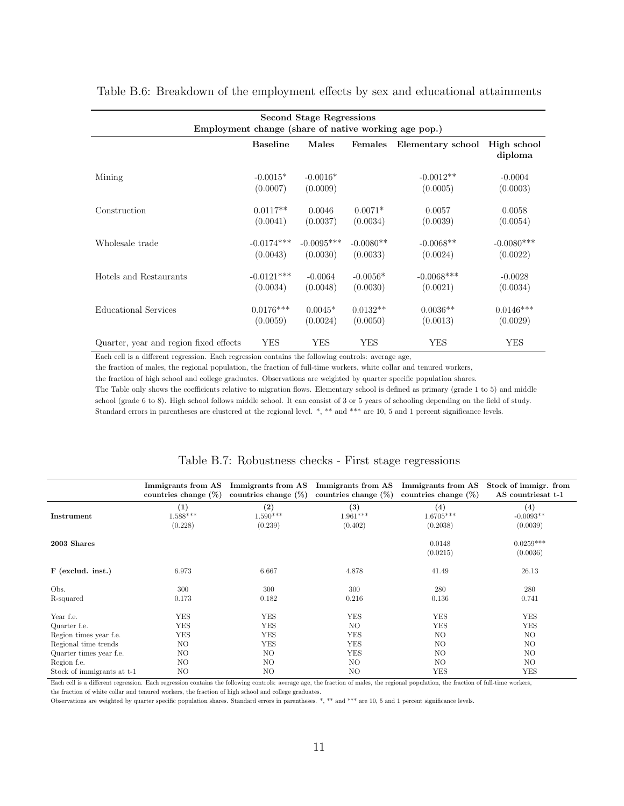| <b>Second Stage Regressions</b>                      |                          |                          |                         |                           |                          |  |  |  |  |
|------------------------------------------------------|--------------------------|--------------------------|-------------------------|---------------------------|--------------------------|--|--|--|--|
| Employment change (share of native working age pop.) |                          |                          |                         |                           |                          |  |  |  |  |
|                                                      | <b>Baseline</b>          | Males                    | Females                 | Elementary school         | High school<br>diploma   |  |  |  |  |
| Mining                                               | $-0.0015*$<br>(0.0007)   | $-0.0016*$<br>(0.0009)   |                         | $-0.0012**$<br>(0.0005)   | $-0.0004$<br>(0.0003)    |  |  |  |  |
| Construction                                         | $0.0117**$<br>(0.0041)   | 0.0046<br>(0.0037)       | $0.0071*$<br>(0.0034)   | 0.0057<br>(0.0039)        | 0.0058<br>(0.0054)       |  |  |  |  |
| Wholesale trade                                      | $-0.0174***$<br>(0.0043) | $-0.0095***$<br>(0.0030) | $-0.0080**$<br>(0.0033) | $-0.0068**$<br>(0.0024)   | $-0.0080***$<br>(0.0022) |  |  |  |  |
| Hotels and Restaurants                               | $-0.0121***$<br>(0.0034) | $-0.0064$<br>(0.0048)    | $-0.0056*$<br>(0.0030)  | $-0.0068$ ***<br>(0.0021) | $-0.0028$<br>(0.0034)    |  |  |  |  |
| Educational Services                                 | $0.0176***$<br>(0.0059)  | $0.0045*$<br>(0.0024)    | $0.0132**$<br>(0.0050)  | $0.0036**$<br>(0.0013)    | $0.0146***$<br>(0.0029)  |  |  |  |  |
| Quarter, year and region fixed effects               | YES                      | <b>YES</b>               | YES                     | <b>YES</b>                | <b>YES</b>               |  |  |  |  |

Table B.6: Breakdown of the employment effects by sex and educational attainments

Each cell is a different regression. Each regression contains the following controls: average age,

the fraction of males, the regional population, the fraction of full-time workers, white collar and tenured workers,

the fraction of high school and college graduates. Observations are weighted by quarter specific population shares.

The Table only shows the coefficients relative to migration flows. Elementary school is defined as primary (grade 1 to 5) and middle school (grade 6 to 8). High school follows middle school. It can consist of 3 or 5 years of schooling depending on the field of study. Standard errors in parentheses are clustered at the regional level. \*, \*\* and \*\*\* are 10, 5 and 1 percent significance levels.

| Table B.7: Robustness checks - First stage regressions |  |  |
|--------------------------------------------------------|--|--|
|                                                        |  |  |

<span id="page-58-0"></span>

|                            | Immigrants from AS<br>countries change $(\%)$ | Immigrants from AS<br>countries change $(\%)$ | Immigrants from AS<br>countries change $(\%)$ | Immigrants from AS<br>countries change $(\%)$ | Stock of immigr. from<br>AS countries at t-1 |
|----------------------------|-----------------------------------------------|-----------------------------------------------|-----------------------------------------------|-----------------------------------------------|----------------------------------------------|
|                            | (1)                                           | (2)                                           | (3)                                           | (4)                                           | (4)                                          |
| Instrument                 | 1.588***                                      | $1.590***$                                    | $1.961***$                                    | $1.6705***$                                   | $-0.0093**$                                  |
|                            | (0.228)                                       | (0.239)                                       | (0.402)                                       | (0.2038)                                      | (0.0039)                                     |
| 2003 Shares                |                                               |                                               |                                               | 0.0148                                        | $0.0259***$                                  |
|                            |                                               |                                               |                                               | (0.0215)                                      | (0.0036)                                     |
| $F$ (exclud. inst.)        | 6.973                                         | 6.667                                         | 4.878                                         | 41.49                                         | 26.13                                        |
| Obs.                       | 300                                           | 300                                           | 300                                           | 280                                           | 280                                          |
| R-squared                  | 0.173                                         | 0.182                                         | 0.216                                         | 0.136                                         | 0.741                                        |
| Year f.e.                  | <b>YES</b>                                    | <b>YES</b>                                    | <b>YES</b>                                    | <b>YES</b>                                    | <b>YES</b>                                   |
| Quarter f.e.               | <b>YES</b>                                    | <b>YES</b>                                    | NO.                                           | <b>YES</b>                                    | <b>YES</b>                                   |
| Region times year f.e.     | <b>YES</b>                                    | <b>YES</b>                                    | <b>YES</b>                                    | NO.                                           | NO                                           |
| Regional time trends       | NO                                            | <b>YES</b>                                    | <b>YES</b>                                    | NO.                                           | NO.                                          |
| Quarter times year f.e.    | NΟ                                            | NO.                                           | <b>YES</b>                                    | NO.                                           | NO.                                          |
| Region f.e.                | NO                                            | NO.                                           | NO.                                           | NO.                                           | NO.                                          |
| Stock of immigrants at t-1 | NO                                            | NO.                                           | NO.                                           | YES                                           | <b>YES</b>                                   |

Each cell is a different regression. Each regression contains the following controls: average age, the fraction of males, the regional population, the fraction of full-time workers, the fraction of white collar and tenured workers, the fraction of high school and college graduates.

Observations are weighted by quarter specific population shares. Standard errors in parentheses. \*, \*\* and \*\*\* are 10, 5 and 1 percent significance levels.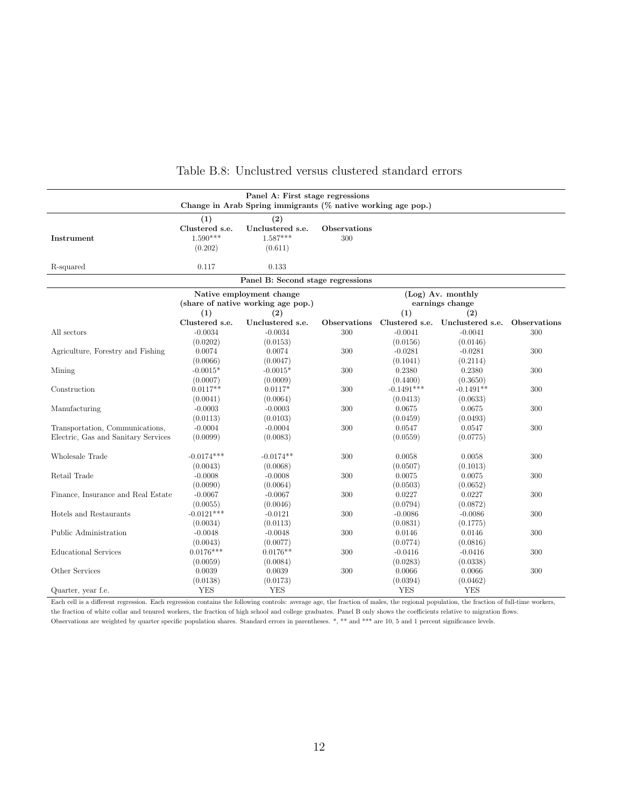|                                                              |                                         | Panel A: First stage regressions                               |                     |                       |                                        |              |  |  |
|--------------------------------------------------------------|-----------------------------------------|----------------------------------------------------------------|---------------------|-----------------------|----------------------------------------|--------------|--|--|
| Change in Arab Spring immigrants (% native working age pop.) |                                         |                                                                |                     |                       |                                        |              |  |  |
| (2)<br>(1)                                                   |                                         |                                                                |                     |                       |                                        |              |  |  |
| Instrument                                                   | Clustered s.e.<br>$1.590***$<br>(0.202) | Unclustered s.e.<br>$1.587***$<br>(0.611)                      | Observations<br>300 |                       |                                        |              |  |  |
| R-squared                                                    | 0.117                                   | 0.133                                                          |                     |                       |                                        |              |  |  |
|                                                              |                                         | Panel B: Second stage regressions                              |                     |                       |                                        |              |  |  |
|                                                              |                                         | Native employment change<br>(share of native working age pop.) |                     |                       | $(Log)$ Av. monthly<br>earnings change |              |  |  |
|                                                              | (1)<br>Clustered s.e.                   | $^{\rm (2)}$<br>Unclustered s.e.                               | <b>Observations</b> | (1)<br>Clustered s.e. | (2)<br>Unclustered s.e.                | Observations |  |  |
| All sectors                                                  | $-0.0034$                               | $-0.0034$                                                      | 300                 | $-0.0041$             | $-0.0041$                              | 300          |  |  |
|                                                              | (0.0202)                                | (0.0153)                                                       |                     | (0.0156)              | (0.0146)                               |              |  |  |
| Agriculture, Forestry and Fishing                            | 0.0074                                  | 0.0074                                                         | 300                 | $-0.0281$             | $-0.0281$                              | 300          |  |  |
|                                                              | (0.0066)                                | (0.0047)                                                       |                     | (0.1041)              | (0.2114)                               |              |  |  |
| Mining                                                       | $-0.0015*$                              | $-0.0015*$                                                     | 300                 | 0.2380                | 0.2380                                 | 300          |  |  |
|                                                              | (0.0007)                                | (0.0009)                                                       |                     | (0.4400)              | (0.3650)                               |              |  |  |
| Construction                                                 | $0.0117**$                              | $0.0117*$                                                      | 300                 | $-0.1491***$          | $-0.1491**$                            | 300          |  |  |
|                                                              | (0.0041)                                | (0.0064)                                                       |                     | (0.0413)              | (0.0633)                               |              |  |  |
| Manufacturing                                                | $-0.0003$                               | $-0.0003$                                                      | 300                 | 0.0675                | 0.0675                                 | 300          |  |  |
|                                                              | (0.0113)                                | (0.0103)                                                       |                     | (0.0459)              | (0.0493)                               |              |  |  |
| Transportation, Communications,                              | $-0.0004$                               | $-0.0004$                                                      | 300                 | 0.0547                | 0.0547                                 | 300          |  |  |
| Electric, Gas and Sanitary Services                          | (0.0099)                                | (0.0083)                                                       |                     | (0.0559)              | (0.0775)                               |              |  |  |
| Wholesale Trade                                              | $-0.0174***$                            | $-0.0174**$                                                    | 300                 | 0.0058                | 0.0058                                 | 300          |  |  |
|                                                              | (0.0043)                                | (0.0068)                                                       |                     | (0.0507)              | (0.1013)                               |              |  |  |
| Retail Trade                                                 | $-0.0008$                               | $-0.0008$                                                      | 300                 | 0.0075                | 0.0075                                 | 300          |  |  |
|                                                              | (0.0090)                                | (0.0064)                                                       |                     | (0.0503)              | (0.0652)                               |              |  |  |
| Finance, Insurance and Real Estate                           | $-0.0067$                               | $-0.0067$                                                      | 300                 | 0.0227                | 0.0227                                 | 300          |  |  |
|                                                              | (0.0055)                                | (0.0046)                                                       |                     | (0.0794)              | (0.0872)                               |              |  |  |
| Hotels and Restaurants                                       | $-0.0121***$                            | $-0.0121$                                                      | 300                 | $-0.0086$             | $-0.0086$                              | 300          |  |  |
|                                                              | (0.0034)                                | (0.0113)                                                       |                     | (0.0831)              | (0.1775)                               |              |  |  |
| Public Administration                                        | $-0.0048$                               | $-0.0048$                                                      | 300                 | 0.0146                | 0.0146                                 | 300          |  |  |
|                                                              | (0.0043)                                | (0.0077)                                                       |                     | (0.0774)              | (0.0816)                               |              |  |  |
| <b>Educational Services</b>                                  | $0.0176***$                             | $0.0176**$                                                     | 300                 | $-0.0416$             | $-0.0416$                              | 300          |  |  |
|                                                              | (0.0059)                                | (0.0084)                                                       |                     | (0.0283)              | (0.0338)                               |              |  |  |
| Other Services                                               | 0.0039                                  | 0.0039                                                         | 300                 | 0.0066                | 0.0066                                 | 300          |  |  |
|                                                              | (0.0138)                                | (0.0173)                                                       |                     | (0.0394)              | (0.0462)                               |              |  |  |
| Quarter, year f.e.                                           | <b>YES</b>                              | <b>YES</b>                                                     |                     | <b>YES</b>            | <b>YES</b>                             |              |  |  |

### Table B.8: Unclustred versus clustered standard errors

Each cell is a different regression. Each regression contains the following controls: average age, the fraction of males, the regional population, the fraction of full-time workers, the fraction of white collar and tenured workers, the fraction of high school and college graduates. Panel B only shows the coefficients relative to migration flows. Observations are weighted by quarter specific population shares. Standard errors in parentheses. \*, \*\* and \*\*\* are 10, 5 and 1 percent significance levels.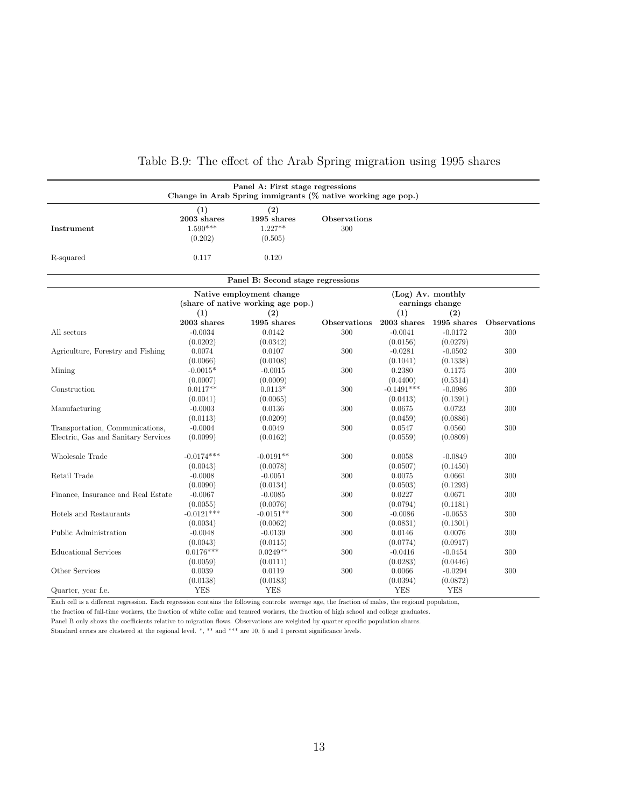| Panel A: First stage regressions<br>Change in Arab Spring immigrants $(\%$ native working age pop.)                                   |              |                                                                |                     |               |                                        |                     |  |  |
|---------------------------------------------------------------------------------------------------------------------------------------|--------------|----------------------------------------------------------------|---------------------|---------------|----------------------------------------|---------------------|--|--|
| (2)<br>(1)<br>2003 shares<br>1995 shares<br><b>Observations</b><br>$1.590***$<br>$1.227**$<br>300<br>Instrument<br>(0.202)<br>(0.505) |              |                                                                |                     |               |                                        |                     |  |  |
| R-squared                                                                                                                             | 0.117        | 0.120                                                          |                     |               |                                        |                     |  |  |
|                                                                                                                                       |              | Panel B: Second stage regressions                              |                     |               |                                        |                     |  |  |
|                                                                                                                                       |              | Native employment change<br>(share of native working age pop.) |                     |               | $(Log)$ Av. monthly<br>earnings change |                     |  |  |
|                                                                                                                                       | (1)          | (2)                                                            |                     | (1)           | (2)                                    |                     |  |  |
|                                                                                                                                       | 2003 shares  | 1995 shares                                                    | <b>Observations</b> | $2003$ shares | $1995$ shares                          | <b>Observations</b> |  |  |
| All sectors                                                                                                                           | $-0.0034$    | 0.0142                                                         | 300                 | $-0.0041$     | $-0.0172$                              | 300                 |  |  |
|                                                                                                                                       | (0.0202)     | (0.0342)                                                       |                     | (0.0156)      | (0.0279)                               |                     |  |  |
| Agriculture, Forestry and Fishing                                                                                                     | 0.0074       | 0.0107                                                         | 300                 | $-0.0281$     | $-0.0502$                              | 300                 |  |  |
|                                                                                                                                       | (0.0066)     | (0.0108)                                                       |                     | (0.1041)      | (0.1338)                               |                     |  |  |
| Mining                                                                                                                                | $-0.0015*$   | $-0.0015$                                                      | 300                 | 0.2380        | 0.1175                                 | 300                 |  |  |
|                                                                                                                                       | (0.0007)     | (0.0009)                                                       |                     | (0.4400)      | (0.5314)                               |                     |  |  |
| Construction                                                                                                                          | $0.0117**$   | $0.0113*$                                                      | 300                 | $-0.1491***$  | $-0.0986$                              | 300                 |  |  |
|                                                                                                                                       | (0.0041)     | (0.0065)                                                       |                     | (0.0413)      | (0.1391)                               |                     |  |  |
| Manufacturing                                                                                                                         | $-0.0003$    | 0.0136                                                         | 300                 | 0.0675        | 0.0723                                 | 300                 |  |  |
|                                                                                                                                       | (0.0113)     | (0.0209)                                                       |                     | (0.0459)      | (0.0886)                               |                     |  |  |
| Transportation, Communications,                                                                                                       | $-0.0004$    | 0.0049                                                         | 300                 | 0.0547        | 0.0560                                 | 300                 |  |  |
| Electric, Gas and Sanitary Services                                                                                                   | (0.0099)     | (0.0162)                                                       |                     | (0.0559)      | (0.0809)                               |                     |  |  |
|                                                                                                                                       |              |                                                                |                     |               |                                        |                     |  |  |
| Wholesale Trade                                                                                                                       | $-0.0174***$ | $-0.0191**$                                                    | 300                 | 0.0058        | $-0.0849$                              | 300                 |  |  |
|                                                                                                                                       | (0.0043)     | (0.0078)                                                       |                     | (0.0507)      | (0.1450)                               |                     |  |  |
| Retail Trade                                                                                                                          | $-0.0008$    | $-0.0051$                                                      | 300                 | 0.0075        | 0.0661                                 | 300                 |  |  |
|                                                                                                                                       | (0.0090)     | (0.0134)                                                       |                     | (0.0503)      | (0.1293)                               |                     |  |  |
| Finance, Insurance and Real Estate                                                                                                    | $-0.0067$    | $-0.0085$                                                      | 300                 | 0.0227        | 0.0671                                 | 300                 |  |  |
|                                                                                                                                       | (0.0055)     | (0.0076)                                                       |                     | (0.0794)      | (0.1181)                               |                     |  |  |
| Hotels and Restaurants                                                                                                                | $-0.0121***$ | $-0.0151**$                                                    | 300                 | $-0.0086$     | $-0.0653$                              | 300                 |  |  |
|                                                                                                                                       | (0.0034)     | (0.0062)                                                       |                     | (0.0831)      | (0.1301)                               |                     |  |  |
| Public Administration                                                                                                                 | $-0.0048$    | $-0.0139$                                                      | 300                 | 0.0146        | 0.0076                                 | 300                 |  |  |
|                                                                                                                                       | (0.0043)     | (0.0115)                                                       |                     | (0.0774)      | (0.0917)                               |                     |  |  |
| <b>Educational Services</b>                                                                                                           | $0.0176***$  | $0.0249**$                                                     | 300                 | $-0.0416$     | $-0.0454$                              | 300                 |  |  |
|                                                                                                                                       | (0.0059)     | (0.0111)                                                       |                     | (0.0283)      | (0.0446)                               |                     |  |  |
| Other Services                                                                                                                        | 0.0039       | 0.0119                                                         | 300                 | 0.0066        | $-0.0294$                              | 300                 |  |  |
|                                                                                                                                       | (0.0138)     | (0.0183)                                                       |                     | (0.0394)      | (0.0872)                               |                     |  |  |
| Quarter, year f.e.                                                                                                                    | YES          | <b>YES</b>                                                     |                     | <b>YES</b>    | <b>YES</b>                             |                     |  |  |

# Table B.9: The effect of the Arab Spring migration using 1995 shares

Each cell is a different regression. Each regression contains the following controls: average age, the fraction of males, the regional population, the fraction of full-time workers, the fraction of white collar and tenured workers, the fraction of high school and college graduates.

Panel B only shows the coefficients relative to migration flows. Observations are weighted by quarter specific population shares.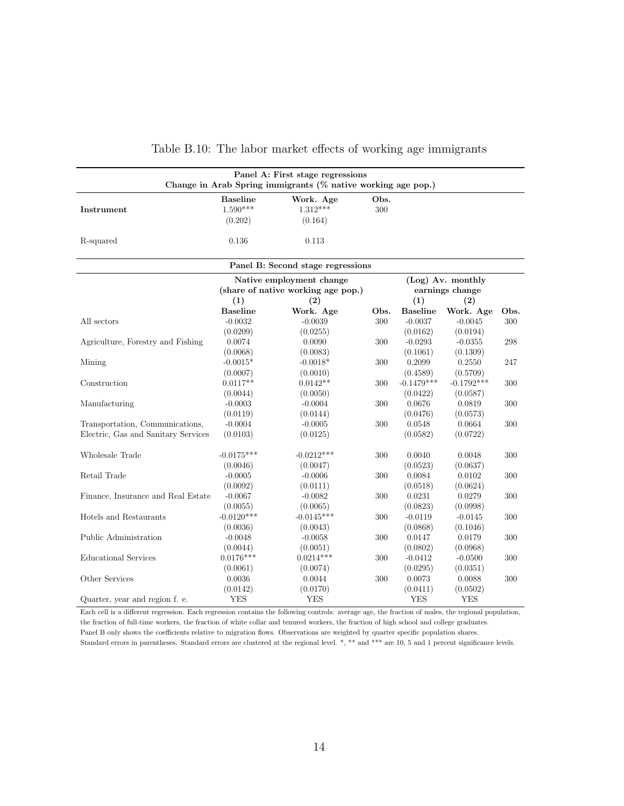| Panel A: First stage regressions<br>Change in Arab Spring immigrants (% native working age pop.) |                               |                                                                |             |                        |                                        |      |  |  |  |
|--------------------------------------------------------------------------------------------------|-------------------------------|----------------------------------------------------------------|-------------|------------------------|----------------------------------------|------|--|--|--|
| Instrument                                                                                       | <b>Baseline</b><br>$1.590***$ | Work. Age<br>$1.312***$                                        | Obs.<br>300 |                        |                                        |      |  |  |  |
|                                                                                                  | (0.202)                       | (0.164)                                                        |             |                        |                                        |      |  |  |  |
| R-squared                                                                                        | 0.136                         | 0.113                                                          |             |                        |                                        |      |  |  |  |
|                                                                                                  |                               | Panel B: Second stage regressions                              |             |                        |                                        |      |  |  |  |
|                                                                                                  |                               | Native employment change<br>(share of native working age pop.) |             |                        | $(Log)$ Av. monthly<br>earnings change |      |  |  |  |
|                                                                                                  | (1)<br><b>Baseline</b>        | (2)                                                            | Obs.        | (1)<br><b>Baseline</b> | (2)                                    | Obs. |  |  |  |
|                                                                                                  | $-0.0032$                     | Work. Age<br>$-0.0039$                                         | 300         | $-0.0037$              | Work. Age<br>$-0.0045$                 | 300  |  |  |  |
| All sectors                                                                                      | (0.0209)                      | (0.0255)                                                       |             | (0.0162)               | (0.0194)                               |      |  |  |  |
| Agriculture, Forestry and Fishing                                                                | 0.0074                        | 0.0090                                                         | 300         | $-0.0293$              | $-0.0355$                              | 298  |  |  |  |
|                                                                                                  | (0.0068)                      | (0.0083)                                                       |             | (0.1061)               | (0.1309)                               |      |  |  |  |
| Mining                                                                                           | $-0.0015*$                    | $-0.0018*$                                                     | 300         | 0.2099                 | 0.2550                                 | 247  |  |  |  |
|                                                                                                  | (0.0007)                      | (0.0010)                                                       |             | (0.4589)               | (0.5709)                               |      |  |  |  |
| Construction                                                                                     | $0.0117**$                    | $0.0142**$                                                     | 300         | $-0.1479***$           | $-0.1792***$                           | 300  |  |  |  |
|                                                                                                  | (0.0044)                      | (0.0050)                                                       |             | (0.0422)               | (0.0587)                               |      |  |  |  |
| Manufacturing                                                                                    | $-0.0003$                     | $-0.0004$                                                      | 300         | 0.0676                 | 0.0819                                 | 300  |  |  |  |
|                                                                                                  | (0.0119)                      | (0.0144)                                                       |             | (0.0476)               | (0.0573)                               |      |  |  |  |
| Transportation, Communications,                                                                  | $-0.0004$                     | $-0.0005$                                                      | 300         | 0.0548                 | 0.0664                                 | 300  |  |  |  |
| Electric, Gas and Sanitary Services                                                              | (0.0103)                      | (0.0125)                                                       |             | (0.0582)               | (0.0722)                               |      |  |  |  |
|                                                                                                  |                               |                                                                |             |                        |                                        |      |  |  |  |
| Wholesale Trade                                                                                  | $-0.0175***$                  | $-0.0212***$                                                   | 300         | 0.0040                 | 0.0048                                 | 300  |  |  |  |
|                                                                                                  | (0.0046)                      | (0.0047)                                                       |             | (0.0523)               | (0.0637)                               |      |  |  |  |
| Retail Trade                                                                                     | $-0.0005$                     | $-0.0006$                                                      | 300         | 0.0084                 | 0.0102                                 | 300  |  |  |  |
|                                                                                                  | (0.0092)                      | (0.0111)                                                       |             | (0.0518)               | (0.0624)                               |      |  |  |  |
| Finance, Insurance and Real Estate                                                               | $-0.0067$                     | $-0.0082$                                                      | 300         | 0.0231                 | 0.0279                                 | 300  |  |  |  |
|                                                                                                  | (0.0055)                      | (0.0065)                                                       |             | (0.0823)               | (0.0998)                               |      |  |  |  |
| Hotels and Restaurants                                                                           | $-0.0120***$                  | $-0.0145***$                                                   | 300         | $-0.0119$              | $-0.0145$                              | 300  |  |  |  |
|                                                                                                  | (0.0036)                      | (0.0043)                                                       |             | (0.0868)               | (0.1046)                               |      |  |  |  |
| Public Administration                                                                            | $-0.0048$                     | $-0.0058$                                                      | 300         | 0.0147                 | 0.0179                                 | 300  |  |  |  |
|                                                                                                  | (0.0044)                      | (0.0051)                                                       |             | (0.0802)               | (0.0968)                               |      |  |  |  |
| Educational Services                                                                             | $0.0176***$                   | $0.0214***$                                                    | 300         | $-0.0412$              | $-0.0500$                              | 300  |  |  |  |
|                                                                                                  | (0.0061)                      | (0.0074)                                                       |             | (0.0295)               | (0.0351)                               |      |  |  |  |
| Other Services                                                                                   | 0.0036                        | 0.0044                                                         | 300         | 0.0073                 | 0.0088                                 | 300  |  |  |  |
|                                                                                                  | (0.0142)                      | (0.0170)                                                       |             | (0.0411)               | (0.0502)                               |      |  |  |  |
| Quarter, year and region f. e.                                                                   | <b>YES</b>                    | <b>YES</b>                                                     |             | <b>YES</b>             | <b>YES</b>                             |      |  |  |  |

# Table B.10: The labor market effects of working age immigrants

Each cell is a different regression. Each regression contains the following controls: average age, the fraction of males, the regional population, the fraction of full-time workers, the fraction of white collar and tenured workers, the fraction of high school and college graduates. Panel B only shows the coefficients relative to migration flows. Observations are weighted by quarter specific population shares. Standard errors in parentheses. Standard errors are clustered at the regional level. \*, \*\* and \*\*\* are 10, 5 and 1 percent significance levels.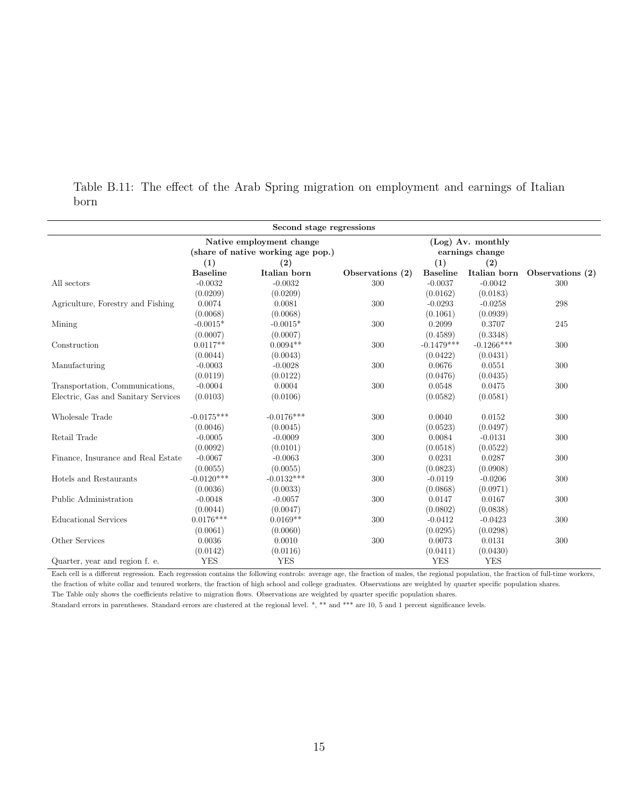Table B.11: The effect of the Arab Spring migration on employment and earnings of Italian born

| Second stage regressions                                                      |                                                 |                                         |                  |                 |                                       |                  |  |  |
|-------------------------------------------------------------------------------|-------------------------------------------------|-----------------------------------------|------------------|-----------------|---------------------------------------|------------------|--|--|
|                                                                               | Native employment change<br>$(Log)$ Av. monthly |                                         |                  |                 |                                       |                  |  |  |
|                                                                               |                                                 | (share of native working age pop.)      |                  | earnings change |                                       |                  |  |  |
|                                                                               | (1)                                             | $\left( 2\right)$                       |                  | (1)             | (2)                                   |                  |  |  |
|                                                                               | <b>Baseline</b>                                 | Italian born                            | Observations (2) | <b>Baseline</b> | Italian born                          | Observations (2) |  |  |
| All sectors                                                                   | $-0.0032$                                       | $-0.0032$                               | 300              | $-0.0037$       | $-0.0042$                             | 300              |  |  |
|                                                                               | (0.0209)                                        | (0.0209)                                |                  | (0.0162)        | (0.0183)                              |                  |  |  |
| Agriculture, Forestry and Fishing                                             | 0.0074                                          | 0.0081                                  | 300              | $-0.0293$       | $-0.0258$                             | 298              |  |  |
|                                                                               | (0.0068)                                        | (0.0068)                                |                  | (0.1061)        | (0.0939)                              |                  |  |  |
| Mining                                                                        | $-0.0015*$                                      | $-0.0015*$                              | 300              | 0.2099          | 0.3707                                | 245              |  |  |
|                                                                               | (0.0007)                                        | (0.0007)                                |                  | (0.4589)        | (0.3348)                              |                  |  |  |
| Construction                                                                  | $0.0117**$                                      | $0.0094**$                              | 300              | $-0.1479***$    | $-0.1266***$                          | 300              |  |  |
|                                                                               | (0.0044)                                        | (0.0043)                                |                  | (0.0422)        | (0.0431)                              |                  |  |  |
| Manufacturing                                                                 | $-0.0003$                                       | $-0.0028$                               | 300              | 0.0676          | 0.0551                                | 300              |  |  |
|                                                                               | (0.0119)                                        | (0.0122)                                |                  | (0.0476)        | (0.0435)                              |                  |  |  |
| Transportation, Communications,                                               | $-0.0004$                                       | 0.0004                                  | 300              | 0.0548          | 0.0475                                | 300              |  |  |
| Electric, Gas and Sanitary Services                                           | (0.0103)                                        | (0.0106)                                |                  | (0.0582)        | (0.0581)                              |                  |  |  |
| Wholesale Trade                                                               | $-0.0175***$                                    | $-0.0176***$                            | 300              | 0.0040          | 0.0152                                | 300              |  |  |
|                                                                               | (0.0046)                                        | (0.0045)                                |                  | (0.0523)        | (0.0497)                              |                  |  |  |
| Retail Trade                                                                  | $-0.0005$                                       | $-0.0009$                               | 300              | 0.0084          | $-0.0131$                             | 300              |  |  |
|                                                                               | (0.0092)                                        | (0.0101)                                |                  | (0.0518)        | (0.0522)                              |                  |  |  |
| Finance, Insurance and Real Estate                                            | $-0.0067$                                       | $-0.0063$                               | 300              | 0.0231          | 0.0287                                | 300              |  |  |
|                                                                               | (0.0055)                                        | (0.0055)                                |                  | (0.0823)        | (0.0908)                              |                  |  |  |
| Hotels and Restaurants                                                        | $-0.0120***$                                    | $-0.0132***$                            | 300              | $-0.0119$       | $-0.0206$                             | 300              |  |  |
|                                                                               | (0.0036)                                        | (0.0033)                                |                  | (0.0868)        | (0.0971)                              |                  |  |  |
| Public Administration                                                         | $-0.0048$                                       | $-0.0057$                               | 300              | 0.0147          | 0.0167                                | 300              |  |  |
|                                                                               | (0.0044)                                        | (0.0047)                                |                  | (0.0802)        | (0.0838)                              |                  |  |  |
| <b>Educational Services</b>                                                   | $0.0176***$                                     | $0.0169**$                              | 300              | $-0.0412$       | $-0.0423$                             | 300              |  |  |
|                                                                               | (0.0061)                                        | (0.0060)                                |                  | (0.0295)        | (0.0298)                              |                  |  |  |
| Other Services                                                                | 0.0036                                          | 0.0010                                  | 300              | 0.0073          | 0.0131                                | 300              |  |  |
|                                                                               | (0.0142)                                        | (0.0116)                                |                  | (0.0411)        | (0.0430)                              |                  |  |  |
| Quarter, year and region f. e.<br>$\mathbf{u}$ . $\mathbf{v}$<br>$\mathbf{r}$ | <b>YES</b>                                      | <b>YES</b><br>$\mathbf{u}$ $\mathbf{v}$ | $\mathbf{r}$     | <b>YES</b>      | <b>YES</b><br>$\cdot$ 1<br>$\epsilon$ | 0.0.11           |  |  |

Each cell is a different regression. Each regression contains the following controls: average age, the fraction of males, the regional population, the fraction of full-time workers, the fraction of white collar and tenured workers, the fraction of high school and college graduates. Observations are weighted by quarter specific population shares. The Table only shows the coefficients relative to migration flows. Observations are weighted by quarter specific population shares.

Standard errors in parentheses. Standard errors are clustered at the regional level. \*, \*\* and \*\*\* are 10, 5 and 1 percent significance levels.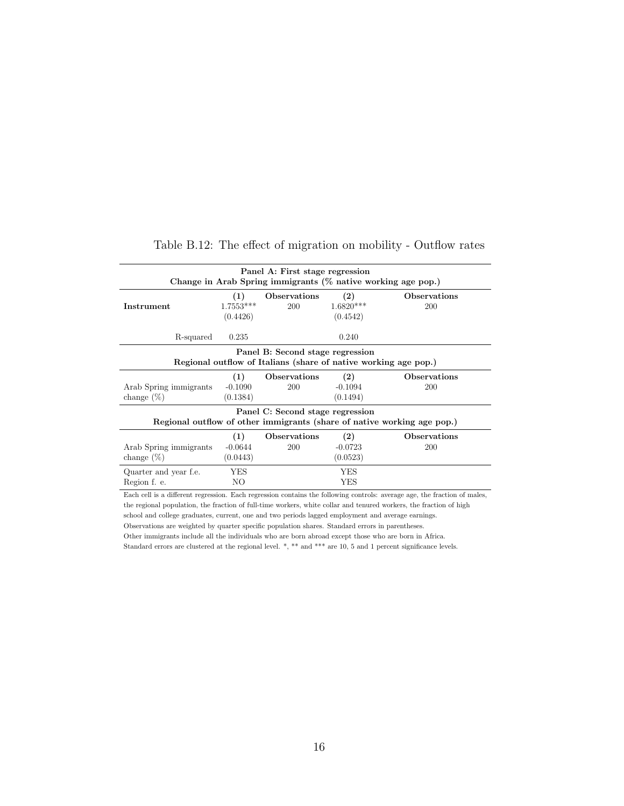| Panel A: First stage regression                                                                             |                                |                     |                                |                            |  |  |  |  |
|-------------------------------------------------------------------------------------------------------------|--------------------------------|---------------------|--------------------------------|----------------------------|--|--|--|--|
| Change in Arab Spring immigrants (% native working age pop.)                                                |                                |                     |                                |                            |  |  |  |  |
| Instrument                                                                                                  | (1)<br>$1.7553***$<br>(0.4426) | Observations<br>200 | (2)<br>$1.6820***$<br>(0.4542) | <b>Observations</b><br>200 |  |  |  |  |
| R-squared                                                                                                   | 0.235                          |                     | 0.240                          |                            |  |  |  |  |
| Panel B: Second stage regression<br>Regional outflow of Italians (share of native working age pop.)         |                                |                     |                                |                            |  |  |  |  |
| Arab Spring immigrants<br>change $(\%)$                                                                     | (1)<br>$-0.1090$<br>(0.1384)   | Observations<br>200 | (2)<br>$-0.1094$<br>(0.1494)   | Observations<br><b>200</b> |  |  |  |  |
| Panel C: Second stage regression<br>Regional outflow of other immigrants (share of native working age pop.) |                                |                     |                                |                            |  |  |  |  |
| Arab Spring immigrants<br>change $(\%)$                                                                     | (1)<br>$-0.0644$<br>(0.0443)   | Observations<br>200 | (2)<br>$-0.0723$<br>(0.0523)   | Observations<br><b>200</b> |  |  |  |  |
| Quarter and year f.e.<br>Region f. e.                                                                       | YES<br>NΟ                      |                     | YES<br>YES                     |                            |  |  |  |  |

### Table B.12: The effect of migration on mobility - Outflow rates

Each cell is a different regression. Each regression contains the following controls: average age, the fraction of males, the regional population, the fraction of full-time workers, white collar and tenured workers, the fraction of high school and college graduates, current, one and two periods lagged employment and average earnings. Observations are weighted by quarter specific population shares. Standard errors in parentheses.

Other immigrants include all the individuals who are born abroad except those who are born in Africa.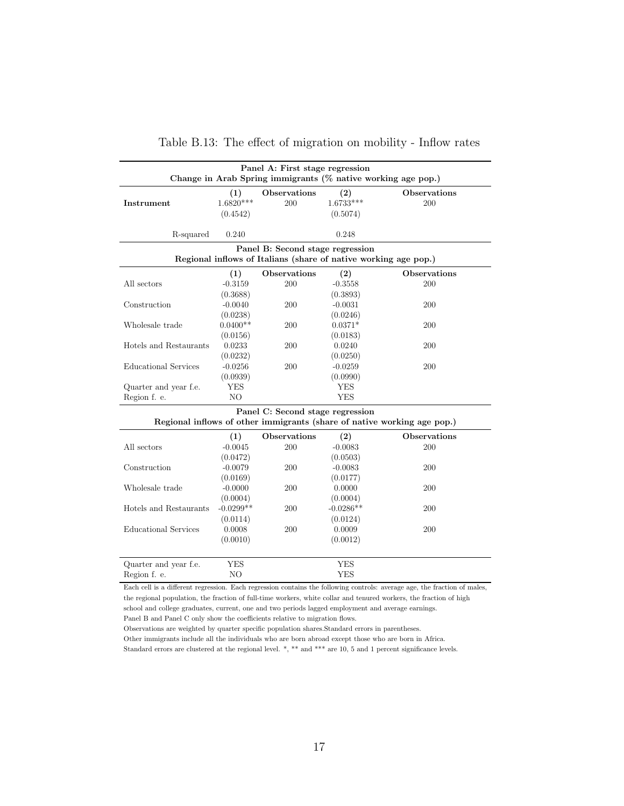<span id="page-64-0"></span>

| Panel A: First stage regression<br>Change in Arab Spring immigrants (% native working age pop.) |                                |                                  |                                |                                                                         |  |  |  |  |
|-------------------------------------------------------------------------------------------------|--------------------------------|----------------------------------|--------------------------------|-------------------------------------------------------------------------|--|--|--|--|
| Instrument                                                                                      | (1)<br>$1.6820***$<br>(0.4542) | <b>Observations</b><br>200       | (2)<br>$1.6733***$<br>(0.5074) | <b>Observations</b><br>200                                              |  |  |  |  |
| R-squared                                                                                       | 0.240                          |                                  | 0.248                          |                                                                         |  |  |  |  |
| Panel B: Second stage regression                                                                |                                |                                  |                                |                                                                         |  |  |  |  |
| Regional inflows of Italians (share of native working age pop.)                                 |                                |                                  |                                |                                                                         |  |  |  |  |
|                                                                                                 | (1)                            | <b>Observations</b>              | (2)                            | <b>Observations</b>                                                     |  |  |  |  |
| All sectors                                                                                     | $-0.3159$                      | 200                              | $-0.3558$                      | 200                                                                     |  |  |  |  |
|                                                                                                 | (0.3688)                       |                                  | (0.3893)                       |                                                                         |  |  |  |  |
| Construction                                                                                    | $-0.0040$                      | 200                              | $-0.0031$                      | 200                                                                     |  |  |  |  |
|                                                                                                 | (0.0238)                       |                                  | (0.0246)                       |                                                                         |  |  |  |  |
| Wholesale trade                                                                                 | $0.0400**$                     | 200                              | $0.0371*$                      | 200                                                                     |  |  |  |  |
|                                                                                                 | (0.0156)                       |                                  | (0.0183)                       |                                                                         |  |  |  |  |
| Hotels and Restaurants                                                                          | 0.0233                         | 200                              | 0.0240                         | 200                                                                     |  |  |  |  |
|                                                                                                 | (0.0232)                       |                                  | (0.0250)                       |                                                                         |  |  |  |  |
| Educational Services                                                                            | $-0.0256$                      | 200                              | $-0.0259$                      | 200                                                                     |  |  |  |  |
|                                                                                                 | (0.0939)                       |                                  | (0.0990)                       |                                                                         |  |  |  |  |
| Quarter and year f.e.                                                                           | <b>YES</b>                     |                                  | <b>YES</b>                     |                                                                         |  |  |  |  |
| Region f. e.                                                                                    | NO.                            |                                  | YES                            |                                                                         |  |  |  |  |
|                                                                                                 |                                | Panel C: Second stage regression |                                |                                                                         |  |  |  |  |
|                                                                                                 |                                |                                  |                                | Regional inflows of other immigrants (share of native working age pop.) |  |  |  |  |
|                                                                                                 | (1)                            | <b>Observations</b>              | (2)                            | <b>Observations</b>                                                     |  |  |  |  |
| All sectors                                                                                     | $-0.0045$                      | 200                              | $-0.0083$                      | 200                                                                     |  |  |  |  |
|                                                                                                 | (0.0472)                       |                                  | (0.0503)                       |                                                                         |  |  |  |  |
| Construction                                                                                    | $-0.0079$                      | 200                              | $-0.0083$                      | 200                                                                     |  |  |  |  |
|                                                                                                 | (0.0169)                       |                                  | (0.0177)                       |                                                                         |  |  |  |  |
| Wholesale trade                                                                                 | $-0.0000$                      | 200                              | 0.0000                         | 200                                                                     |  |  |  |  |
|                                                                                                 | (0.0004)                       |                                  | (0.0004)                       |                                                                         |  |  |  |  |
| Hotels and Restaurants                                                                          | $-0.0299**$                    | 200                              | $-0.0286**$                    | 200                                                                     |  |  |  |  |
|                                                                                                 | (0.0114)                       |                                  | (0.0124)                       |                                                                         |  |  |  |  |
| <b>Educational Services</b>                                                                     | 0.0008                         | 200                              | 0.0009                         | 200                                                                     |  |  |  |  |
|                                                                                                 | (0.0010)                       |                                  | (0.0012)                       |                                                                         |  |  |  |  |
|                                                                                                 |                                |                                  |                                |                                                                         |  |  |  |  |
| Quarter and year f.e.                                                                           | <b>YES</b>                     |                                  | <b>YES</b>                     |                                                                         |  |  |  |  |
| Region f. e.                                                                                    | N <sub>O</sub>                 |                                  | <b>YES</b>                     |                                                                         |  |  |  |  |

|  | Table B.13: The effect of migration on mobility - Inflow rates |  |
|--|----------------------------------------------------------------|--|
|  |                                                                |  |

Each cell is a different regression. Each regression contains the following controls: average age, the fraction of males, the regional population, the fraction of full-time workers, white collar and tenured workers, the fraction of high school and college graduates, current, one and two periods lagged employment and average earnings.

Panel B and Panel C only show the coefficients relative to migration flows.

Observations are weighted by quarter specific population shares.Standard errors in parentheses.

Other immigrants include all the individuals who are born abroad except those who are born in Africa. Standard errors are clustered at the regional level. \*, \*\* and \*\*\* are 10, 5 and 1 percent significance levels.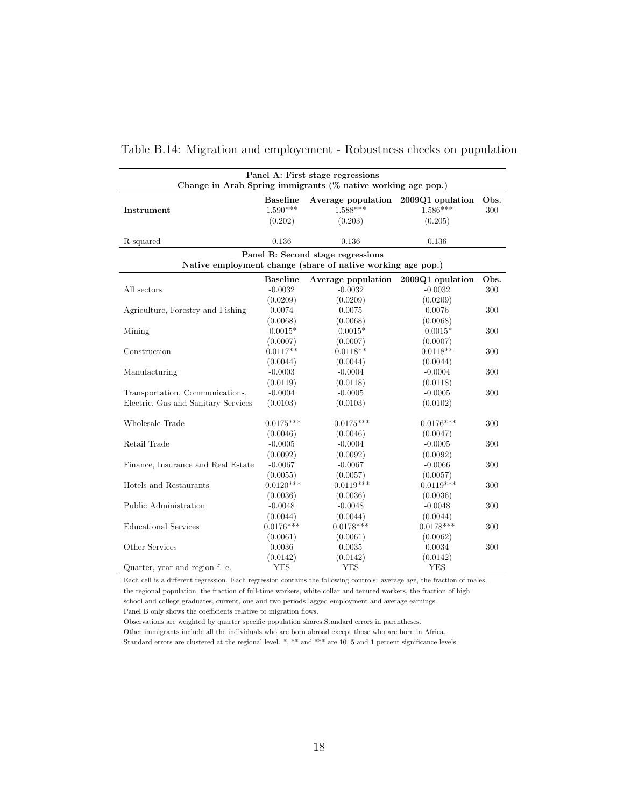| Panel A: First stage regressions<br>Change in Arab Spring immigrants $(\%$ native working age pop.) |                               |                                     |                                |             |  |  |  |  |  |
|-----------------------------------------------------------------------------------------------------|-------------------------------|-------------------------------------|--------------------------------|-------------|--|--|--|--|--|
| Instrument                                                                                          | <b>Baseline</b><br>$1.590***$ | Average population<br>$1.588***$    | 2009Q1 opulation<br>$1.586***$ | Obs.<br>300 |  |  |  |  |  |
|                                                                                                     | (0.202)                       | (0.203)                             | (0.205)                        |             |  |  |  |  |  |
| R-squared                                                                                           | 0.136                         | 0.136                               | 0.136                          |             |  |  |  |  |  |
| Panel B: Second stage regressions                                                                   |                               |                                     |                                |             |  |  |  |  |  |
| Native employment change (share of native working age pop.)                                         |                               |                                     |                                |             |  |  |  |  |  |
|                                                                                                     | <b>Baseline</b>               | Average population 2009Q1 opulation |                                | Obs.        |  |  |  |  |  |
| All sectors                                                                                         | $-0.0032$                     | $-0.0032$                           | $-0.0032$                      | 300         |  |  |  |  |  |
|                                                                                                     | (0.0209)                      | (0.0209)                            | (0.0209)                       |             |  |  |  |  |  |
| Agriculture, Forestry and Fishing                                                                   | 0.0074                        | 0.0075                              | 0.0076                         | 300         |  |  |  |  |  |
|                                                                                                     | (0.0068)                      | (0.0068)                            | (0.0068)                       |             |  |  |  |  |  |
| Mining                                                                                              | $-0.0015*$                    | $-0.0015*$                          | $-0.0015*$                     | 300         |  |  |  |  |  |
|                                                                                                     | (0.0007)                      | (0.0007)                            | (0.0007)                       |             |  |  |  |  |  |
| Construction                                                                                        | $0.0117**$                    | $0.0118**$                          | $0.0118**$                     | 300         |  |  |  |  |  |
|                                                                                                     | (0.0044)                      | (0.0044)                            | (0.0044)                       |             |  |  |  |  |  |
| Manufacturing                                                                                       | $-0.0003$                     | $-0.0004$                           | $-0.0004$                      | 300         |  |  |  |  |  |
|                                                                                                     | (0.0119)                      | (0.0118)                            | (0.0118)                       |             |  |  |  |  |  |
| Transportation, Communications,                                                                     | $-0.0004$                     | $-0.0005$                           | $-0.0005$                      | 300         |  |  |  |  |  |
| Electric, Gas and Sanitary Services                                                                 | (0.0103)                      | (0.0103)                            | (0.0102)                       |             |  |  |  |  |  |
| Wholesale Trade                                                                                     | $-0.0175***$                  | $-0.0175***$                        | $-0.0176***$                   | 300         |  |  |  |  |  |
|                                                                                                     | (0.0046)                      | (0.0046)                            | (0.0047)                       |             |  |  |  |  |  |
| Retail Trade                                                                                        | $-0.0005$                     | $-0.0004$                           | $-0.0005$                      | 300         |  |  |  |  |  |
|                                                                                                     | (0.0092)                      | (0.0092)                            | (0.0092)                       |             |  |  |  |  |  |
| Finance, Insurance and Real Estate                                                                  | $-0.0067$                     | $-0.0067$                           | $-0.0066$                      | 300         |  |  |  |  |  |
|                                                                                                     | (0.0055)                      | (0.0057)                            | (0.0057)                       |             |  |  |  |  |  |
| Hotels and Restaurants                                                                              | $-0.0120***$                  | $-0.0119***$                        | $-0.0119***$                   | 300         |  |  |  |  |  |
|                                                                                                     | (0.0036)                      | (0.0036)                            | (0.0036)                       |             |  |  |  |  |  |
| Public Administration                                                                               | $-0.0048$                     | $-0.0048$                           | $-0.0048$                      | 300         |  |  |  |  |  |
|                                                                                                     | (0.0044)                      | (0.0044)                            | (0.0044)                       |             |  |  |  |  |  |
| <b>Educational Services</b>                                                                         | $0.0176***$                   | $0.0178***$                         | $0.0178***$                    | 300         |  |  |  |  |  |
|                                                                                                     | (0.0061)                      | (0.0061)                            | (0.0062)                       |             |  |  |  |  |  |
| Other Services                                                                                      | 0.0036                        | 0.0035                              | 0.0034                         | 300         |  |  |  |  |  |
|                                                                                                     | (0.0142)                      | (0.0142)                            | (0.0142)                       |             |  |  |  |  |  |
| Quarter, year and region f. e.                                                                      | <b>YES</b>                    | <b>YES</b>                          | <b>YES</b>                     |             |  |  |  |  |  |

### Table B.14: Migration and employement - Robustness checks on pupulation

Each cell is a different regression. Each regression contains the following controls: average age, the fraction of males, the regional population, the fraction of full-time workers, white collar and tenured workers, the fraction of high school and college graduates, current, one and two periods lagged employment and average earnings. Panel B only shows the coefficients relative to migration flows.

Observations are weighted by quarter specific population shares.Standard errors in parentheses.

Other immigrants include all the individuals who are born abroad except those who are born in Africa.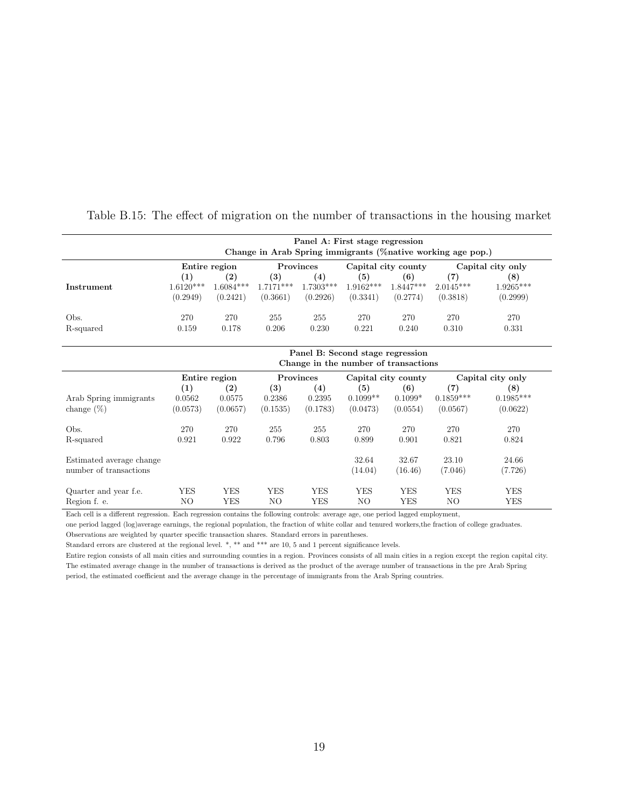|                                                    |                                             |                                         |                                        |                                | Panel A: First stage regression                                          |                                | Change in Arab Spring immigrants (% native working age pop.) |                                |
|----------------------------------------------------|---------------------------------------------|-----------------------------------------|----------------------------------------|--------------------------------|--------------------------------------------------------------------------|--------------------------------|--------------------------------------------------------------|--------------------------------|
|                                                    |                                             | Entire region                           |                                        | Provinces                      |                                                                          | Capital city county            |                                                              | Capital city only              |
| Instrument                                         | $\left(1\right)$<br>$1.6120***$<br>(0.2949) | (2)<br>$1.6084***$<br>(0.2421)          | (3)<br>$1.7171***$<br>(0.3661)         | (4)<br>$1.7303***$<br>(0.2926) | (5)<br>$1.9162***$<br>(0.3341)                                           | (6)<br>$1.8447***$<br>(0.2774) | (7)<br>$2.0145***$<br>(0.3818)                               | (8)<br>1.9265***<br>(0.2999)   |
| Obs.<br>R-squared                                  | 270<br>0.159                                | 270<br>0.178                            | 255<br>0.206                           | 255<br>0.230                   | 270<br>0.221                                                             | 270<br>0.240                   | 270<br>0.310                                                 | 270<br>0.331                   |
|                                                    |                                             |                                         |                                        |                                | Panel B: Second stage regression<br>Change in the number of transactions |                                |                                                              |                                |
|                                                    |                                             | Entire region                           |                                        | Provinces                      |                                                                          | Capital city county            |                                                              | Capital city only              |
| Arab Spring immigrants<br>change $(\%)$            | (1)<br>0.0562<br>(0.0573)                   | $\left( 2\right)$<br>0.0575<br>(0.0657) | $\left(3\right)$<br>0.2386<br>(0.1535) | (4)<br>0.2395<br>(0.1783)      | (5)<br>$0.1099**$<br>(0.0473)                                            | (6)<br>$0.1099*$<br>(0.0554)   | (7)<br>$0.1859^{***}\,$<br>(0.0567)                          | (8)<br>$0.1985***$<br>(0.0622) |
| Obs.<br>R-squared                                  | 270<br>0.921                                | 270<br>0.922                            | 255<br>0.796                           | 255<br>0.803                   | 270<br>0.899                                                             | 270<br>0.901                   | 270<br>0.821                                                 | 270<br>0.824                   |
| Estimated average change<br>number of transactions |                                             |                                         |                                        |                                | 32.64<br>(14.04)                                                         | 32.67<br>(16.46)               | 23.10<br>(7.046)                                             | 24.66<br>(7.726)               |
| Quarter and year f.e.<br>Region f. e.              | YES<br>NO                                   | <b>YES</b><br>YES                       | <b>YES</b><br>NO                       | <b>YES</b><br>YES              | <b>YES</b><br>NO                                                         | <b>YES</b><br>YES              | <b>YES</b><br>NO.                                            | <b>YES</b><br>YES              |

| Table B.15: The effect of migration on the number of transactions in the housing market |  |  |  |  |  |  |  |  |
|-----------------------------------------------------------------------------------------|--|--|--|--|--|--|--|--|
|-----------------------------------------------------------------------------------------|--|--|--|--|--|--|--|--|

Each cell is a different regression. Each regression contains the following controls: average age, one period lagged employment,

one period lagged (log)average earnings, the regional population, the fraction of white collar and tenured workers,the fraction of college graduates. Observations are weighted by quarter specific transaction shares. Standard errors in parentheses.

Standard errors are clustered at the regional level. \*, \*\* and \*\*\* are 10, 5 and 1 percent significance levels.

Entire region consists of all main cities and surrounding counties in a region. Provinces consists of all main cities in a region except the region capital city. The estimated average change in the number of transactions is derived as the product of the average number of transactions in the pre Arab Spring period, the estimated coefficient and the average change in the percentage of immigrants from the Arab Spring countries.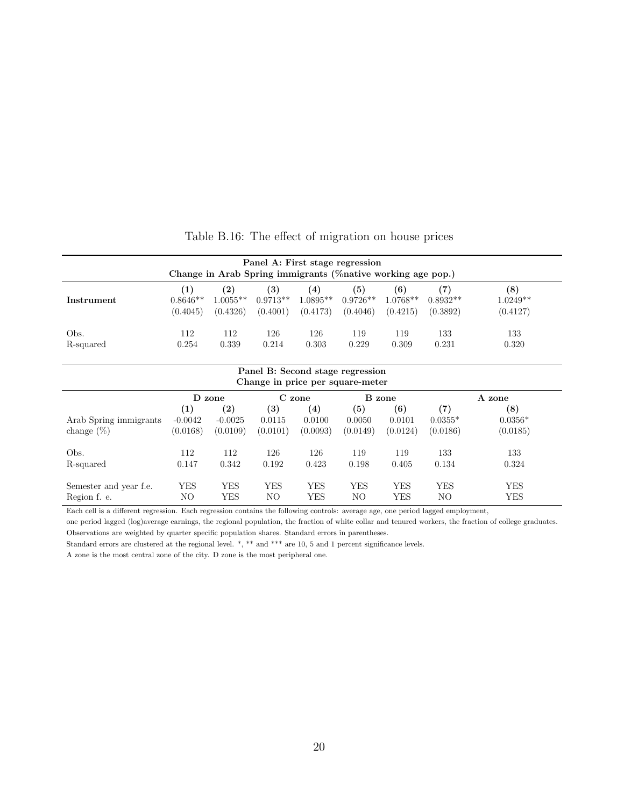<span id="page-67-0"></span>

|                                         |                              |                              |                           |                           | Panel A: First stage regression<br>Change in Arab Spring immigrants (% native working age pop.) |                           |                              |                              |
|-----------------------------------------|------------------------------|------------------------------|---------------------------|---------------------------|-------------------------------------------------------------------------------------------------|---------------------------|------------------------------|------------------------------|
| Instrument                              | (1)                          | (2)                          | (3)                       | (4)                       | (5)                                                                                             | (6)                       | (7)                          | (8)                          |
|                                         | $0.8646**$                   | $1.0055**$                   | $0.9713**$                | $1.0895**$                | $0.9726**$                                                                                      | $1.0768**$                | $0.8932**$                   | $1.0249**$                   |
|                                         | (0.4045)                     | (0.4326)                     | (0.4001)                  | (0.4173)                  | (0.4046)                                                                                        | (0.4215)                  | (0.3892)                     | (0.4127)                     |
| Obs.                                    | 112                          | 112                          | 126                       | 126                       | 119                                                                                             | 119                       | 133                          | 133                          |
| R-squared                               | 0.254                        | 0.339                        | 0.214                     | 0.303                     | 0.229                                                                                           | 0.309                     | 0.231                        | 0.320                        |
|                                         |                              |                              |                           |                           | Panel B: Second stage regression<br>Change in price per square-meter                            |                           |                              |                              |
|                                         |                              | D zone                       | C zone                    |                           | <b>B</b> zone                                                                                   |                           | A zone                       |                              |
| Arab Spring immigrants<br>change $(\%)$ | (1)<br>$-0.0042$<br>(0.0168) | (2)<br>$-0.0025$<br>(0.0109) | (3)<br>0.0115<br>(0.0101) | (4)<br>0.0100<br>(0.0093) | (5)<br>0.0050<br>(0.0149)                                                                       | (6)<br>0.0101<br>(0.0124) | (7)<br>$0.0355*$<br>(0.0186) | (8)<br>$0.0356*$<br>(0.0185) |
| Obs.                                    | 112                          | 112                          | 126                       | 126                       | 119                                                                                             | 119                       | 133                          | 133                          |
| R-squared                               | 0.147                        | 0.342                        | 0.192                     | 0.423                     | 0.198                                                                                           | 0.405                     | 0.134                        | 0.324                        |
| Semester and year f.e.                  | <b>YES</b>                   | <b>YES</b>                   | <b>YES</b>                | YES                       | <b>YES</b>                                                                                      | <b>YES</b>                | <b>YES</b>                   | <b>YES</b>                   |
| Region f. e.                            | NΟ                           | YES                          | NO                        | YES                       | NO                                                                                              | YES                       | NO                           | YES                          |

# Table B.16: The effect of migration on house prices

Each cell is a different regression. Each regression contains the following controls: average age, one period lagged employment,

one period lagged (log)average earnings, the regional population, the fraction of white collar and tenured workers, the fraction of college graduates. Observations are weighted by quarter specific population shares. Standard errors in parentheses.

Standard errors are clustered at the regional level. \*, \*\* and \*\*\* are 10, 5 and 1 percent significance levels.

A zone is the most central zone of the city. D zone is the most peripheral one.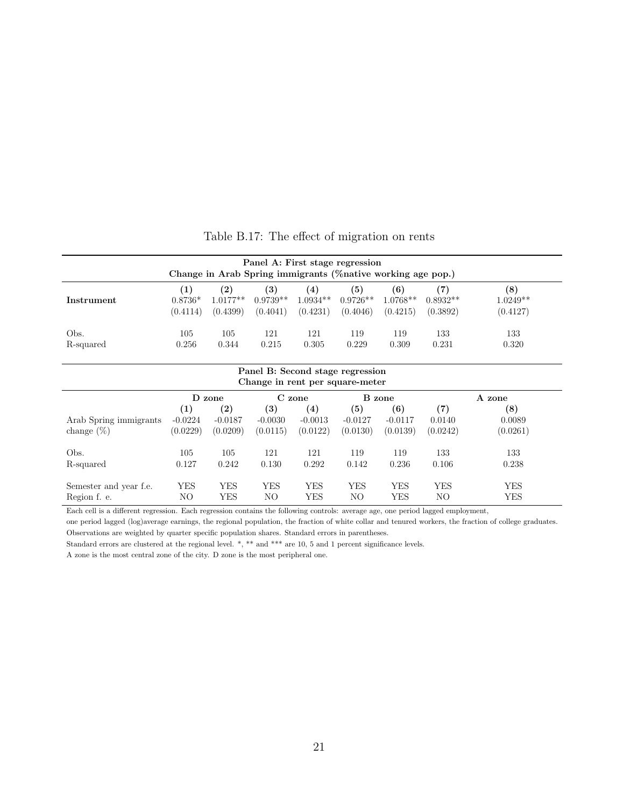<span id="page-68-0"></span>

| Panel A: First stage regression                              |                                                                                  |            |            |            |               |            |            |            |
|--------------------------------------------------------------|----------------------------------------------------------------------------------|------------|------------|------------|---------------|------------|------------|------------|
| Change in Arab Spring immigrants (% native working age pop.) |                                                                                  |            |            |            |               |            |            |            |
|                                                              | (5)<br>(8)<br>$\left( 1\right)$<br>(2)<br>(3)<br>$\left( 4\right)$<br>(6)<br>(7) |            |            |            |               |            |            |            |
| Instrument                                                   | $0.8736*$                                                                        | $1.0177**$ | $0.9739**$ | $1.0934**$ | $0.9726**$    | $1.0768**$ | $0.8932**$ | $1.0249**$ |
|                                                              | (0.4114)                                                                         | (0.4399)   | (0.4041)   | (0.4231)   | (0.4046)      | (0.4215)   | (0.3892)   | (0.4127)   |
| Obs.                                                         | 105                                                                              | 105        | 121        | 121        | 119           | 119        | 133        | 133        |
| R-squared                                                    | 0.256                                                                            | 0.344      | 0.215      | 0.305      | 0.229         | 0.309      | 0.231      | 0.320      |
| Panel B: Second stage regression                             |                                                                                  |            |            |            |               |            |            |            |
| Change in rent per square-meter                              |                                                                                  |            |            |            |               |            |            |            |
|                                                              |                                                                                  |            |            |            |               |            |            |            |
|                                                              |                                                                                  | D zone     | C zone     |            | <b>B</b> zone |            | A zone     |            |
|                                                              | (1)                                                                              | (2)        | (3)        | (4)        | (5)           | (6)        | (7)        | (8)        |
| Arab Spring immigrants                                       | $-0.0224$                                                                        | $-0.0187$  | $-0.0030$  | $-0.0013$  | $-0.0127$     | $-0.0117$  | 0.0140     | 0.0089     |
| change $(\%)$                                                | (0.0229)                                                                         | (0.0209)   | (0.0115)   | (0.0122)   | (0.0130)      | (0.0139)   | (0.0242)   | (0.0261)   |
| Obs.                                                         | 105                                                                              | 105        | 121        | 121        | 119           | 119        | 133        | 133        |
| R-squared                                                    | 0.127                                                                            | 0.242      | 0.130      | 0.292      | 0.142         | 0.236      | 0.106      | 0.238      |
| Semester and year f.e.                                       | YES                                                                              | YES        | <b>YES</b> | <b>YES</b> | YES           | <b>YES</b> | YES        | <b>YES</b> |
| Region f. e.                                                 | NO                                                                               | YES        | NO         | YES        | NO            | <b>YES</b> | NO         | YES        |

Table B.17: The effect of migration on rents

Each cell is a different regression. Each regression contains the following controls: average age, one period lagged employment,

one period lagged (log)average earnings, the regional population, the fraction of white collar and tenured workers, the fraction of college graduates. Observations are weighted by quarter specific population shares. Standard errors in parentheses.

Standard errors are clustered at the regional level. \*, \*\* and \*\*\* are 10, 5 and 1 percent significance levels.

A zone is the most central zone of the city. D zone is the most peripheral one.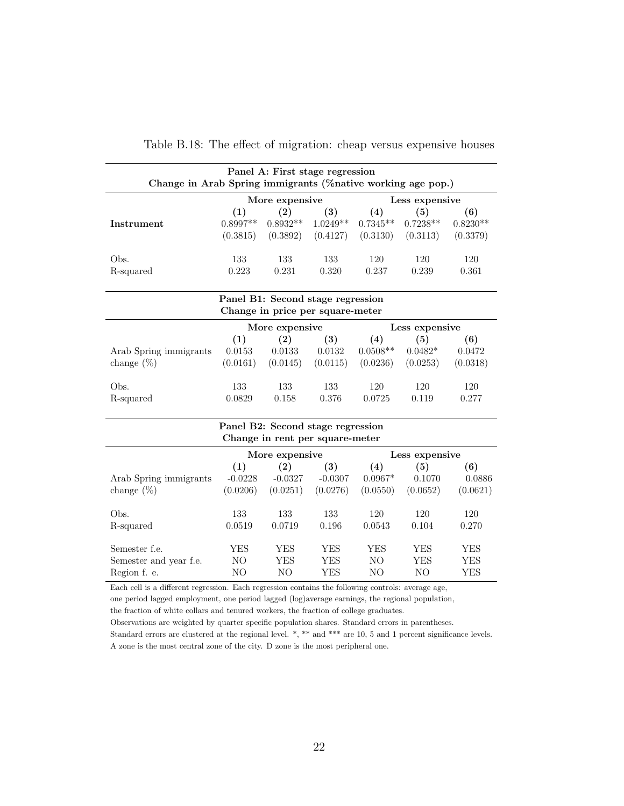<span id="page-69-0"></span>

| Panel A: First stage regression  |                                                         |                                                         |                                                                                                                 |                                                                                                                                                                             |                                                                                                                                                                              |  |  |  |
|----------------------------------|---------------------------------------------------------|---------------------------------------------------------|-----------------------------------------------------------------------------------------------------------------|-----------------------------------------------------------------------------------------------------------------------------------------------------------------------------|------------------------------------------------------------------------------------------------------------------------------------------------------------------------------|--|--|--|
|                                  |                                                         |                                                         |                                                                                                                 |                                                                                                                                                                             |                                                                                                                                                                              |  |  |  |
|                                  |                                                         |                                                         |                                                                                                                 |                                                                                                                                                                             |                                                                                                                                                                              |  |  |  |
|                                  |                                                         |                                                         |                                                                                                                 |                                                                                                                                                                             | (6)<br>$0.8230**$                                                                                                                                                            |  |  |  |
|                                  |                                                         |                                                         |                                                                                                                 |                                                                                                                                                                             |                                                                                                                                                                              |  |  |  |
|                                  |                                                         |                                                         |                                                                                                                 |                                                                                                                                                                             | (0.3379)                                                                                                                                                                     |  |  |  |
| 133                              | 133                                                     | 133                                                     | 120                                                                                                             | 120                                                                                                                                                                         | 120                                                                                                                                                                          |  |  |  |
| 0.223                            | 0.231                                                   |                                                         | 0.237                                                                                                           | 0.239                                                                                                                                                                       | 0.361                                                                                                                                                                        |  |  |  |
|                                  |                                                         |                                                         |                                                                                                                 |                                                                                                                                                                             |                                                                                                                                                                              |  |  |  |
|                                  |                                                         |                                                         |                                                                                                                 |                                                                                                                                                                             |                                                                                                                                                                              |  |  |  |
| Change in price per square-meter |                                                         |                                                         |                                                                                                                 |                                                                                                                                                                             |                                                                                                                                                                              |  |  |  |
|                                  |                                                         |                                                         |                                                                                                                 |                                                                                                                                                                             |                                                                                                                                                                              |  |  |  |
| (6)                              |                                                         |                                                         |                                                                                                                 |                                                                                                                                                                             |                                                                                                                                                                              |  |  |  |
| 0.0153                           | 0.0133                                                  | 0.0132                                                  |                                                                                                                 | $0.0482*$                                                                                                                                                                   | 0.0472                                                                                                                                                                       |  |  |  |
|                                  |                                                         |                                                         |                                                                                                                 |                                                                                                                                                                             | (0.0318)                                                                                                                                                                     |  |  |  |
|                                  |                                                         |                                                         |                                                                                                                 |                                                                                                                                                                             |                                                                                                                                                                              |  |  |  |
| 133                              | 133                                                     | 133                                                     | 120                                                                                                             | 120                                                                                                                                                                         | 120                                                                                                                                                                          |  |  |  |
| 0.0829                           | 0.158                                                   | 0.376                                                   | 0.0725                                                                                                          | 0.119                                                                                                                                                                       | 0.277                                                                                                                                                                        |  |  |  |
|                                  |                                                         |                                                         |                                                                                                                 |                                                                                                                                                                             |                                                                                                                                                                              |  |  |  |
|                                  |                                                         |                                                         |                                                                                                                 |                                                                                                                                                                             |                                                                                                                                                                              |  |  |  |
|                                  |                                                         |                                                         |                                                                                                                 |                                                                                                                                                                             |                                                                                                                                                                              |  |  |  |
|                                  |                                                         |                                                         |                                                                                                                 |                                                                                                                                                                             |                                                                                                                                                                              |  |  |  |
|                                  |                                                         | (3)                                                     | (4)                                                                                                             |                                                                                                                                                                             | (6)                                                                                                                                                                          |  |  |  |
| $-0.0228$                        | $-0.0327$                                               | $-0.0307$                                               | $0.0967*$                                                                                                       | 0.1070                                                                                                                                                                      | 0.0886                                                                                                                                                                       |  |  |  |
| (0.0206)                         | (0.0251)                                                | (0.0276)                                                | (0.0550)                                                                                                        | (0.0652)                                                                                                                                                                    | (0.0621)                                                                                                                                                                     |  |  |  |
|                                  |                                                         |                                                         |                                                                                                                 |                                                                                                                                                                             |                                                                                                                                                                              |  |  |  |
| 133                              | 133                                                     | 133                                                     | 120                                                                                                             | 120                                                                                                                                                                         | 120                                                                                                                                                                          |  |  |  |
| 0.0519                           | 0.0719                                                  | 0.196                                                   | 0.0543                                                                                                          | 0.104                                                                                                                                                                       | 0.270                                                                                                                                                                        |  |  |  |
|                                  |                                                         |                                                         |                                                                                                                 |                                                                                                                                                                             |                                                                                                                                                                              |  |  |  |
| <b>YES</b>                       | <b>YES</b>                                              | <b>YES</b>                                              | <b>YES</b>                                                                                                      | <b>YES</b>                                                                                                                                                                  | <b>YES</b>                                                                                                                                                                   |  |  |  |
| N <sub>O</sub>                   | <b>YES</b>                                              | <b>YES</b>                                              | NO                                                                                                              | <b>YES</b>                                                                                                                                                                  | <b>YES</b>                                                                                                                                                                   |  |  |  |
| N <sub>O</sub>                   | N <sub>O</sub>                                          | <b>YES</b>                                              | N <sub>O</sub>                                                                                                  | N <sub>O</sub>                                                                                                                                                              | <b>YES</b>                                                                                                                                                                   |  |  |  |
|                                  | (1)<br>$0.8997**$<br>(0.3815)<br>(1)<br>(0.0161)<br>(1) | (2)<br>$0.8932**$<br>(0.3892)<br>(2)<br>(0.0145)<br>(2) | More expensive<br>(3)<br>$1.0249**$<br>(0.4127)<br>0.320<br>More expensive<br>(3)<br>(0.0115)<br>More expensive | (4)<br>$0.7345**$<br>(0.3130)<br>Panel B1: Second stage regression<br>(4)<br>$0.0508**$<br>(0.0236)<br>Panel B2: Second stage regression<br>Change in rent per square-meter | Change in Arab Spring immigrants (%native working age pop.)<br>Less expensive<br>(5)<br>$0.7238**$<br>(0.3113)<br>Less expensive<br>(5)<br>(0.0253)<br>Less expensive<br>(5) |  |  |  |

### Table B.18: The effect of migration: cheap versus expensive houses

Each cell is a different regression. Each regression contains the following controls: average age,

one period lagged employment, one period lagged (log)average earnings, the regional population,

the fraction of white collars and tenured workers, the fraction of college graduates.

Observations are weighted by quarter specific population shares. Standard errors in parentheses.

Standard errors are clustered at the regional level. \*, \*\* and \*\*\* are 10, 5 and 1 percent significance levels. A zone is the most central zone of the city. D zone is the most peripheral one.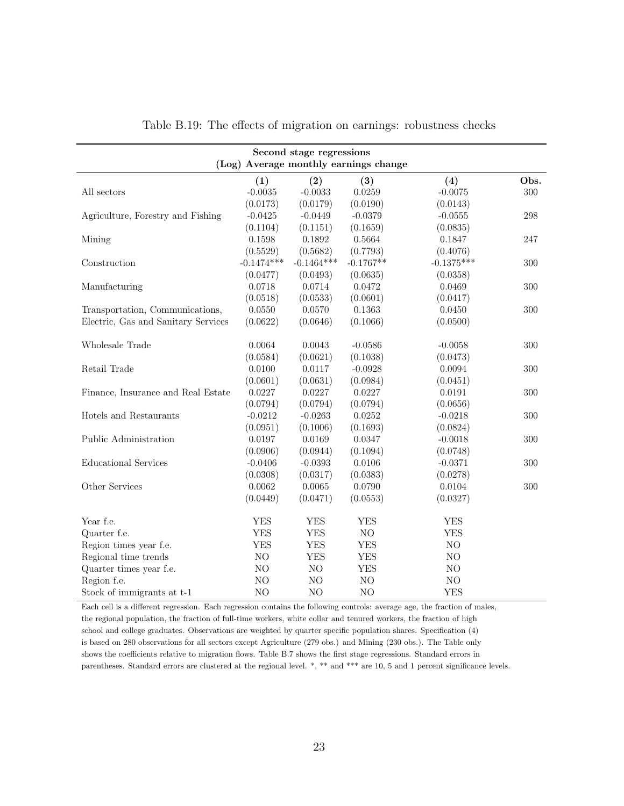| Second stage regressions<br>(Log) Average monthly earnings change |              |              |             |              |      |  |  |
|-------------------------------------------------------------------|--------------|--------------|-------------|--------------|------|--|--|
|                                                                   |              |              |             |              |      |  |  |
|                                                                   | (1)          | (2)          | (3)         | (4)          | Obs. |  |  |
| All sectors                                                       | $-0.0035$    | $-0.0033$    | 0.0259      | $-0.0075$    | 300  |  |  |
|                                                                   | (0.0173)     | (0.0179)     | (0.0190)    | (0.0143)     |      |  |  |
| Agriculture, Forestry and Fishing                                 | $-0.0425$    | $-0.0449$    | $-0.0379$   | $-0.0555$    | 298  |  |  |
|                                                                   | (0.1104)     | (0.1151)     | (0.1659)    | (0.0835)     |      |  |  |
| Mining                                                            | 0.1598       | 0.1892       | 0.5664      | 0.1847       | 247  |  |  |
|                                                                   | (0.5529)     | (0.5682)     | (0.7793)    | (0.4076)     |      |  |  |
| Construction                                                      | $-0.1474***$ | $-0.1464***$ | $-0.1767**$ | $-0.1375***$ | 300  |  |  |
|                                                                   | (0.0477)     | (0.0493)     | (0.0635)    | (0.0358)     |      |  |  |
| Manufacturing                                                     | 0.0718       | 0.0714       | 0.0472      | 0.0469       | 300  |  |  |
|                                                                   | (0.0518)     | (0.0533)     | (0.0601)    | (0.0417)     |      |  |  |
| Transportation, Communications,                                   | 0.0550       | 0.0570       | 0.1363      | 0.0450       | 300  |  |  |
| Electric, Gas and Sanitary Services                               | (0.0622)     | (0.0646)     | (0.1066)    | (0.0500)     |      |  |  |
| Wholesale Trade                                                   | 0.0064       | 0.0043       | $-0.0586$   | $-0.0058$    | 300  |  |  |
|                                                                   | (0.0584)     | (0.0621)     | (0.1038)    | (0.0473)     |      |  |  |
| Retail Trade                                                      | 0.0100       | 0.0117       | $-0.0928$   | 0.0094       | 300  |  |  |
|                                                                   | (0.0601)     | (0.0631)     | (0.0984)    | (0.0451)     |      |  |  |
| Finance, Insurance and Real Estate                                | 0.0227       | 0.0227       | 0.0227      | 0.0191       | 300  |  |  |
|                                                                   | (0.0794)     | (0.0794)     | (0.0794)    | (0.0656)     |      |  |  |
| Hotels and Restaurants                                            | $-0.0212$    | $-0.0263$    | 0.0252      | $-0.0218$    | 300  |  |  |
|                                                                   | (0.0951)     | (0.1006)     | (0.1693)    | (0.0824)     |      |  |  |
| Public Administration                                             | 0.0197       | 0.0169       | 0.0347      | $-0.0018$    | 300  |  |  |
|                                                                   | (0.0906)     | (0.0944)     | (0.1094)    | (0.0748)     |      |  |  |
| <b>Educational Services</b>                                       | $-0.0406$    | $-0.0393$    | 0.0106      | $-0.0371$    | 300  |  |  |
|                                                                   | (0.0308)     | (0.0317)     | (0.0383)    | (0.0278)     |      |  |  |
| Other Services                                                    | 0.0062       | 0.0065       | 0.0790      | 0.0104       | 300  |  |  |
|                                                                   | (0.0449)     | (0.0471)     | (0.0553)    | (0.0327)     |      |  |  |
| Year f.e.                                                         | <b>YES</b>   | <b>YES</b>   | YES         | <b>YES</b>   |      |  |  |
| Quarter f.e.                                                      | <b>YES</b>   | <b>YES</b>   | $\rm NO$    | <b>YES</b>   |      |  |  |
| Region times year f.e.                                            | <b>YES</b>   | <b>YES</b>   | <b>YES</b>  | NO           |      |  |  |
| Regional time trends                                              | $\rm NO$     | <b>YES</b>   | <b>YES</b>  | NO           |      |  |  |
| Quarter times year f.e.                                           | NO           | NO           | <b>YES</b>  | NO           |      |  |  |
| Region f.e.                                                       | NO           | NO           | NO          | NO           |      |  |  |
| Stock of immigrants at t-1                                        | NO           | NO           | NO          | <b>YES</b>   |      |  |  |

| Table B.19: The effects of migration on earnings: robustness checks |  |  |  |  |  |
|---------------------------------------------------------------------|--|--|--|--|--|
|                                                                     |  |  |  |  |  |

Each cell is a different regression. Each regression contains the following controls: average age, the fraction of males, the regional population, the fraction of full-time workers, white collar and tenured workers, the fraction of high school and college graduates. Observations are weighted by quarter specific population shares. Specification (4) is based on 280 observations for all sectors except Agriculture (279 obs.) and Mining (230 obs.). The Table only shows the coefficients relative to migration flows. Table [B.7](#page-58-0) shows the first stage regressions. Standard errors in parentheses. Standard errors are clustered at the regional level. \*, \*\* and \*\*\* are 10, 5 and 1 percent significance levels.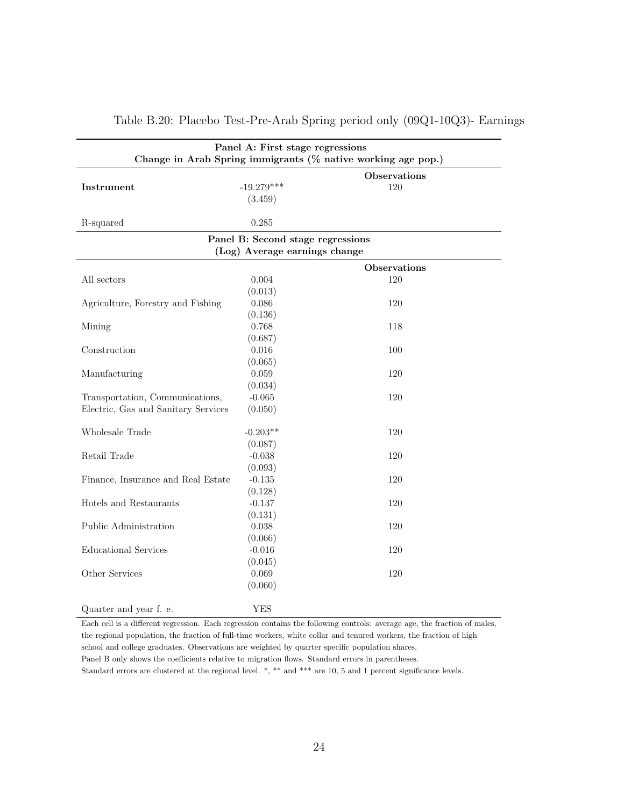| Panel A: First stage regressions<br>Change in Arab Spring immigrants (% native working age pop.) |              |                                   |  |  |  |  |
|--------------------------------------------------------------------------------------------------|--------------|-----------------------------------|--|--|--|--|
|                                                                                                  |              | Observations                      |  |  |  |  |
| Instrument                                                                                       | $-19.279***$ | 120                               |  |  |  |  |
|                                                                                                  | (3.459)      |                                   |  |  |  |  |
|                                                                                                  |              |                                   |  |  |  |  |
| R-squared                                                                                        | 0.285        |                                   |  |  |  |  |
|                                                                                                  |              | Panel B: Second stage regressions |  |  |  |  |
|                                                                                                  |              | (Log) Average earnings change     |  |  |  |  |
|                                                                                                  |              | Observations                      |  |  |  |  |
| All sectors                                                                                      | 0.004        | 120                               |  |  |  |  |
|                                                                                                  | (0.013)      |                                   |  |  |  |  |
| Agriculture, Forestry and Fishing                                                                | 0.086        | 120                               |  |  |  |  |
|                                                                                                  | (0.136)      |                                   |  |  |  |  |
| Mining                                                                                           | 0.768        | 118                               |  |  |  |  |
|                                                                                                  | (0.687)      |                                   |  |  |  |  |
| Construction                                                                                     | 0.016        | 100                               |  |  |  |  |
|                                                                                                  | (0.065)      |                                   |  |  |  |  |
| Manufacturing                                                                                    | 0.059        | 120                               |  |  |  |  |
|                                                                                                  | (0.034)      |                                   |  |  |  |  |
| Transportation, Communications,                                                                  | $-0.065$     | 120                               |  |  |  |  |
| Electric, Gas and Sanitary Services                                                              | (0.050)      |                                   |  |  |  |  |
| Wholesale Trade                                                                                  | $-0.203**$   | 120                               |  |  |  |  |
|                                                                                                  | (0.087)      |                                   |  |  |  |  |
| Retail Trade                                                                                     | $-0.038$     | 120                               |  |  |  |  |
|                                                                                                  | (0.093)      |                                   |  |  |  |  |
| Finance, Insurance and Real Estate                                                               | $-0.135$     | 120                               |  |  |  |  |
|                                                                                                  | (0.128)      |                                   |  |  |  |  |
| Hotels and Restaurants                                                                           | $-0.137$     | 120                               |  |  |  |  |
|                                                                                                  | (0.131)      |                                   |  |  |  |  |
| Public Administration                                                                            | 0.038        | 120                               |  |  |  |  |
|                                                                                                  | (0.066)      |                                   |  |  |  |  |
| <b>Educational Services</b>                                                                      | $-0.016$     | 120                               |  |  |  |  |
|                                                                                                  | (0.045)      |                                   |  |  |  |  |
| Other Services                                                                                   | 0.069        | 120                               |  |  |  |  |
|                                                                                                  | (0.060)      |                                   |  |  |  |  |
| Quarter and year f. e.                                                                           | <b>YES</b>   |                                   |  |  |  |  |

Table B.20: Placebo Test-Pre-Arab Spring period only (09Q1-10Q3)- Earnings

Each cell is a different regression. Each regression contains the following controls: average age, the fraction of males, the regional population, the fraction of full-time workers, white collar and tenured workers, the fraction of high school and college graduates. Observations are weighted by quarter specific population shares.

Panel B only shows the coefficients relative to migration flows. Standard errors in parentheses.